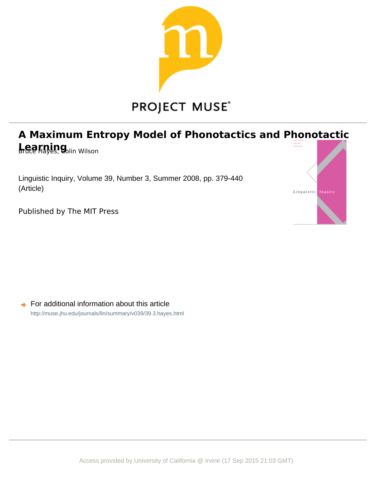

# **A Maximum Entropy Model of Phonotactics and Phonotactic Learning** Wilson

Linguistic Inquiry, Volume 39, Number 3, Summer 2008, pp. 379-440 (Article)



Published by The MIT Press

 $\rightarrow$  For additional information about this article <http://muse.jhu.edu/journals/lin/summary/v039/39.3.hayes.html>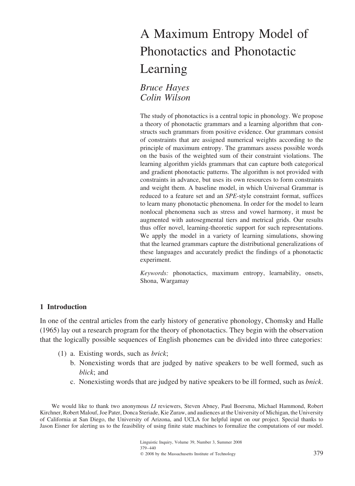# A Maximum Entropy Model of Phonotactics and Phonotactic Learning

*Bruce Hayes Colin Wilson*

The study of phonotactics is a central topic in phonology. We propose a theory of phonotactic grammars and a learning algorithm that constructs such grammars from positive evidence. Our grammars consist of constraints that are assigned numerical weights according to the principle of maximum entropy. The grammars assess possible words on the basis of the weighted sum of their constraint violations. The learning algorithm yields grammars that can capture both categorical and gradient phonotactic patterns. The algorithm is not provided with constraints in advance, but uses its own resources to form constraints and weight them. A baseline model, in which Universal Grammar is reduced to a feature set and an *SPE*-style constraint format, suffices to learn many phonotactic phenomena. In order for the model to learn nonlocal phenomena such as stress and vowel harmony, it must be augmented with autosegmental tiers and metrical grids. Our results thus offer novel, learning-theoretic support for such representations. We apply the model in a variety of learning simulations, showing that the learned grammars capture the distributional generalizations of these languages and accurately predict the findings of a phonotactic experiment.

*Keywords:* phonotactics, maximum entropy, learnability, onsets, Shona, Wargamay

#### **1 Introduction**

In one of the central articles from the early history of generative phonology, Chomsky and Halle (1965) lay out a research program for the theory of phonotactics. They begin with the observation that the logically possible sequences of English phonemes can be divided into three categories:

- (1) a. Existing words, such as *brick*;
	- b. Nonexisting words that are judged by native speakers to be well formed, such as *blick*; and
	- c. Nonexisting words that are judged by native speakers to be ill formed, such as *bnick*.

We would like to thank two anonymous *LI* reviewers, Steven Abney, Paul Boersma, Michael Hammond, Robert Kirchner, Robert Malouf, Joe Pater, Donca Steriade, Kie Zuraw, and audiences at the University of Michigan, the University of California at San Diego, the University of Arizona, and UCLA for helpful input on our project. Special thanks to Jason Eisner for alerting us to the feasibility of using finite state machines to formalize the computations of our model.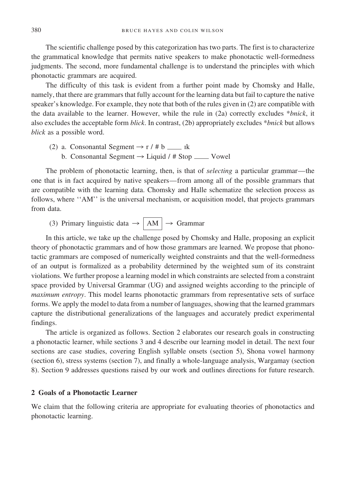The scientific challenge posed by this categorization has two parts. The first is to characterize the grammatical knowledge that permits native speakers to make phonotactic well-formedness judgments. The second, more fundamental challenge is to understand the principles with which phonotactic grammars are acquired.

The difficulty of this task is evident from a further point made by Chomsky and Halle, namely, that there are grammars that fully account for the learning data but fail to capture the native speaker's knowledge. For example, they note that both of the rules given in (2) are compatible with the data available to the learner. However, while the rule in (2a) correctly excludes \**bnick*, it also excludes the acceptable form *blick*. In contrast, (2b) appropriately excludes \**bnick* but allows *blick* as a possible word.

(2) a. Consonantal Segment  $\rightarrow$  r / # b  $\_\_\_\$  rk b. Consonantal Segment  $\rightarrow$  Liquid / # Stop  $\_\_\_\$  Vowel

The problem of phonotactic learning, then, is that of *selecting* a particular grammar—the one that is in fact acquired by native speakers—from among all of the possible grammars that are compatible with the learning data. Chomsky and Halle schematize the selection process as follows, where ''AM'' is the universal mechanism, or acquisition model, that projects grammars from data.

(3) Primary linguistic data  $\rightarrow \sqrt{AM}$   $\rightarrow$  Grammar

In this article, we take up the challenge posed by Chomsky and Halle, proposing an explicit theory of phonotactic grammars and of how those grammars are learned. We propose that phonotactic grammars are composed of numerically weighted constraints and that the well-formedness of an output is formalized as a probability determined by the weighted sum of its constraint violations. We further propose a learning model in which constraints are selected from a constraint space provided by Universal Grammar (UG) and assigned weights according to the principle of *maximum entropy*. This model learns phonotactic grammars from representative sets of surface forms. We apply the model to data from a number of languages, showing that the learned grammars capture the distributional generalizations of the languages and accurately predict experimental findings.

The article is organized as follows. Section 2 elaborates our research goals in constructing a phonotactic learner, while sections 3 and 4 describe our learning model in detail. The next four sections are case studies, covering English syllable onsets (section 5), Shona vowel harmony (section 6), stress systems (section 7), and finally a whole-language analysis, Wargamay (section 8). Section 9 addresses questions raised by our work and outlines directions for future research.

#### **2 Goals of a Phonotactic Learner**

We claim that the following criteria are appropriate for evaluating theories of phonotactics and phonotactic learning.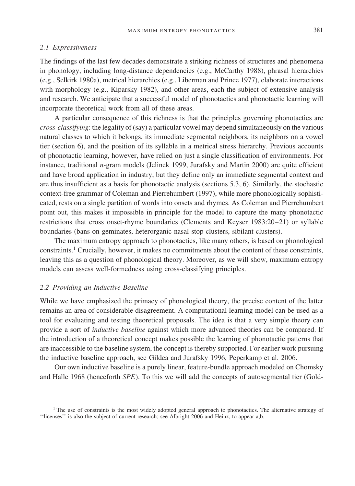#### MAXIMUM ENTROPY PHONOTACTICS 381

#### *2.1 Expressiveness*

The findings of the last few decades demonstrate a striking richness of structures and phenomena in phonology, including long-distance dependencies (e.g., McCarthy 1988), phrasal hierarchies (e.g., Selkirk 1980a), metrical hierarchies (e.g., Liberman and Prince 1977), elaborate interactions with morphology (e.g., Kiparsky 1982), and other areas, each the subject of extensive analysis and research. We anticipate that a successful model of phonotactics and phonotactic learning will incorporate theoretical work from all of these areas.

A particular consequence of this richness is that the principles governing phonotactics are *cross-classifying*: the legality of (say) a particular vowel may depend simultaneously on the various natural classes to which it belongs, its immediate segmental neighbors, its neighbors on a vowel tier (section 6), and the position of its syllable in a metrical stress hierarchy. Previous accounts of phonotactic learning, however, have relied on just a single classification of environments. For instance, traditional *n*-gram models (Jelinek 1999, Jurafsky and Martin 2000) are quite efficient and have broad application in industry, but they define only an immediate segmental context and are thus insufficient as a basis for phonotactic analysis (sections 5.3, 6). Similarly, the stochastic context-free grammar of Coleman and Pierrehumbert (1997), while more phonologically sophisticated, rests on a single partition of words into onsets and rhymes. As Coleman and Pierrehumbert point out, this makes it impossible in principle for the model to capture the many phonotactic restrictions that cross onset-rhyme boundaries (Clements and Keyser 1983:20–21) or syllable boundaries (bans on geminates, heterorganic nasal-stop clusters, sibilant clusters).

The maximum entropy approach to phonotactics, like many others, is based on phonological constraints.<sup>1</sup> Crucially, however, it makes no commitments about the content of these constraints, leaving this as a question of phonological theory. Moreover, as we will show, maximum entropy models can assess well-formedness using cross-classifying principles.

## *2.2 Providing an Inductive Baseline*

While we have emphasized the primacy of phonological theory, the precise content of the latter remains an area of considerable disagreement. A computational learning model can be used as a tool for evaluating and testing theoretical proposals. The idea is that a very simple theory can provide a sort of *inductive baseline* against which more advanced theories can be compared. If the introduction of a theoretical concept makes possible the learning of phonotactic patterns that are inaccessible to the baseline system, the concept is thereby supported. For earlier work pursuing the inductive baseline approach, see Gildea and Jurafsky 1996, Peperkamp et al. 2006.

Our own inductive baseline is a purely linear, feature-bundle approach modeled on Chomsky and Halle 1968 (henceforth *SPE*). To this we will add the concepts of autosegmental tier (Gold-

<sup>&</sup>lt;sup>1</sup> The use of constraints is the most widely adopted general approach to phonotactics. The alternative strategy of ''licenses'' is also the subject of current research; see Albright 2006 and Heinz, to appear a,b.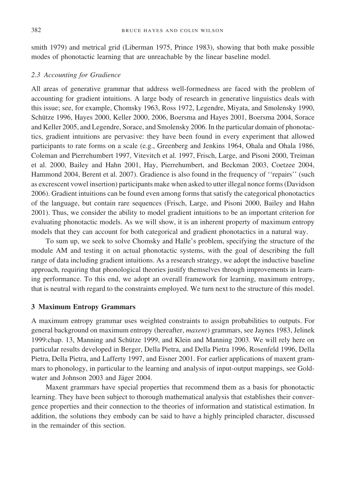smith 1979) and metrical grid (Liberman 1975, Prince 1983), showing that both make possible modes of phonotactic learning that are unreachable by the linear baseline model.

#### *2.3 Accounting for Gradience*

All areas of generative grammar that address well-formedness are faced with the problem of accounting for gradient intuitions. A large body of research in generative linguistics deals with this issue; see, for example, Chomsky 1963, Ross 1972, Legendre, Miyata, and Smolensky 1990, Schütze 1996, Hayes 2000, Keller 2000, 2006, Boersma and Hayes 2001, Boersma 2004, Sorace and Keller 2005, and Legendre, Sorace, and Smolensky 2006. In the particular domain of phonotactics, gradient intuitions are pervasive: they have been found in every experiment that allowed participants to rate forms on a scale (e.g., Greenberg and Jenkins 1964, Ohala and Ohala 1986, Coleman and Pierrehumbert 1997, Vitevitch et al. 1997, Frisch, Large, and Pisoni 2000, Treiman et al. 2000, Bailey and Hahn 2001, Hay, Pierrehumbert, and Beckman 2003, Coetzee 2004, Hammond 2004, Berent et al. 2007). Gradience is also found in the frequency of ''repairs'' (such as excrescent vowel insertion) participants make when asked to utter illegal nonce forms (Davidson 2006). Gradient intuitions can be found even among forms that satisfy the categorical phonotactics of the language, but contain rare sequences (Frisch, Large, and Pisoni 2000, Bailey and Hahn 2001). Thus, we consider the ability to model gradient intuitions to be an important criterion for evaluating phonotactic models. As we will show, it is an inherent property of maximum entropy models that they can account for both categorical and gradient phonotactics in a natural way.

To sum up, we seek to solve Chomsky and Halle's problem, specifying the structure of the module AM and testing it on actual phonotactic systems, with the goal of describing the full range of data including gradient intuitions. As a research strategy, we adopt the inductive baseline approach, requiring that phonological theories justify themselves through improvements in learning performance. To this end, we adopt an overall framework for learning, maximum entropy, that is neutral with regard to the constraints employed. We turn next to the structure of this model.

#### **3 Maximum Entropy Grammars**

A maximum entropy grammar uses weighted constraints to assign probabilities to outputs. For general background on maximum entropy (hereafter, *maxent*) grammars, see Jaynes 1983, Jelinek 1999:chap. 13, Manning and Schütze 1999, and Klein and Manning 2003. We will rely here on particular results developed in Berger, Della Pietra, and Della Pietra 1996, Rosenfeld 1996, Della Pietra, Della Pietra, and Lafferty 1997, and Eisner 2001. For earlier applications of maxent grammars to phonology, in particular to the learning and analysis of input-output mappings, see Goldwater and Johnson 2003 and Jäger 2004.

Maxent grammars have special properties that recommend them as a basis for phonotactic learning. They have been subject to thorough mathematical analysis that establishes their convergence properties and their connection to the theories of information and statistical estimation. In addition, the solutions they embody can be said to have a highly principled character, discussed in the remainder of this section.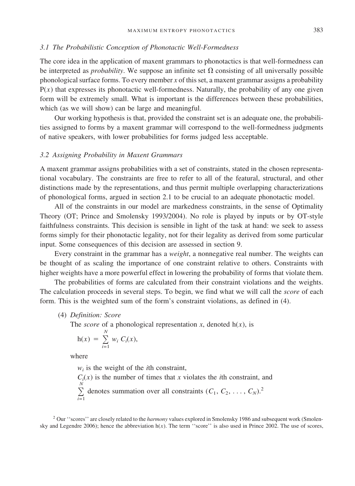#### *3.1 The Probabilistic Conception of Phonotactic Well-Formedness*

The core idea in the application of maxent grammars to phonotactics is that well-formedness can be interpreted as *probability*. We suppose an infinite set  $\Omega$  consisting of all universally possible phonological surface forms. To every member *x* of this set, a maxent grammar assigns a probability  $P(x)$  that expresses its phonotactic well-formedness. Naturally, the probability of any one given form will be extremely small. What is important is the differences between these probabilities, which (as we will show) can be large and meaningful.

Our working hypothesis is that, provided the constraint set is an adequate one, the probabilities assigned to forms by a maxent grammar will correspond to the well-formedness judgments of native speakers, with lower probabilities for forms judged less acceptable.

#### *3.2 Assigning Probability in Maxent Grammars*

A maxent grammar assigns probabilities with a set of constraints, stated in the chosen representational vocabulary. The constraints are free to refer to all of the featural, structural, and other distinctions made by the representations, and thus permit multiple overlapping characterizations of phonological forms, argued in section 2.1 to be crucial to an adequate phonotactic model.

All of the constraints in our model are markedness constraints, in the sense of Optimality Theory (OT; Prince and Smolensky 1993/2004). No role is played by inputs or by OT-style faithfulness constraints. This decision is sensible in light of the task at hand: we seek to assess forms simply for their phonotactic legality, not for their legality as derived from some particular input. Some consequences of this decision are assessed in section 9.

Every constraint in the grammar has a *weight*, a nonnegative real number. The weights can be thought of as scaling the importance of one constraint relative to others. Constraints with higher weights have a more powerful effect in lowering the probability of forms that violate them.

The probabilities of forms are calculated from their constraint violations and the weights. The calculation proceeds in several steps. To begin, we find what we will call the *score* of each form. This is the weighted sum of the form's constraint violations, as defined in (4).

#### (4) *Definition: Score*

The *score* of a phonological representation *x*, denoted  $h(x)$ , is

$$
h(x) = \sum_{i=1}^N w_i C_i(x),
$$

where

*wi* is the weight of the *i*th constraint,

 $C_i(x)$  is the number of times that *x* violates the *i*th constraint, and  $\sum_{i=1}^N$ *N*  $\sum_{i=1}$  denotes summation over all constraints  $(C_1, C_2, \ldots, C_N)$ .<sup>2</sup>

<sup>2</sup> Our ''scores'' are closely related to the *harmony* values explored in Smolensky 1986 and subsequent work (Smolensky and Legendre 2006); hence the abbreviation h(*x*). The term ''score'' is also used in Prince 2002. The use of scores,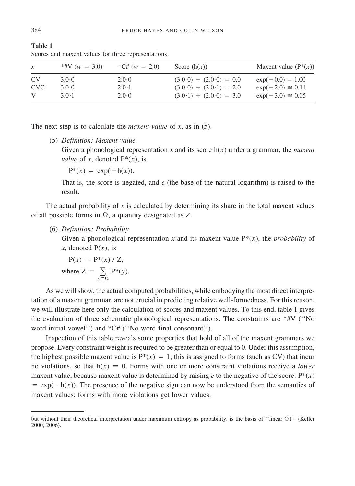|                | Scores and maxent values for three representations |                 |                           |                          |
|----------------|----------------------------------------------------|-----------------|---------------------------|--------------------------|
| $\mathcal{X}$  | *#V $(w = 3.0)$                                    | *C# $(w = 2.0)$ | Score $(h(x))$            | Maxent value $(P^*(x))$  |
| CV <sub></sub> | $3.0 - 0$                                          | $2.0 \cdot 0$   | $(3.0.0) + (2.0.0) = 0.0$ | $\exp(-0.0) = 1.00$      |
| <b>CVC</b>     | 3.0.0                                              | $2.0 \cdot 1$   | $(3.0.0) + (2.0.1) = 2.0$ | $exp(-2.0) \approx 0.14$ |

V  $3.0 \cdot 1$   $2.0 \cdot 0$   $(3.0 \cdot 1) + (2.0 \cdot 0) = 3.0$   $\exp(-3.0) \approx 0.05$ 

Scores and maxent values for three representations

The next step is to calculate the *maxent value* of *x*, as in (5).

(5) *Definition: Maxent value*

Given a phonological representation *x* and its score  $h(x)$  under a grammar, the *maxent value* of *x*, denoted  $P^*(x)$ , is

 $P^*(x) = \exp(-h(x)).$ 

That is, the score is negated, and *e* (the base of the natural logarithm) is raised to the result.

The actual probability of *x* is calculated by determining its share in the total maxent values of all possible forms in  $\Omega$ , a quantity designated as Z.

(6) *Definition: Probability*

Given a phonological representation *x* and its maxent value  $P^*(x)$ , the *probability* of  $x$ , denoted  $P(x)$ , is

$$
P(x) = P^*(x) / Z,
$$
  
where  $Z = \sum_{y \in \Omega} P^*(y)$ .

As we will show, the actual computed probabilities, while embodying the most direct interpretation of a maxent grammar, are not crucial in predicting relative well-formedness. For this reason, we will illustrate here only the calculation of scores and maxent values. To this end, table 1 gives the evaluation of three schematic phonological representations. The constraints are \*#V (''No word-initial vowel'') and \*C# (''No word-final consonant'').

Inspection of this table reveals some properties that hold of all of the maxent grammars we propose. Every constraint weight is required to be greater than or equal to 0. Under this assumption, the highest possible maxent value is  $P^*(x) = 1$ ; this is assigned to forms (such as CV) that incur no violations, so that  $h(x) = 0$ . Forms with one or more constraint violations receive a *lower* maxent value, because maxent value is determined by raising  $e$  to the negative of the score:  $P^*(x)$  $= \exp(-h(x))$ . The presence of the negative sign can now be understood from the semantics of maxent values: forms with more violations get lower values.

**Table 1**

but without their theoretical interpretation under maximum entropy as probability, is the basis of ''linear OT'' (Keller 2000, 2006).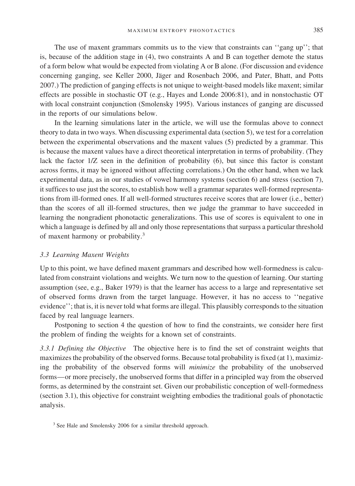The use of maxent grammars commits us to the view that constraints can ''gang up''; that is, because of the addition stage in (4), two constraints A and B can together demote the status of a form below what would be expected from violating A or B alone. (For discussion and evidence concerning ganging, see Keller 2000, Jäger and Rosenbach 2006, and Pater, Bhatt, and Potts 2007.) The prediction of ganging effects is not unique to weight-based models like maxent; similar effects are possible in stochastic OT (e.g., Hayes and Londe 2006:81), and in nonstochastic OT with local constraint conjunction (Smolensky 1995). Various instances of ganging are discussed in the reports of our simulations below.

In the learning simulations later in the article, we will use the formulas above to connect theory to data in two ways. When discussing experimental data (section 5), we test for a correlation between the experimental observations and the maxent values (5) predicted by a grammar. This is because the maxent values have a direct theoretical interpretation in terms of probability. (They lack the factor 1/Z seen in the definition of probability (6), but since this factor is constant across forms, it may be ignored without affecting correlations.) On the other hand, when we lack experimental data, as in our studies of vowel harmony systems (section 6) and stress (section 7), it suffices to use just the scores, to establish how well a grammar separates well-formed representations from ill-formed ones. If all well-formed structures receive scores that are lower (i.e., better) than the scores of all ill-formed structures, then we judge the grammar to have succeeded in learning the nongradient phonotactic generalizations. This use of scores is equivalent to one in which a language is defined by all and only those representations that surpass a particular threshold of maxent harmony or probability.<sup>3</sup>

#### *3.3 Learning Maxent Weights*

Up to this point, we have defined maxent grammars and described how well-formedness is calculated from constraint violations and weights. We turn now to the question of learning. Our starting assumption (see, e.g., Baker 1979) is that the learner has access to a large and representative set of observed forms drawn from the target language. However, it has no access to ''negative evidence''; that is, it is never told what forms are illegal. This plausibly corresponds to the situation faced by real language learners.

Postponing to section 4 the question of how to find the constraints, we consider here first the problem of finding the weights for a known set of constraints.

*3.3.1 Defining the Objective* The objective here is to find the set of constraint weights that maximizes the probability of the observed forms. Because total probability is fixed (at 1), maximizing the probability of the observed forms will *minimize* the probability of the unobserved forms—or more precisely, the unobserved forms that differ in a principled way from the observed forms, as determined by the constraint set. Given our probabilistic conception of well-formedness (section 3.1), this objective for constraint weighting embodies the traditional goals of phonotactic analysis.

<sup>&</sup>lt;sup>3</sup> See Hale and Smolensky 2006 for a similar threshold approach.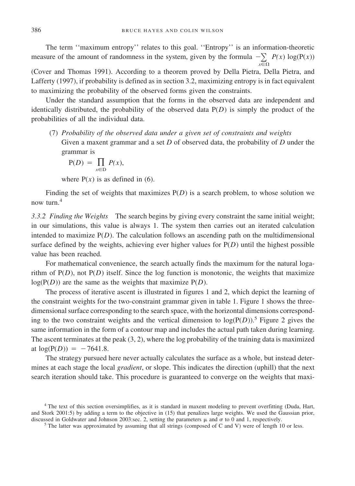The term ''maximum entropy'' relates to this goal. ''Entropy'' is an information-theoretic measure of the amount of randomness in the system, given by the formula  $-\sum_{n=0}^{\infty} P(x) \log(P(x))$ *x*- $\Omega$ 

(Cover and Thomas 1991). According to a theorem proved by Della Pietra, Della Pietra, and Lafferty (1997), if probability is defined as in section 3.2, maximizing entropy is in fact equivalent to maximizing the probability of the observed forms given the constraints.

Under the standard assumption that the forms in the observed data are independent and identically distributed, the probability of the observed data P(*D*) is simply the product of the probabilities of all the individual data.

(7) *Probability of the observed data under a given set of constraints and weights* Given a maxent grammar and a set *D* of observed data, the probability of *D* under the grammar is

$$
P(D) = \prod_{x \in D} P(x),
$$

where  $P(x)$  is as defined in (6).

Finding the set of weights that maximizes  $P(D)$  is a search problem, to whose solution we now turn.<sup>4</sup>

*3.3.2 Finding the Weights* The search begins by giving every constraint the same initial weight; in our simulations, this value is always 1. The system then carries out an iterated calculation intended to maximize  $P(D)$ . The calculation follows an ascending path on the multidimensional surface defined by the weights, achieving ever higher values for  $P(D)$  until the highest possible value has been reached.

For mathematical convenience, the search actually finds the maximum for the natural logarithm of  $P(D)$ , not  $P(D)$  itself. Since the log function is monotonic, the weights that maximize  $log(P(D))$  are the same as the weights that maximize  $P(D)$ .

The process of iterative ascent is illustrated in figures 1 and 2, which depict the learning of the constraint weights for the two-constraint grammar given in table 1. Figure 1 shows the threedimensional surface corresponding to the search space, with the horizontal dimensions corresponding to the two constraint weights and the vertical dimension to  $log(P(D))$ .<sup>5</sup> Figure 2 gives the same information in the form of a contour map and includes the actual path taken during learning. The ascent terminates at the peak  $(3, 2)$ , where the log probability of the training data is maximized at  $log(P(D)) = -7641.8$ .

The strategy pursued here never actually calculates the surface as a whole, but instead determines at each stage the local *gradient*, or slope. This indicates the direction (uphill) that the next search iteration should take. This procedure is guaranteed to converge on the weights that maxi-

<sup>&</sup>lt;sup>4</sup> The text of this section oversimplifies, as it is standard in maxent modeling to prevent overfitting (Duda, Hart, and Stork 2001:5) by adding a term to the objective in (15) that penalizes large weights. We used the Gaussian prior, discussed in Goldwater and Johnson 2003:sec. 2, setting the parameters  $\mu$  and  $\sigma$  to 0 and 1, respectively.<br><sup>5</sup> The latter was approximated by assuming that all strings (composed of C and V) were of length 10 or less.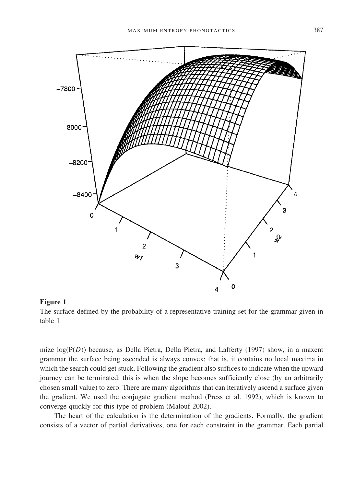

#### **Figure 1**

The surface defined by the probability of a representative training set for the grammar given in table 1

mize log(P(*D*)) because, as Della Pietra, Della Pietra, and Lafferty (1997) show, in a maxent grammar the surface being ascended is always convex; that is, it contains no local maxima in which the search could get stuck. Following the gradient also suffices to indicate when the upward journey can be terminated: this is when the slope becomes sufficiently close (by an arbitrarily chosen small value) to zero. There are many algorithms that can iteratively ascend a surface given the gradient. We used the conjugate gradient method (Press et al. 1992), which is known to converge quickly for this type of problem (Malouf 2002).

The heart of the calculation is the determination of the gradients. Formally, the gradient consists of a vector of partial derivatives, one for each constraint in the grammar. Each partial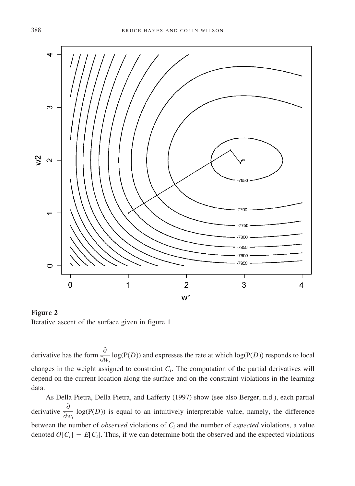

**Figure 2** Iterative ascent of the surface given in figure 1

derivative has the form  $\frac{\partial}{\partial w_i} \log(P(D))$  and expresses the rate at which log( $P(D)$ ) responds to local changes in the weight assigned to constraint  $C<sub>i</sub>$ . The computation of the partial derivatives will depend on the current location along the surface and on the constraint violations in the learning data.

As Della Pietra, Della Pietra, and Lafferty (1997) show (see also Berger, n.d.), each partial derivative  $\frac{\partial}{\partial w_i} \log(P(D))$  is equal to an intuitively interpretable value, namely, the difference between the number of *observed* violations of *Ci* and the number of *expected* violations, a value denoted  $O[C_i] - E[C_i]$ . Thus, if we can determine both the observed and the expected violations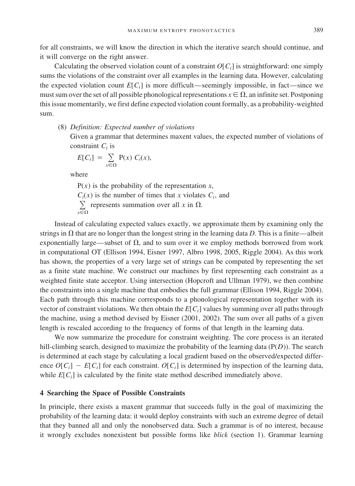for all constraints, we will know the direction in which the iterative search should continue, and it will converge on the right answer.

Calculating the observed violation count of a constraint  $O[C_i]$  is straightforward: one simply sums the violations of the constraint over all examples in the learning data. However, calculating the expected violation count  $E[C_i]$  is more difficult—seemingly impossible, in fact—since we must sum over the set of all possible phonological representations  $x \in \Omega$ , an infinite set. Postponing this issue momentarily, we first define expected violation count formally, as a probability-weighted sum.

(8) *Definition: Expected number of violations*

Given a grammar that determines maxent values, the expected number of violations of constraint  $C_i$  is

$$
E[C_i] = \sum_{x \in \Omega} P(x) C_i(x),
$$

where

 $P(x)$  is the probability of the representation *x*,  $C_i(x)$  is the number of times that *x* violates  $C_i$ , and  $\sum_{n=0}^{\infty}$  represents summation over all *x* in  $\Omega$ . *x*- $\Omega$ 

Instead of calculating expected values exactly, we approximate them by examining only the strings in  $\Omega$  that are no longer than the longest string in the learning data *D*. This is a finite—albeit exponentially large—subset of  $\Omega$ , and to sum over it we employ methods borrowed from work in computational OT (Ellison 1994, Eisner 1997, Albro 1998, 2005, Riggle 2004). As this work has shown, the properties of a very large set of strings can be computed by representing the set as a finite state machine. We construct our machines by first representing each constraint as a weighted finite state acceptor. Using intersection (Hopcroft and Ullman 1979), we then combine the constraints into a single machine that embodies the full grammar (Ellison 1994, Riggle 2004). Each path through this machine corresponds to a phonological representation together with its vector of constraint violations. We then obtain the *E*[*Ci*] values by summing over all paths through the machine, using a method devised by Eisner (2001, 2002). The sum over all paths of a given length is rescaled according to the frequency of forms of that length in the learning data.

We now summarize the procedure for constraint weighting. The core process is an iterated hill-climbing search, designed to maximize the probability of the learning data (P(*D*)). The search is determined at each stage by calculating a local gradient based on the observed/expected difference  $O[C_i] - E[C_i]$  for each constraint.  $O[C_i]$  is determined by inspection of the learning data, while  $E[C_i]$  is calculated by the finite state method described immediately above.

#### **4 Searching the Space of Possible Constraints**

In principle, there exists a maxent grammar that succeeds fully in the goal of maximizing the probability of the learning data: it would deploy constraints with such an extreme degree of detail that they banned all and only the nonobserved data. Such a grammar is of no interest, because it wrongly excludes nonexistent but possible forms like *blick* (section 1). Grammar learning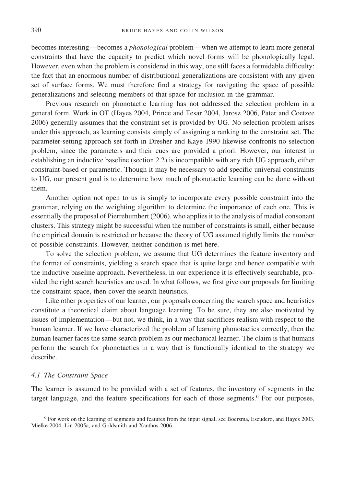becomes interesting—becomes a *phonological* problem—when we attempt to learn more general constraints that have the capacity to predict which novel forms will be phonologically legal. However, even when the problem is considered in this way, one still faces a formidable difficulty: the fact that an enormous number of distributional generalizations are consistent with any given set of surface forms. We must therefore find a strategy for navigating the space of possible generalizations and selecting members of that space for inclusion in the grammar.

Previous research on phonotactic learning has not addressed the selection problem in a general form. Work in OT (Hayes 2004, Prince and Tesar 2004, Jarosz 2006, Pater and Coetzee 2006) generally assumes that the constraint set is provided by UG. No selection problem arises under this approach, as learning consists simply of assigning a ranking to the constraint set. The parameter-setting approach set forth in Dresher and Kaye 1990 likewise confronts no selection problem, since the parameters and their cues are provided a priori. However, our interest in establishing an inductive baseline (section 2.2) is incompatible with any rich UG approach, either constraint-based or parametric. Though it may be necessary to add specific universal constraints to UG, our present goal is to determine how much of phonotactic learning can be done without them.

Another option not open to us is simply to incorporate every possible constraint into the grammar, relying on the weighting algorithm to determine the importance of each one. This is essentially the proposal of Pierrehumbert (2006), who applies it to the analysis of medial consonant clusters. This strategy might be successful when the number of constraints is small, either because the empirical domain is restricted or because the theory of UG assumed tightly limits the number of possible constraints. However, neither condition is met here.

To solve the selection problem, we assume that UG determines the feature inventory and the format of constraints, yielding a search space that is quite large and hence compatible with the inductive baseline approach. Nevertheless, in our experience it is effectively searchable, provided the right search heuristics are used. In what follows, we first give our proposals for limiting the constraint space, then cover the search heuristics.

Like other properties of our learner, our proposals concerning the search space and heuristics constitute a theoretical claim about language learning. To be sure, they are also motivated by issues of implementation—but not, we think, in a way that sacrifices realism with respect to the human learner. If we have characterized the problem of learning phonotactics correctly, then the human learner faces the same search problem as our mechanical learner. The claim is that humans perform the search for phonotactics in a way that is functionally identical to the strategy we describe.

#### *4.1 The Constraint Space*

The learner is assumed to be provided with a set of features, the inventory of segments in the target language, and the feature specifications for each of those segments.<sup>6</sup> For our purposes,

<sup>6</sup> For work on the learning of segments and features from the input signal, see Boersma, Escudero, and Hayes 2003, Mielke 2004, Lin 2005a, and Goldsmith and Xanthos 2006.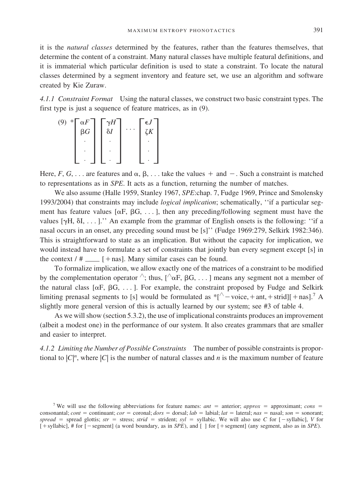it is the *natural classes* determined by the features, rather than the features themselves, that determine the content of a constraint. Many natural classes have multiple featural definitions, and it is immaterial which particular definition is used to state a constraint. To locate the natural classes determined by a segment inventory and feature set, we use an algorithm and software created by Kie Zuraw.

*4.1.1 Constraint Format* Using the natural classes, we construct two basic constraint types. The first type is just a sequence of feature matrices, as in (9).

$$
\begin{pmatrix}\n\mathbf{A} & \mathbf{B} \\
\mathbf{B} & \mathbf{B} \\
\mathbf{B} & \mathbf{B} \\
\mathbf{B} & \mathbf{B} \\
\mathbf{B} & \mathbf{B} \\
\mathbf{B} & \mathbf{B} \\
\mathbf{B} & \mathbf{B} \\
\mathbf{B} & \mathbf{B} \\
\mathbf{B} & \mathbf{B} \\
\mathbf{B} & \mathbf{B} \\
\mathbf{B} & \mathbf{B} \\
\mathbf{B} & \mathbf{B} \\
\mathbf{B} & \mathbf{B} \\
\mathbf{B} & \mathbf{B} \\
\mathbf{B} & \mathbf{B} \\
\mathbf{B} & \mathbf{B} \\
\mathbf{B} & \mathbf{B} \\
\mathbf{B} & \mathbf{B} \\
\mathbf{B} & \mathbf{B} \\
\mathbf{B} & \mathbf{B} \\
\mathbf{A} & \mathbf{B} \\
\mathbf{B} & \mathbf{B} \\
\mathbf{A} & \mathbf{B} \\
\mathbf{A} & \mathbf{B} \\
\mathbf{A} & \mathbf{B} \\
\mathbf{A} & \mathbf{B} \\
\mathbf{A} & \mathbf{B} \\
\mathbf{A} & \mathbf{B} \\
\mathbf{A} & \mathbf{B} \\
\mathbf{A} & \mathbf{B} \\
\mathbf{A} & \mathbf{B} \\
\mathbf{A} & \mathbf{B} \\
\mathbf{A} & \mathbf{B} \\
\mathbf{A} & \mathbf{B} \\
\mathbf{A} & \mathbf{B} \\
\mathbf{A} & \mathbf{B} \\
\mathbf{A} & \mathbf{B} \\
\mathbf{A} & \mathbf{B} \\
\mathbf{A} & \mathbf{B} \\
\mathbf{A} & \mathbf{B} \\
\mathbf{A} & \mathbf{B} \\
\mathbf{A} & \mathbf{B} \\
\mathbf{A} & \mathbf{B} \\
\mathbf{A} & \mathbf{B} \\
\mathbf{A} & \mathbf{B} \\
\mathbf{A} & \mathbf{B} \\
\mathbf{A} & \mathbf{B} \\
\mathbf{A} & \mathbf{B} \\
\mathbf{A} & \mathbf{B} \\
\mathbf{A} & \mathbf{B} \\
\mathbf{A} & \mathbf{B} \\
\mathbf{A} & \mathbf{B} \\
\mathbf{A} & \mathbf{B} \\
\mathbf{A} & \mathbf{
$$

Here, *F*, *G*, ... are features and  $\alpha$ ,  $\beta$ , ... take the values  $+$  and  $-$ . Such a constraint is matched to representations as in *SPE*. It acts as a function, returning the number of matches.

We also assume (Halle 1959, Stanley 1967, *SPE*:chap. 7, Fudge 1969, Prince and Smolensky 1993/2004) that constraints may include *logical implication*; schematically, ''if a particular segment has feature values  $[\alpha F, \beta G, \dots]$ , then any preceding/following segment must have the values  $[\gamma H, \delta I, \ldots]$ .'' An example from the grammar of English onsets is the following: ''if a nasal occurs in an onset, any preceding sound must be [s]'' (Fudge 1969:279, Selkirk 1982:346). This is straightforward to state as an implication. But without the capacity for implication, we would instead have to formulate a set of constraints that jointly ban every segment except [s] in the context  $/$  #  $\qquad$  [ + nas]. Many similar cases can be found.

To formalize implication, we allow exactly one of the matrices of a constraint to be modified by the complementation operator  $\hat{\ }$ ; thus,  $[\hat{G}, \hat{B}, \dots]$  means any segment not a member of the natural class  $[\alpha F, \beta G, \ldots]$ . For example, the constraint proposed by Fudge and Selkirk limiting prenasal segments to [s] would be formulated as  $*$ [ $\sim$  voice, + ant, + strid][+ nas].<sup>7</sup> A slightly more general version of this is actually learned by our system; see #3 of table 4.

As we will show (section 5.3.2), the use of implicational constraints produces an improvement (albeit a modest one) in the performance of our system. It also creates grammars that are smaller and easier to interpret.

*4.1.2 Limiting the Number of Possible Constraints* The number of possible constraints is proportional to  $|C|^n$ , where  $|C|$  is the number of natural classes and *n* is the maximum number of feature

<sup>&</sup>lt;sup>7</sup> We will use the following abbreviations for feature names: *ant* = anterior; *approx* = approximant; *cons* = consonantal; *cont* = continuant; *cor* = coronal; *dors* = dorsal; *lab* = labial; *lat* = lateral; *nas* = nasal; *son* = sonorant;  $spread = spread glottis; str = stress; strid = strident; syl = syllabic. We will also use C for [-syllabic], V for$  $[+$  syllabic], # for  $[-$  segment] (a word boundary, as in *SPE*), and  $[$   $]$  for  $[+$  segment] (any segment, also as in *SPE*).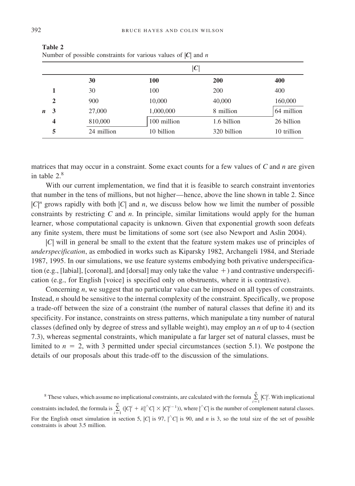|              |              | $ \bm{C} $ |             |             |             |  |  |  |  |  |  |  |
|--------------|--------------|------------|-------------|-------------|-------------|--|--|--|--|--|--|--|
|              |              | 30         | 100         | <b>200</b>  | 400         |  |  |  |  |  |  |  |
|              |              | 30         | 100         | 200         | 400         |  |  |  |  |  |  |  |
|              | $\mathbf{2}$ | 900        | 10,000      | 40,000      | 160,000     |  |  |  |  |  |  |  |
| $\mathbf{n}$ | 3            | 27,000     | 1,000,000   | 8 million   | 64 million  |  |  |  |  |  |  |  |
|              | 4            | 810,000    | 100 million | 1.6 billion | 26 billion  |  |  |  |  |  |  |  |
|              | 5            | 24 million | 10 billion  | 320 billion | 10 trillion |  |  |  |  |  |  |  |

**Table 2** Number of possible constraints for various values of |*C*| and *n*

matrices that may occur in a constraint. Some exact counts for a few values of *C* and *n* are given in table 2.<sup>8</sup>

With our current implementation, we find that it is feasible to search constraint inventories that number in the tens of millions, but not higher—hence, above the line shown in table 2. Since  $|C|^n$  grows rapidly with both  $|C|$  and *n*, we discuss below how we limit the number of possible constraints by restricting *C* and *n*. In principle, similar limitations would apply for the human learner, whose computational capacity is unknown. Given that exponential growth soon defeats any finite system, there must be limitations of some sort (see also Newport and Aslin 2004).

|*C*| will in general be small to the extent that the feature system makes use of principles of *underspecification*, as embodied in works such as Kiparsky 1982, Archangeli 1984, and Steriade 1987, 1995. In our simulations, we use feature systems embodying both privative underspecification (e.g., [labial], [coronal], and [dorsal] may only take the value  $+$  ) and contrastive underspecification (e.g., for English [voice] is specified only on obstruents, where it is contrastive).

Concerning *n*, we suggest that no particular value can be imposed on all types of constraints. Instead, *n* should be sensitive to the internal complexity of the constraint. Specifically, we propose a trade-off between the size of a constraint (the number of natural classes that define it) and its specificity. For instance, constraints on stress patterns, which manipulate a tiny number of natural classes (defined only by degree of stress and syllable weight), may employ an *n* of up to 4 (section 7.3), whereas segmental constraints, which manipulate a far larger set of natural classes, must be limited to  $n = 2$ , with 3 permitted under special circumstances (section 5.1). We postpone the details of our proposals about this trade-off to the discussion of the simulations.

<sup>8</sup> These values, which assume no implicational constraints, are calculated with the formula  $\sum_{n=1}^{n}$  $\sum_{i=1}^{\infty} |C|^i$ . With implicational constraints included, the formula is  $\sum_{n=1}^{\infty}$  $\sum_{i=1}^{n} (|C|^i + i(|^{\wedge}C| \times |C|^{i-1}))$ , where  $|^{\wedge}C|$  is the number of complement natural classes. For the English onset simulation in section 5,  $|C|$  is 97,  $|C|$  is 90, and *n* is 3, so the total size of the set of possible constraints is about 3.5 million.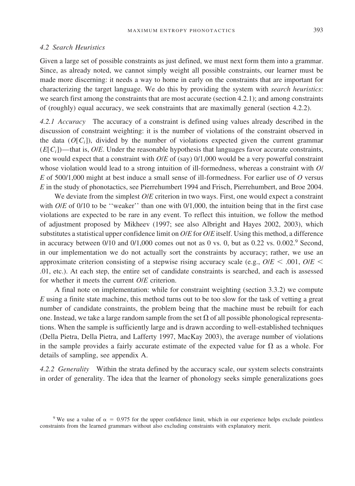#### *4.2 Search Heuristics*

Given a large set of possible constraints as just defined, we must next form them into a grammar. Since, as already noted, we cannot simply weight all possible constraints, our learner must be made more discerning: it needs a way to home in early on the constraints that are important for characterizing the target language. We do this by providing the system with *search heuristics*: we search first among the constraints that are most accurate (section 4.2.1); and among constraints of (roughly) equal accuracy, we seek constraints that are maximally general (section 4.2.2).

*4.2.1 Accuracy* The accuracy of a constraint is defined using values already described in the discussion of constraint weighting: it is the number of violations of the constraint observed in the data  $(O[C_i])$ , divided by the number of violations expected given the current grammar  $(E[C_i])$ —that is, *O*/*E*. Under the reasonable hypothesis that languages favor accurate constraints, one would expect that a constraint with *O*/*E* of (say) 0/1,000 would be a very powerful constraint whose violation would lead to a strong intuition of ill-formedness, whereas a constraint with *O*/ *E* of 500/1,000 might at best induce a small sense of ill-formedness. For earlier use of *O* versus *E* in the study of phonotactics, see Pierrehumbert 1994 and Frisch, Pierrehumbert, and Broe 2004.

We deviate from the simplest *O/E* criterion in two ways. First, one would expect a constraint with *O*/*E* of 0/10 to be "weaker" than one with 0/1,000, the intuition being that in the first case violations are expected to be rare in any event. To reflect this intuition, we follow the method of adjustment proposed by Mikheev (1997; see also Albright and Hayes 2002, 2003), which substitutes a statistical upper confidence limit on *O*/*E* for *O*/*E* itself. Using this method, a difference in accuracy between  $0/10$  and  $0/1,000$  comes out not as 0 vs. 0, but as  $0.22$  vs.  $0.002$ .<sup>9</sup> Second, in our implementation we do not actually sort the constraints by accuracy; rather, we use an approximate criterion consisting of a stepwise rising accuracy scale (e.g.,  $O/E \leq .001$ ,  $O/E \leq .001$ .01, etc.). At each step, the entire set of candidate constraints is searched, and each is assessed for whether it meets the current *O*/*E* criterion.

A final note on implementation: while for constraint weighting (section 3.3.2) we compute *E* using a finite state machine, this method turns out to be too slow for the task of vetting a great number of candidate constraints, the problem being that the machine must be rebuilt for each one. Instead, we take a large random sample from the set  $\Omega$  of all possible phonological representations. When the sample is sufficiently large and is drawn according to well-established techniques (Della Pietra, Della Pietra, and Lafferty 1997, MacKay 2003), the average number of violations in the sample provides a fairly accurate estimate of the expected value for  $\Omega$  as a whole. For details of sampling, see appendix A.

*4.2.2 Generality* Within the strata defined by the accuracy scale, our system selects constraints in order of generality. The idea that the learner of phonology seeks simple generalizations goes

<sup>&</sup>lt;sup>9</sup> We use a value of  $\alpha = 0.975$  for the upper confidence limit, which in our experience helps exclude pointless constraints from the learned grammars without also excluding constraints with explanatory merit.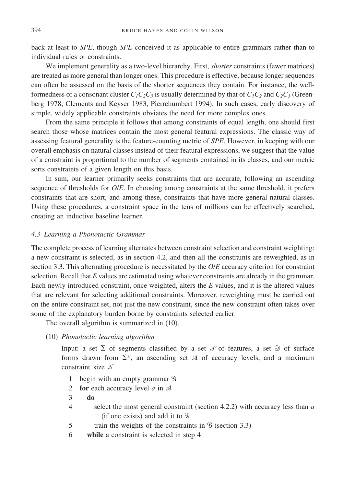back at least to *SPE*, though *SPE* conceived it as applicable to entire grammars rather than to individual rules or constraints.

We implement generality as a two-level hierarchy. First, *shorter* constraints (fewer matrices) are treated as more general than longer ones. This procedure is effective, because longer sequences can often be assessed on the basis of the shorter sequences they contain. For instance, the wellformedness of a consonant cluster  $C_1C_2C_3$  is usually determined by that of  $C_1C_2$  and  $C_2C_3$  (Greenberg 1978, Clements and Keyser 1983, Pierrehumbert 1994). In such cases, early discovery of simple, widely applicable constraints obviates the need for more complex ones.

From the same principle it follows that among constraints of equal length, one should first search those whose matrices contain the most general featural expressions. The classic way of assessing featural generality is the feature-counting metric of *SPE*. However, in keeping with our overall emphasis on natural classes instead of their featural expressions, we suggest that the value of a constraint is proportional to the number of segments contained in its classes, and our metric sorts constraints of a given length on this basis.

In sum, our learner primarily seeks constraints that are accurate, following an ascending sequence of thresholds for *O*/*E*. In choosing among constraints at the same threshold, it prefers constraints that are short, and among these, constraints that have more general natural classes. Using these procedures, a constraint space in the tens of millions can be effectively searched, creating an inductive baseline learner.

#### *4.3 Learning a Phonotactic Grammar*

The complete process of learning alternates between constraint selection and constraint weighting: a new constraint is selected, as in section 4.2, and then all the constraints are reweighted, as in section 3.3. This alternating procedure is necessitated by the *O*/*E* accuracy criterion for constraint selection. Recall that *E* values are estimated using whatever constraints are already in the grammar. Each newly introduced constraint, once weighted, alters the *E* values, and it is the altered values that are relevant for selecting additional constraints. Moreover, reweighting must be carried out on the entire constraint set, not just the new constraint, since the new constraint often takes over some of the explanatory burden borne by constraints selected earlier.

The overall algorithm is summarized in (10).

(10) *Phonotactic learning algorithm*

Input: a set  $\Sigma$  of segments classified by a set  $\mathcal F$  of features, a set  $\mathfrak D$  of surface forms drawn from  $\Sigma^*$ , an ascending set  $\mathcal A$  of accuracy levels, and a maximum constraint size

- 1 begin with an empty grammar  $9$
- 2 **for** each accuracy level *a* in  $\mathcal A$
- 3 **do**
- 4 select the most general constraint (section 4.2.2) with accuracy less than *&* (if one exists) and add it to  $\mathcal G$
- 5 train the weights of the constraints in  $\mathcal G$  (section 3.3)
- 6 **while** a constraint is selected in step 4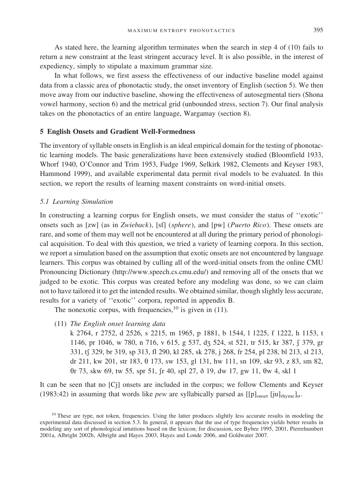As stated here, the learning algorithm terminates when the search in step 4 of (10) fails to return a new constraint at the least stringent accuracy level. It is also possible, in the interest of expediency, simply to stipulate a maximum grammar size.

In what follows, we first assess the effectiveness of our inductive baseline model against data from a classic area of phonotactic study, the onset inventory of English (section 5). We then move away from our inductive baseline, showing the effectiveness of autosegmental tiers (Shona vowel harmony, section 6) and the metrical grid (unbounded stress, section 7). Our final analysis takes on the phonotactics of an entire language, Wargamay (section 8).

#### **5 English Onsets and Gradient Well-Formedness**

The inventory of syllable onsets in English is an ideal empirical domain for the testing of phonotactic learning models. The basic generalizations have been extensively studied (Bloomfield 1933, Whorf 1940, O'Connor and Trim 1953, Fudge 1969, Selkirk 1982, Clements and Keyser 1983, Hammond 1999), and available experimental data permit rival models to be evaluated. In this section, we report the results of learning maxent constraints on word-initial onsets.

#### *5.1 Learning Simulation*

In constructing a learning corpus for English onsets, we must consider the status of ''exotic'' onsets such as [zw] (as in *Zwieback*), [sf] (*sphere*), and [pw] (*Puerto Rico*). These onsets are rare, and some of them may well not be encountered at all during the primary period of phonological acquisition. To deal with this question, we tried a variety of learning corpora. In this section, we report a simulation based on the assumption that exotic onsets are not encountered by language learners. This corpus was obtained by culling all of the word-initial onsets from the online CMU Pronouncing Dictionary (http://www.speech.cs.cmu.edu/) and removing all of the onsets that we judged to be exotic. This corpus was created before any modeling was done, so we can claim not to have tailored it to get the intended results. We obtained similar, though slightly less accurate, results for a variety of ''exotic'' corpora, reported in appendix B.

The nonexotic corpus, with frequencies,  $^{10}$  is given in (11).

- (11) *The English onset learning data*
	- k 2764, r 2752, d 2526, s 2215, m 1965, p 1881, b 1544, l 1225, f 1222, h 1153, t 1146, pr 1046, w 780, n 716, v 615, g 537, dz 524, st 521, tr 515, kr 387,  $\int$  379, gr 331, tf 329, br 319, sp 313, fl 290, kl 285, sk 278, j 268, fr 254, pl 238, bl 213, sl 213, dr 211, kw 201, str 183,  $\theta$  173, sw 153, gl 131, hw 111, sn 109, skr 93, z 83, sm 82,  $\theta$ r 73, skw 69, tw 55, spr 51, sr 40, spl 27, δ 19, dw 17, gw 11,  $\theta$ w 4, skl 1

It can be seen that no [Cj] onsets are included in the corpus; we follow Clements and Keyser (1983:42) in assuming that words like *pew* are syllabically parsed as  $[[p]_{onset}$  [ju]<sub>rhyme</sub>]<sub> $\sigma$ </sub>.

<sup>&</sup>lt;sup>10</sup> These are type, not token, frequencies. Using the latter produces slightly less accurate results in modeling the experimental data discussed in section 5.3. In general, it appears that the use of type frequencies yields better results in modeling any sort of phonological intuitions based on the lexicon; for discussion, see Bybee 1995, 2001, Pierrehumbert 2001a, Albright 2002b, Albright and Hayes 2003, Hayes and Londe 2006, and Goldwater 2007.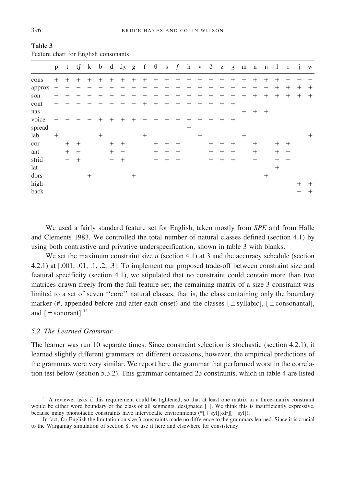|        | p      | t      | tſ     | $\bf k$ | $\mathbf{b}$ | d      | $d_3$ g |        | f      | $\theta$ | S      | $\int$ | h      | V      | $\delta$ |        |        | $z \quad 3 \quad m \quad n \quad n$ |         |        | $\mathbf{1}$ | $\mathbf{r}$ | $\mathbf{i}$ | W      |
|--------|--------|--------|--------|---------|--------------|--------|---------|--------|--------|----------|--------|--------|--------|--------|----------|--------|--------|-------------------------------------|---------|--------|--------------|--------------|--------------|--------|
| cons   | $^{+}$ | $^{+}$ | $^{+}$ | $^{+}$  | $^{+}$       | $+$    | $+$     | $+$    |        | $+$ $+$  | $^{+}$ | $^{+}$ | $^{+}$ | $^{+}$ | $+$      | $+$    | $+$    | $^{+}$                              | $^{+}$  | $^{+}$ | ┿            |              |              |        |
| approx |        |        |        |         |              |        |         |        |        |          |        |        |        |        |          |        |        |                                     |         |        | $^+$         | $^+$         | $^+$         | $^{+}$ |
| son    |        |        |        |         |              |        |         |        |        |          |        |        |        |        |          |        |        | $^+$                                | $^{+}$  | $^{+}$ | $+$          | $^{+}$       | $^{+}$       | $^{+}$ |
| cont   |        |        |        |         |              |        |         |        | $^{+}$ | $+$      | $^{+}$ | $^{+}$ | $+$    | $^{+}$ | $^{+}$   | $+$    | $^{+}$ |                                     |         |        |              |              |              |        |
| nas    |        |        |        |         |              |        |         |        |        |          |        |        |        |        |          |        |        | $^{+}$                              | $+$ $+$ |        |              |              |              |        |
| voice  |        |        |        |         | $^{+}$       | $^{+}$ | $^{+}$  | ┿      |        |          |        |        |        | $^{+}$ | $^{+}$   | $+$    | $+$    |                                     |         |        |              |              |              |        |
| spread |        |        |        |         |              |        |         |        |        |          |        |        | $^{+}$ |        |          |        |        |                                     |         |        |              |              |              |        |
| lab    | $^{+}$ |        |        |         | $^{+}$       |        |         |        | $^{+}$ |          |        |        |        | $^{+}$ |          |        |        | $^{+}$                              |         |        |              |              |              | $^{+}$ |
| cor    |        | $^{+}$ | $^{+}$ |         |              | $^{+}$ | $+$     |        |        | $^{+}$   | $^{+}$ | $^{+}$ |        |        | $^{+}$   | $^{+}$ | $^{+}$ |                                     | $^{+}$  |        | $^{+}$       | $+$          |              |        |
| ant    |        | $^{+}$ |        |         |              | $^{+}$ | -       |        |        | $+$      | $^{+}$ |        |        |        | $^{+}$   | $^{+}$ |        |                                     | $^{+}$  |        | $^+$         |              |              |        |
| strid  |        |        | $^{+}$ |         |              |        | $^{+}$  |        |        | -        | $^{+}$ | $^{+}$ |        |        | -        | $^{+}$ | $^{+}$ |                                     |         |        |              |              |              |        |
| lat    |        |        |        |         |              |        |         |        |        |          |        |        |        |        |          |        |        |                                     |         |        | $^{+}$       |              |              |        |
| dors   |        |        |        | $^{+}$  |              |        |         | $^{+}$ |        |          |        |        |        |        |          |        |        |                                     |         | $^{+}$ |              |              |              |        |
| high   |        |        |        |         |              |        |         |        |        |          |        |        |        |        |          |        |        |                                     |         |        |              |              | $^{+}$       | $^{+}$ |
| back   |        |        |        |         |              |        |         |        |        |          |        |        |        |        |          |        |        |                                     |         |        |              |              |              | $^{+}$ |

**Table 3** Feature chart for English consonants

We used a fairly standard feature set for English, taken mostly from *SPE* and from Halle and Clements 1983. We controlled the total number of natural classes defined (section 4.1) by using both contrastive and privative underspecification, shown in table 3 with blanks.

We set the maximum constraint size *n* (section 4.1) at 3 and the accuracy schedule (section 4.2.1) at [.001, .01, .1, .2, .3]. To implement our proposed trade-off between constraint size and featural specificity (section 4.1), we stipulated that no constraint could contain more than two matrices drawn freely from the full feature set; the remaining matrix of a size 3 constraint was limited to a set of seven ''core'' natural classes, that is, the class containing only the boundary marker (#, appended before and after each onset) and the classes  $[\pm s$ yllabic],  $[\pm \text{consonantal}]$ , and  $[±$  sonorant].<sup>11</sup>

#### *5.2 The Learned Grammar*

The learner was run 10 separate times. Since constraint selection is stochastic (section 4.2.1), it learned slightly different grammars on different occasions; however, the empirical predictions of the grammars were very similar. We report here the grammar that performed worst in the correlation test below (section 5.3.2). This grammar contained 23 constraints, which in table 4 are listed

<sup>&</sup>lt;sup>11</sup> A reviewer asks if this requirement could be tightened, so that at least one matrix in a three-matrix constraint would be either word boundary or the class of all segments, designated []. We think this is insufficiently expressive, because many phonotactic constraints have intervocalic environments (\*[+syl][ $\alpha$ F][+syl]).

In fact, for English the limitation on size 3 constraints made no difference to the grammars learned. Since it is crucial to the Wargamay simulation of section 8, we use it here and elsewhere for consistency.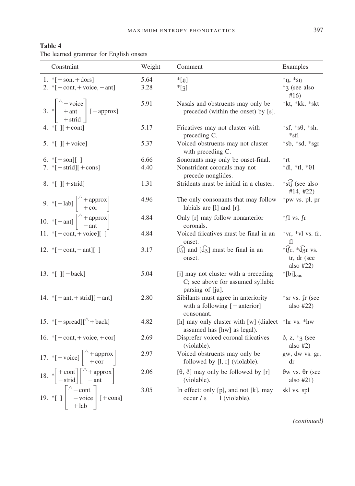| Table 4                                |  |  |
|----------------------------------------|--|--|
| The learned grammar for English onsets |  |  |

| Constraint                                                                                                                         | Weight | Comment                                                                                       | Examples                                                             |
|------------------------------------------------------------------------------------------------------------------------------------|--------|-----------------------------------------------------------------------------------------------|----------------------------------------------------------------------|
| 1. $*$ [ + son, + dors]                                                                                                            | 5.64   | $*$ [ŋ]                                                                                       | $*_{\eta,*_{\text{ST}}}$                                             |
| 2. $\sqrt[*]{ + \text{cont}, + \text{voice}, - \text{ant}}$                                                                        | 3.28   | $*_{[3]}$                                                                                     | *3 (see also<br>#16)                                                 |
| 3. * $\begin{vmatrix} \wedge -\text{voice} \\ +\text{ant} \\ +\text{strid} \end{vmatrix}$ [-approx]                                | 5.91   | Nasals and obstruents may only be<br>preceded (within the onset) by [s].                      | *kt, *kk, *skt                                                       |
| 4. $\mathbb{I}$ If + cont                                                                                                          | 5.17   | Fricatives may not cluster with<br>preceding C.                                               | $*sf, *s\theta, *sh,$                                                |
| 5. $\lVert \cdot \rVert$   [ + voice]                                                                                              | 5.37   | Voiced obstruents may not cluster<br>with preceding C.                                        | *sb, *sd, *sgr                                                       |
| 6. $*[+son][]$                                                                                                                     | 6.66   | Sonorants may only be onset-final.                                                            | *rt                                                                  |
| 7. $*[-\text{strid}]] + \text{cons}$                                                                                               | 4.40   | Nonstrident coronals may not<br>precede nonglides.                                            | $*dl, *tl, *θ1$                                                      |
| 8. $\lfloor \cdot \rfloor$ [ + strid]                                                                                              | 1.31   | Stridents must be initial in a cluster.                                                       | *st $\widehat{f}$ (see also<br>#14, #22)                             |
| 9. *[+lab] $\begin{bmatrix} \wedge + \text{approx} \\ + \text{cor} \end{bmatrix}$                                                  | 4.96   | The only consonants that may follow<br>labials are $[1]$ and $[r]$ .                          | *pw vs. pl, pr                                                       |
| 10. * [ - ant] $\left[\begin{array}{c} \wedge +$ approx]                                                                           | 4.84   | Only [r] may follow nonanterior<br>coronals.                                                  | *fl vs. fr                                                           |
| 11. * $[ + \text{cont}, + \text{voice}]$                                                                                           | 4.84   | Voiced fricatives must be final in an<br>onset.                                               | *vr, *vl vs. fr,                                                     |
| 12. * $[-\text{cont}, -\text{ant}][$ ]                                                                                             | 3.17   | $[\hat{t}$ and $[\hat{d}_{3}]$ must be final in an<br>onset.                                  | $*\widehat{tf}$ r, $*\widehat{d}$ r vs.<br>tr, dr (see<br>also $#22$ |
| 13. * [ $]$ [ - back]                                                                                                              | 5.04   | [j] may not cluster with a preceding<br>C; see above for assumed syllabic<br>parsing of [ju]. | $*[bj]_{ons}$                                                        |
| 14. $\{+ant, +strid\}$ [-ant]                                                                                                      | 2.80   | Sibilants must agree in anteriority<br>with a following $[-\text{anterior}]$<br>consonant.    | *sr vs. fr (see<br>also $#22$                                        |
| 15. *[ $+$ spread][ $\wedge$ +back]                                                                                                | 4.82   | [h] may only cluster with [w] (dialect *hr vs. *hw<br>assumed has [hw] as legal).             |                                                                      |
| 16. $*$ [ $+$ cont, $+$ voice, $+$ cor]                                                                                            | 2.69   | Disprefer voiced coronal fricatives<br>(violable).                                            | $\delta$ , z, $*_3$ (see<br>also $#2)$                               |
| 17. *[+voice] $\begin{bmatrix} \wedge + \text{approx} \\ + \text{cor} \end{bmatrix}$                                               | 2.97   | Voiced obstruents may only be<br>followed by [l, r] (violable).                               | gw, dw vs. gr,<br>dr                                                 |
| 18. $*\left[-\text{scat}\atop -\text{strid}\right]\left[\begin{array}{c} \wedge + \text{approx} \\ -\text{ant} \end{array}\right]$ | 2.06   | $[\theta, \delta]$ may only be followed by [r]<br>(violable).                                 | $\theta$ w vs. $\theta$ r (see<br>also $#21)$                        |
| 19. *[ ] $\begin{bmatrix} \wedge -\text{cont} \\ -\text{voice} \\ +\text{lab} \end{bmatrix}$ [+cons]                               | 3.05   | In effect: only [p], and not [k], may                                                         | skl vs. spl                                                          |

*(continued)*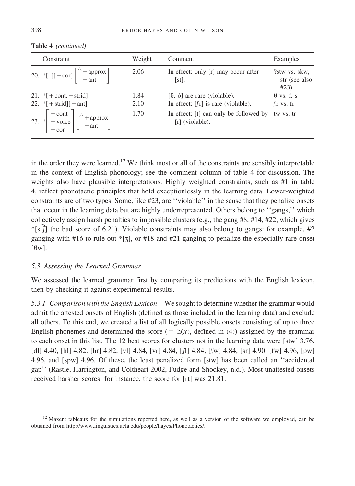| Constraint                                                                                                                                            | Weight | Comment                                                     | Examples                               |
|-------------------------------------------------------------------------------------------------------------------------------------------------------|--------|-------------------------------------------------------------|----------------------------------------|
| 20. *[ ][+cor] $\begin{vmatrix} \wedge + \text{approx} \\ -\text{ant} \end{vmatrix}$                                                                  | 2.06   | In effect: only [r] may occur after<br>$[st]$ .             | ?stw vs. skw.<br>str (see also<br>#23) |
| 21. $*$ [ + cont, - strid]                                                                                                                            | 1.84   | $[\theta, \delta]$ are rare (violable).                     | $\theta$ vs. f, s                      |
| 22. $\sqrt{\frac{1}{2}}$ + strid $\sqrt{1}$ – ant                                                                                                     | 2.10   | In effect: $\lceil \ln \rceil$ is rare (violable).          | $\int$ r vs. fr                        |
| 23. $*\begin{bmatrix} -\text{cont} \\ -\text{voice} \\ +\text{cor} \end{bmatrix} \begin{bmatrix} \wedge + \text{approx} \\ -\text{ant} \end{bmatrix}$ | 1.70   | In effect: [t] can only be followed by<br>$[r]$ (violable). | tw vs. tr                              |

**Table 4** *(continued)*

in the order they were learned.<sup>12</sup> We think most or all of the constraints are sensibly interpretable in the context of English phonology; see the comment column of table 4 for discussion. The weights also have plausible interpretations. Highly weighted constraints, such as #1 in table 4, reflect phonotactic principles that hold exceptionlessly in the learning data. Lower-weighted constraints are of two types. Some, like #23, are ''violable'' in the sense that they penalize onsets that occur in the learning data but are highly underrepresented. Others belong to ''gangs,'' which collectively assign harsh penalties to impossible clusters (e.g., the gang #8, #14, #22, which gives \*[st] the bad score of 6.21). Violable constraints may also belong to gangs: for example, #2 ganging with #16 to rule out  $*$ [3], or #18 and #21 ganging to penalize the especially rare onset  $[\theta w]$ .

### *5.3 Assessing the Learned Grammar*

We assessed the learned grammar first by comparing its predictions with the English lexicon, then by checking it against experimental results.

*5.3.1 Comparison with the English Lexicon* We sought to determine whether the grammar would admit the attested onsets of English (defined as those included in the learning data) and exclude all others. To this end, we created a list of all logically possible onsets consisting of up to three English phonemes and determined the score  $( = h(x),$  defined in (4)) assigned by the grammar to each onset in this list. The 12 best scores for clusters not in the learning data were [stw] 3.76, [dl] 4.40, [hl] 4.82, [hr] 4.82, [vl] 4.84, [vr] 4.84, [ $\int$ ] 4.84, [ $\int$ w] 4.84, [sr] 4.90, [fw] 4.96, [pw] 4.96, and [spw] 4.96. Of these, the least penalized form [stw] has been called an ''accidental gap'' (Rastle, Harrington, and Coltheart 2002, Fudge and Shockey, n.d.). Most unattested onsets received harsher scores; for instance, the score for [rt] was 21.81.

<sup>&</sup>lt;sup>12</sup> Maxent tableaux for the simulations reported here, as well as a version of the software we employed, can be obtained from http://www.linguistics.ucla.edu/people/hayes/Phonotactics/.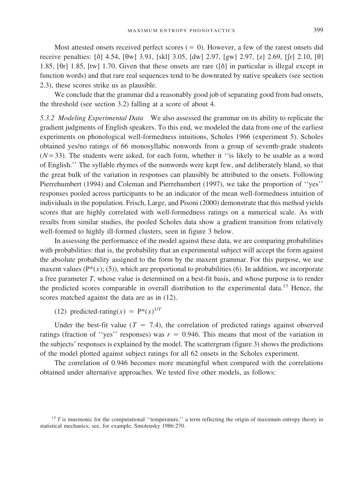Most attested onsets received perfect scores  $( = 0)$ . However, a few of the rarest onsets did receive penalties: [ $\delta$ ] 4.54, [ $\theta$ w] 3.91, [skl] 3.05, [dw] 2.97, [gw] 2.97, [z] 2.69, [ $\rfloor$ r] 2.10, [ $\theta$ ] 1.85,  $[6r]$  1.85,  $[tw]$  1.70. Given that these onsets are rare  $([8]$  in particular is illegal except in function words) and that rare real sequences tend to be downrated by native speakers (see section 2.3), these scores strike us as plausible.

We conclude that the grammar did a reasonably good job of separating good from bad onsets, the threshold (see section 3.2) falling at a score of about 4.

*5.3.2 Modeling Experimental Data* We also assessed the grammar on its ability to replicate the gradient judgments of English speakers. To this end, we modeled the data from one of the earliest experiments on phonological well-formedness intuitions, Scholes 1966 (experiment 5). Scholes obtained yes/no ratings of 66 monosyllabic nonwords from a group of seventh-grade students  $(N=33)$ . The students were asked, for each form, whether it "is likely to be usable as a word of English.'' The syllable rhymes of the nonwords were kept few, and deliberately bland, so that the great bulk of the variation in responses can plausibly be attributed to the onsets. Following Pierrehumbert (1994) and Coleman and Pierrehumbert (1997), we take the proportion of ''yes'' responses pooled across participants to be an indicator of the mean well-formedness intuition of individuals in the population. Frisch, Large, and Pisoni (2000) demonstrate that this method yields scores that are highly correlated with well-formedness ratings on a numerical scale. As with results from similar studies, the pooled Scholes data show a gradient transition from relatively well-formed to highly ill-formed clusters, seen in figure 3 below.

In assessing the performance of the model against these data, we are comparing probabilities with probabilities: that is, the probability that an experimental subject will accept the form against the absolute probability assigned to the form by the maxent grammar. For this purpose, we use maxent values  $(P^*(x); (5))$ , which are proportional to probabilities (6). In addition, we incorporate a free parameter *T*, whose value is determined on a best-fit basis, and whose purpose is to render the predicted scores comparable in overall distribution to the experimental data.<sup>13</sup> Hence, the scores matched against the data are as in (12).

(12) predicted-rating( $x$ ) =  $P^*(x)^{1/T}$ 

Under the best-fit value ( $T = 7.4$ ), the correlation of predicted ratings against observed ratings (fraction of "yes" responses) was  $r = 0.946$ . This means that most of the variation in the subjects' responses is explained by the model. The scattergram (figure 3) shows the predictions of the model plotted against subject ratings for all 62 onsets in the Scholes experiment.

The correlation of 0.946 becomes more meaningful when compared with the correlations obtained under alternative approaches. We tested five other models, as follows:

<sup>&</sup>lt;sup>13</sup> *T* is mnemonic for the computational "temperature," a term reflecting the origin of maximum entropy theory in statistical mechanics; see, for example, Smolensky 1986:270.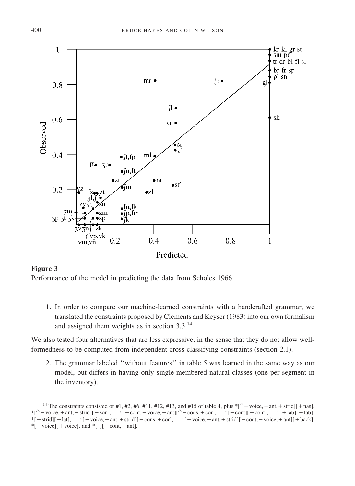

# **Figure 3**

Performance of the model in predicting the data from Scholes 1966

1. In order to compare our machine-learned constraints with a handcrafted grammar, we translated the constraints proposed by Clements and Keyser (1983) into our own formalism and assigned them weights as in section 3.3.<sup>14</sup>

We also tested four alternatives that are less expressive, in the sense that they do not allow wellformedness to be computed from independent cross-classifying constraints (section 2.1).

2. The grammar labeled ''without features'' in table 5 was learned in the same way as our model, but differs in having only single-membered natural classes (one per segment in the inventory).

<sup>&</sup>lt;sup>14</sup> The constraints consisted of #1, #2, #6, #11, #12, #13, and #15 of table 4, plus  $*[\sqrt{-v} \cdot \text{v} \cdot \text{v} + \text{ant}, + \text{strid}][+ \text{nas}],$  $*[\wedge -\text{voice},+\text{ant},+\text{strid}]][-\text{son}],$   $*[+\text{cont},-\text{voice},-\text{ant}]]\wedge -\text{cons},+\text{cor}],$   $*[+\text{cont}]]+\text{cont}],$   $*[+\text{lab}]]+\text{lab},$  $*[-\text{strid}]] + \text{lat}],$   $*[-\text{voice},+\text{ant},+\text{strid}]] - \text{cons},+\text{cor}],$   $*[-\text{voice},+\text{ant},+\text{strid}]] - \text{cont},-\text{voice},+\text{ant}]] + \text{back}],$  $*[-\text{voice}]] + \text{voice}$ , and  $*[$  ][-cont,-ant].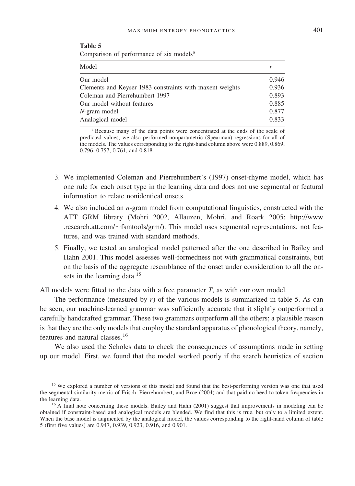**Table 5**

| Comparison of performance of six models <sup>a</sup>     |       |  |  |  |  |  |  |
|----------------------------------------------------------|-------|--|--|--|--|--|--|
| Model                                                    |       |  |  |  |  |  |  |
| Our model                                                | 0.946 |  |  |  |  |  |  |
| Clements and Keyser 1983 constraints with maxent weights | 0.936 |  |  |  |  |  |  |
| Coleman and Pierrehumbert 1997                           | 0.893 |  |  |  |  |  |  |
| Our model without features                               | 0.885 |  |  |  |  |  |  |
| $N$ -gram model                                          | 0.877 |  |  |  |  |  |  |
| Analogical model                                         | 0.833 |  |  |  |  |  |  |

<sup>a</sup> Because many of the data points were concentrated at the ends of the scale of predicted values, we also performed nonparametric (Spearman) regressions for all of the models. The values corresponding to the right-hand column above were 0.889, 0.869, 0.796, 0.757, 0.761, and 0.818.

- 3. We implemented Coleman and Pierrehumbert's (1997) onset-rhyme model, which has one rule for each onset type in the learning data and does not use segmental or featural information to relate nonidentical onsets.
- 4. We also included an *n*-gram model from computational linguistics, constructed with the ATT GRM library (Mohri 2002, Allauzen, Mohri, and Roark 2005; http://www .research.att.com/~fsmtools/grm/). This model uses segmental representations, not features, and was trained with standard methods.
- 5. Finally, we tested an analogical model patterned after the one described in Bailey and Hahn 2001. This model assesses well-formedness not with grammatical constraints, but on the basis of the aggregate resemblance of the onset under consideration to all the onsets in the learning data.<sup>15</sup>

All models were fitted to the data with a free parameter *T*, as with our own model.

The performance (measured by *r*) of the various models is summarized in table 5. As can be seen, our machine-learned grammar was sufficiently accurate that it slightly outperformed a carefully handcrafted grammar. These two grammars outperform all the others; a plausible reason is that they are the only models that employ the standard apparatus of phonological theory, namely, features and natural classes.<sup>16</sup>

We also used the Scholes data to check the consequences of assumptions made in setting up our model. First, we found that the model worked poorly if the search heuristics of section

<sup>&</sup>lt;sup>15</sup> We explored a number of versions of this model and found that the best-performing version was one that used the segmental similarity metric of Frisch, Pierrehumbert, and Broe (2004) and that paid no heed to token frequencies in the learning data.<br><sup>16</sup> A final note concerning these models. Bailey and Hahn (2001) suggest that improvements in modeling can be

obtained if constraint-based and analogical models are blended. We find that this is true, but only to a limited extent. When the base model is augmented by the analogical model, the values corresponding to the right-hand column of table 5 (first five values) are 0.947, 0.939, 0.923, 0.916, and 0.901.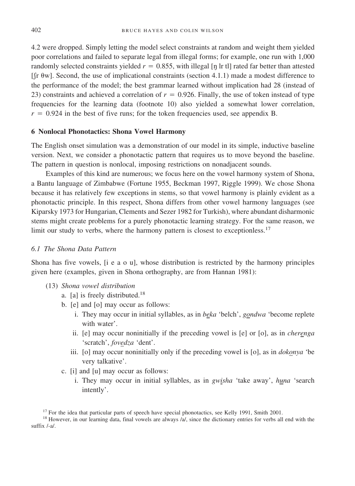4.2 were dropped. Simply letting the model select constraints at random and weight them yielded poor correlations and failed to separate legal from illegal forms; for example, one run with 1,000 randomly selected constraints yielded  $r = 0.855$ , with illegal [ $\eta$  lr tl] rated far better than attested  $[\int r \theta w]$ . Second, the use of implicational constraints (section 4.1.1) made a modest difference to the performance of the model; the best grammar learned without implication had 28 (instead of 23) constraints and achieved a correlation of  $r = 0.926$ . Finally, the use of token instead of type frequencies for the learning data (footnote 10) also yielded a somewhat lower correlation,  $r = 0.924$  in the best of five runs; for the token frequencies used, see appendix B.

#### **6 Nonlocal Phonotactics: Shona Vowel Harmony**

The English onset simulation was a demonstration of our model in its simple, inductive baseline version. Next, we consider a phonotactic pattern that requires us to move beyond the baseline. The pattern in question is nonlocal, imposing restrictions on nonadjacent sounds.

Examples of this kind are numerous; we focus here on the vowel harmony system of Shona, a Bantu language of Zimbabwe (Fortune 1955, Beckman 1997, Riggle 1999). We chose Shona because it has relatively few exceptions in stems, so that vowel harmony is plainly evident as a phonotactic principle. In this respect, Shona differs from other vowel harmony languages (see Kiparsky 1973 for Hungarian, Clements and Sezer 1982 for Turkish), where abundant disharmonic stems might create problems for a purely phonotactic learning strategy. For the same reason, we limit our study to verbs, where the harmony pattern is closest to exceptionless.<sup>17</sup>

#### *6.1 The Shona Data Pattern*

Shona has five vowels, [i e a o u], whose distribution is restricted by the harmony principles given here (examples, given in Shona orthography, are from Hannan 1981):

- (13) *Shona vowel distribution*
	- a. [a] is freely distributed.<sup>18</sup>
	- b. [e] and [o] may occur as follows:
		- i. They may occur in initial syllables, as in *beka* 'belch', *gondwa* 'become replete with water'.
		- ii. [e] may occur noninitially if the preceding vowel is [e] or [o], as in *cherenga* 'scratch', *fovedza* 'dent'.
		- iii. [o] may occur noninitially only if the preceding vowel is [o], as in *dokonya* 'be very talkative'.
	- c. [i] and [u] may occur as follows:
		- i. They may occur in initial syllables, as in *gwisha* 'take away', *huna* 'search intently'.

<sup>&</sup>lt;sup>17</sup> For the idea that particular parts of speech have special phonotactics, see Kelly 1991, Smith 2001. <sup>18</sup> However, in our learning data, final vowels are always /a/, since the dictionary entries for verbs all end with suffix /-a/.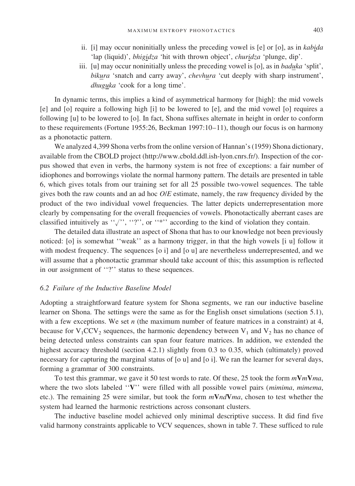- ii. [i] may occur noninitially unless the preceding vowel is [e] or [o], as in *kabida* 'lap (liquid)', *bhigidza* 'hit with thrown object', *churidza* 'plunge, dip'.
- iii. [u] may occur noninitially unless the preceding vowel is [o], as in *baduka* 'split', *bikura* 'snatch and carry away', *chevhura* 'cut deeply with sharp instrument', *dhuguka* 'cook for a long time'.

In dynamic terms, this implies a kind of asymmetrical harmony for [high]: the mid vowels [e] and [o] require a following high [i] to be lowered to [e], and the mid vowel [o] requires a following [u] to be lowered to [o]. In fact, Shona suffixes alternate in height in order to conform to these requirements (Fortune 1955:26, Beckman 1997:10–11), though our focus is on harmony as a phonotactic pattern.

We analyzed 4,399 Shona verbs from the online version of Hannan's (1959) Shona dictionary, available from the CBOLD project (http://www.cbold.ddl.ish-lyon.cnrs.fr/). Inspection of the corpus showed that even in verbs, the harmony system is not free of exceptions: a fair number of idiophones and borrowings violate the normal harmony pattern. The details are presented in table 6, which gives totals from our training set for all 25 possible two-vowel sequences. The table gives both the raw counts and an ad hoc *O*/*E* estimate, namely, the raw frequency divided by the product of the two individual vowel frequencies. The latter depicts underrepresentation more clearly by compensating for the overall frequencies of vowels. Phonotactically aberrant cases are classified intuitively as " $\langle$ "', "?", or "\*"' according to the kind of violation they contain.

The detailed data illustrate an aspect of Shona that has to our knowledge not been previously noticed: [o] is somewhat ''weak'' as a harmony trigger, in that the high vowels [i u] follow it with modest frequency. The sequences [o i] and [o u] are nevertheless underrepresented, and we will assume that a phonotactic grammar should take account of this; this assumption is reflected in our assignment of "?" status to these sequences.

#### *6.2 Failure of the Inductive Baseline Model*

Adopting a straightforward feature system for Shona segments, we ran our inductive baseline learner on Shona. The settings were the same as for the English onset simulations (section 5.1), with a few exceptions. We set *n* (the maximum number of feature matrices in a constraint) at 4, because for  $V_1$ CCV<sub>2</sub> sequences, the harmonic dependency between  $V_1$  and  $V_2$  has no chance of being detected unless constraints can span four feature matrices. In addition, we extended the highest accuracy threshold (section 4.2.1) slightly from 0.3 to 0.35, which (ultimately) proved necessary for capturing the marginal status of [o u] and [o i]. We ran the learner for several days, forming a grammar of 300 constraints.

To test this grammar, we gave it 50 test words to rate. Of these, 25 took the form  $m\mathbf{V}m\mathbf{V}$ *ma*, where the two slots labeled ''**V**'' were filled with all possible vowel pairs (*mimima*, *mimema*, etc.). The remaining 25 were similar, but took the form *m***V***nd***V***ma*, chosen to test whether the system had learned the harmonic restrictions across consonant clusters.

The inductive baseline model achieved only minimal descriptive success. It did find five valid harmony constraints applicable to VCV sequences, shown in table 7. These sufficed to rule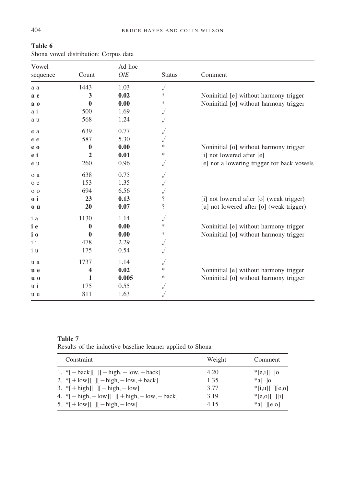| Vowel          |                | Ad hoc |                          |                                            |
|----------------|----------------|--------|--------------------------|--------------------------------------------|
| sequence       | Count          | O/E    | <b>Status</b>            | Comment                                    |
| a a            | 1443           | 1.03   | $\sqrt{}$                |                                            |
| a e            | 3              | 0.02   | ∗                        | Noninitial [e] without harmony trigger     |
| a <sub>0</sub> | $\mathbf{0}$   | 0.00   | ∗                        | Noninitial [o] without harmony trigger     |
| a i            | 500            | 1.69   | $\sqrt{}$                |                                            |
| a u            | 568            | 1.24   |                          |                                            |
| e a            | 639            | 0.77   | $\sqrt{}$                |                                            |
| e e            | 587            | 5.30   | $\sqrt{}$                |                                            |
| e o            | $\bf{0}$       | 0.00   | ∗                        | Noninitial [o] without harmony trigger     |
| e i            | $\overline{2}$ | 0.01   | ∗                        | [i] not lowered after [e]                  |
| e u            | 260            | 0.96   |                          | [e] not a lowering trigger for back vowels |
| o a            | 638            | 0.75   | $\sqrt{}$                |                                            |
| o e            | 153            | 1.35   | $\sqrt{}$                |                                            |
| 0 <sub>0</sub> | 694            | 6.56   |                          |                                            |
| 0 i            | 23             | 0.13   | $\overline{\mathcal{L}}$ | [i] not lowered after [o] (weak trigger)   |
| 0 <sub>u</sub> | 20             | 0.07   | $\overline{\mathcal{L}}$ | [u] not lowered after [o] (weak trigger)   |
| i a            | 1130           | 1.14   | $\sqrt{}$                |                                            |
| i e            | 0              | 0.00   | ∗                        | Noninitial [e] without harmony trigger     |
| i o            | $\mathbf 0$    | 0.00   | ∗                        | Noninitial [o] without harmony trigger     |
| i i            | 478            | 2.29   | $\sqrt{}$                |                                            |
| i u            | 175            | 0.54   | $\sqrt{}$                |                                            |
| u a            | 1737           | 1.14   |                          |                                            |
| u e            | 4              | 0.02   | *                        | Noninitial [e] without harmony trigger     |
| $\mathbf{u}$ o | 1              | 0.005  | *                        | Noninitial [o] without harmony trigger     |
| u i            | 175            | 0.55   |                          |                                            |
| u u            | 811            | 1.63   |                          |                                            |

**Table 6** Shona vowel distribution: Corpus data

# **Table 7**

Results of the inductive baseline learner applied to Shona

| Constraint                                                                        | Weight | Comment                                 |
|-----------------------------------------------------------------------------------|--------|-----------------------------------------|
| 1. $\[-\text{back}]\$ $\left[\right]$ $[-\text{high}, -\text{low}, +\text{back}]$ | 4.20   | $\lvert \cdot \rvert$ [e,i] $\lvert$ [o |
| 2. *[+ $\text{low}$ ][ ][- $\text{high}, -\text{low}, +\text{back}$ ]             | 1.35   | *al lo                                  |
| 3. *[+high][ $ [-high, -low]$ ]                                                   | 3.77   | $ [a,b]$ $ [e,b]$                       |
| 4. * $[-\text{high}, -\text{low}]]$ $[+ \text{high}, -\text{low}, -\text{back}]$  | 3.19   | $E_{\text{e,ol}}$   $\overline{a}$      |
| 5. $\{+\text{low}\}$   $[-\text{high}, -\text{low}]$                              | 4.15   | $a \in \mathbb{R}$ [e,o]                |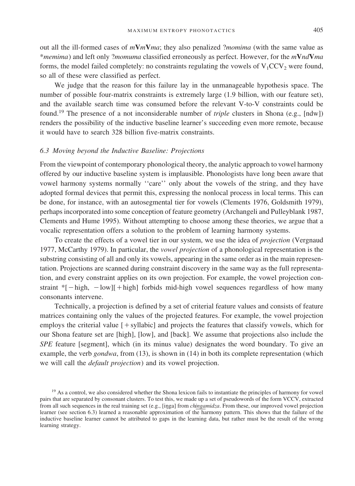out all the ill-formed cases of *m***V***m***V***ma*; they also penalized ?*momima* (with the same value as \**memima*) and left only ?*momuma* classified erroneously as perfect. However, for the *m***V***nd***V***ma* forms, the model failed completely: no constraints regulating the vowels of  $V_1CCV_2$  were found, so all of these were classified as perfect.

We judge that the reason for this failure lay in the unmanageable hypothesis space. The number of possible four-matrix constraints is extremely large (1.9 billion, with our feature set), and the available search time was consumed before the relevant V-to-V constraints could be found.<sup>19</sup> The presence of a not inconsiderable number of *triple* clusters in Shona (e.g., [ndw]) renders the possibility of the inductive baseline learner's succeeding even more remote, because it would have to search 328 billion five-matrix constraints.

#### *6.3 Moving beyond the Inductive Baseline: Projections*

From the viewpoint of contemporary phonological theory, the analytic approach to vowel harmony offered by our inductive baseline system is implausible. Phonologists have long been aware that vowel harmony systems normally ''care'' only about the vowels of the string, and they have adopted formal devices that permit this, expressing the nonlocal process in local terms. This can be done, for instance, with an autosegmental tier for vowels (Clements 1976, Goldsmith 1979), perhaps incorporated into some conception of feature geometry (Archangeli and Pulleyblank 1987, Clements and Hume 1995). Without attempting to choose among these theories, we argue that a vocalic representation offers a solution to the problem of learning harmony systems.

To create the effects of a vowel tier in our system, we use the idea of *projection* (Vergnaud 1977, McCarthy 1979). In particular, the *vowel projection* of a phonological representation is the substring consisting of all and only its vowels, appearing in the same order as in the main representation. Projections are scanned during constraint discovery in the same way as the full representation, and every constraint applies on its own projection. For example, the vowel projection constraint  $*[-high, -low][+high]$  forbids mid-high vowel sequences regardless of how many consonants intervene.

Technically, a projection is defined by a set of criterial feature values and consists of feature matrices containing only the values of the projected features. For example, the vowel projection employs the criterial value  $[+$  syllabic] and projects the features that classify vowels, which for our Shona feature set are [high], [low], and [back]. We assume that projections also include the *SPE* feature [segment], which (in its minus value) designates the word boundary. To give an example, the verb *gondwa*, from (13), is shown in (14) in both its complete representation (which we will call the *default projection*) and its vowel projection.

<sup>&</sup>lt;sup>19</sup> As a control, we also considered whether the Shona lexicon fails to instantiate the principles of harmony for vowel pairs that are separated by consonant clusters. To test this, we made up a set of pseudowords of the form VCCV, extracted from all such sequences in the real training set (e.g., [inga] from *chingamidza*. From these, our improved vowel projection learner (see section 6.3) learned a reasonable approximation of the harmony pattern. This shows that the failure of the inductive baseline learner cannot be attributed to gaps in the learning data, but rather must be the result of the wrong learning strategy.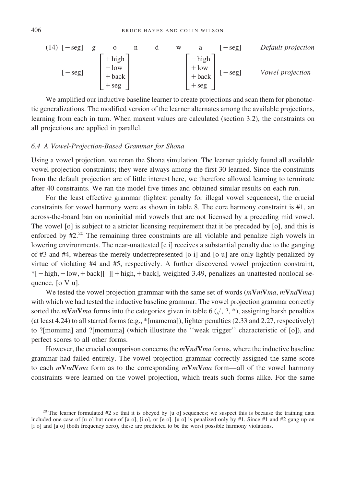(14) 
$$
[-seg]
$$
  $g$   $o$   $n$   $d$   $w$   $a$   $[-seg]$  *Default projection*  
\n $[-seg]$   $[-bg]$   $[-bg]$   $[-bg]$   $[-seg]$   $[-seg]$   $[-seg]$   $[-seg]$   $[-seg]$   $[-seg]$   $[-seg]$   $[-seg]$   $[-seg]$   $[-seg]$   $[-seg]$   $[-seg]$   $[-seg]$   $[-seg]$   $[-seg]$   $[-seg]$   $[-seg]$   $[-g]$   $[-g]$   $[-g]$   $[-g]$   $[-g]$   $[-g]$   $[-g]$   $[-g]$   $[-g]$   $[-g]$   $[-g]$   $[-g]$   $[-g]$   $[-g]$   $[-g]$   $[-g]$   $[-g]$   $[-g]$   $[-g]$   $[-g]$   $[-g]$   $[-g]$   $[-g]$   $[-g]$   $[-g]$   $[-g]$   $[-g]$   $[-g]$   $[-g]$   $[-g]$   $[-g]$   $[-g]$   $[-g]$   $[-g]$   $[-g]$   $[-g]$   $[-g]$   $[-g]$   $[-g]$   $[-g]$   $[-g]$   $[-g]$   $[-g]$   $[-g]$   $[-g]$   $[-g]$   $[-g]$   $[-g]$   $[-g]$   $[-g]$   $[-g]$   $[-g]$   $[-g]$   $[-g]$   $[-g]$   $[-g]$   $[-g]$   $[-g]$   $[-g]$   $[-g]$   $[-g]$   $[-g]$   $[-g]$   $[-g]$   $[-g]$   $[-g]$ 

We amplified our inductive baseline learner to create projections and scan them for phonotactic generalizations. The modified version of the learner alternates among the available projections, learning from each in turn. When maxent values are calculated (section 3.2), the constraints on all projections are applied in parallel.

#### *6.4 A Vowel-Projection-Based Grammar for Shona*

Using a vowel projection, we reran the Shona simulation. The learner quickly found all available vowel projection constraints; they were always among the first 30 learned. Since the constraints from the default projection are of little interest here, we therefore allowed learning to terminate after 40 constraints. We ran the model five times and obtained similar results on each run.

For the least effective grammar (lightest penalty for illegal vowel sequences), the crucial constraints for vowel harmony were as shown in table 8. The core harmony constraint is #1, an across-the-board ban on noninitial mid vowels that are not licensed by a preceding mid vowel. The vowel [o] is subject to a stricter licensing requirement that it be preceded by [o], and this is enforced by  $#2<sup>20</sup>$  The remaining three constraints are all violable and penalize high vowels in lowering environments. The near-unattested [e i] receives a substantial penalty due to the ganging of #3 and #4, whereas the merely underrepresented [o i] and [o u] are only lightly penalized by virtue of violating #4 and #5, respectively. A further discovered vowel projection constraint,  $*[-high,-low,+back]$ [ ][  $+ high, + back]$ , weighted 3.49, penalizes an unattested nonlocal sequence, [o V u].

We tested the vowel projection grammar with the same set of words (*m***V***m***V***ma*, *m***V***nd***V***ma*) with which we had tested the inductive baseline grammar. The vowel projection grammar correctly sorted the  $m\textbf{V}m\textbf{V}$ *ma* forms into the categories given in table 6 ( $\sqrt{$ , ?, \*), assigning harsh penalties (at least 4.24) to all starred forms (e.g., \*[mamema]), lighter penalties (2.33 and 2.27, respectively) to ?[momima] and ?[momuma] (which illustrate the ''weak trigger'' characteristic of [o]), and perfect scores to all other forms.

However, the crucial comparison concerns the *m***V***nd***V***ma* forms, where the inductive baseline grammar had failed entirely. The vowel projection grammar correctly assigned the same score to each *m***V***nd***V***ma* form as to the corresponding *m***V***m***V***ma* form—all of the vowel harmony constraints were learned on the vowel projection, which treats such forms alike. For the same

<sup>&</sup>lt;sup>20</sup> The learner formulated #2 so that it is obeyed by [u o] sequences; we suspect this is because the training data included one case of [u o] but none of [a o], [i o], or [e o]. [u o] is penalized only by #1. Since #1 and #2 gang up on [i o] and [a o] (both frequency zero), these are predicted to be the worst possible harmony violations.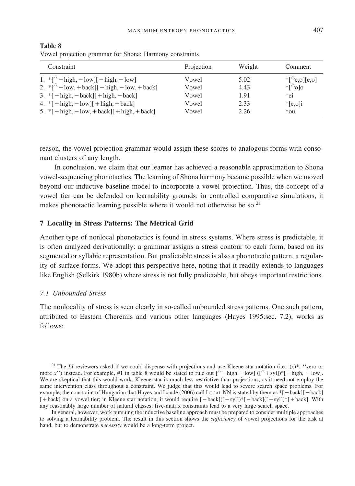| Constraint                                                                      | Projection | Weight | Comment                |
|---------------------------------------------------------------------------------|------------|--------|------------------------|
| 1. $\binom{*}{\text{-}}$ high, $-\text{low}$ $[-\text{high}, -\text{low}]$      | Vowel      | 5.02   | $\sqrt[*]{e, o}$ [e,o] |
| 2. $\sqrt[*]{$ - low, + back][ - high, - low, + back]                           | Vowel      | 4.43   | $\sqrt[*]{\circ}$ lo   |
| $3.$ *[ $-$ high, $-$ back][ $+$ high, $-$ back]                                | Vowel      | 1.91   | *ei                    |
| 4. $\[-parallel]$ - high, $-\text{low}$   + high, $-\text{back}$ ]              | Vowel      | 2.33   | $E_{\text{e,}o}$       |
| 5. * $[-\text{high}, -\text{low}, +\text{back}]$ $[+\text{high}, +\text{back}]$ | Vowel      | 2.26   | $*_{\text{OU}}$        |

**Table 8** Vowel projection grammar for Shona: Harmony constraints

reason, the vowel projection grammar would assign these scores to analogous forms with consonant clusters of any length.

In conclusion, we claim that our learner has achieved a reasonable approximation to Shona vowel-sequencing phonotactics. The learning of Shona harmony became possible when we moved beyond our inductive baseline model to incorporate a vowel projection. Thus, the concept of a vowel tier can be defended on learnability grounds: in controlled comparative simulations, it makes phonotactic learning possible where it would not otherwise be so. $^{21}$ 

#### **7 Locality in Stress Patterns: The Metrical Grid**

Another type of nonlocal phonotactics is found in stress systems. Where stress is predictable, it is often analyzed derivationally: a grammar assigns a stress contour to each form, based on its segmental or syllabic representation. But predictable stress is also a phonotactic pattern, a regularity of surface forms. We adopt this perspective here, noting that it readily extends to languages like English (Selkirk 1980b) where stress is not fully predictable, but obeys important restrictions.

#### *7.1 Unbounded Stress*

The nonlocality of stress is seen clearly in so-called unbounded stress patterns. One such pattern, attributed to Eastern Cheremis and various other languages (Hayes 1995:sec. 7.2), works as follows:

<sup>21</sup> The *LI* reviewers asked if we could dispense with projections and use Kleene star notation (i.e.,  $(x)$ <sup>\*</sup>, ''zero or more x'') instead. For example, #1 in table 8 would be stated to rule out  $[\wedge - \text{high}, -\text{low}]$  ( $[\wedge + \text{syl}]\$ \*[-high, -low]. We are skeptical that this would work. Kleene star is much less restrictive than projections, as it need not employ the same intervention class throughout a constraint. We judge that this would lead to severe search space problems. For example, the constraint of Hungarian that Hayes and Londe (2006) call Local NN is stated by them as  $*[-\text{back}][-\text{back}]$  $[-\text{back}]$  on a vowel tier; in Kleene star notation, it would require  $[-\text{back}]$  $[-\text{syl}]$ )\* $[-\text{back}]$  $(-\text{syl}]$ )\*[ $+\text{back}]$ . With any reasonably large number of natural classes, five-matrix constraints lead to a very large search space.

In general, however, work pursuing the inductive baseline approach must be prepared to consider multiple approaches to solving a learnability problem. The result in this section shows the *sufficiency* of vowel projections for the task at hand, but to demonstrate *necessity* would be a long-term project.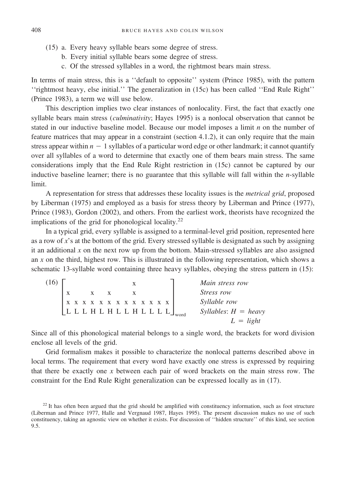- (15) a. Every heavy syllable bears some degree of stress.
	- b. Every initial syllable bears some degree of stress.
	- c. Of the stressed syllables in a word, the rightmost bears main stress.

In terms of main stress, this is a ''default to opposite'' system (Prince 1985), with the pattern ''rightmost heavy, else initial.'' The generalization in (15c) has been called ''End Rule Right'' (Prince 1983), a term we will use below.

This description implies two clear instances of nonlocality. First, the fact that exactly one syllable bears main stress (*culminativity*; Hayes 1995) is a nonlocal observation that cannot be stated in our inductive baseline model. Because our model imposes a limit *n* on the number of feature matrices that may appear in a constraint (section 4.1.2), it can only require that the main stress appear within  $n - 1$  syllables of a particular word edge or other landmark; it cannot quantify over all syllables of a word to determine that exactly one of them bears main stress. The same considerations imply that the End Rule Right restriction in (15c) cannot be captured by our inductive baseline learner; there is no guarantee that this syllable will fall within the *n*-syllable limit.

A representation for stress that addresses these locality issues is the *metrical grid*, proposed by Liberman (1975) and employed as a basis for stress theory by Liberman and Prince (1977), Prince (1983), Gordon (2002), and others. From the earliest work, theorists have recognized the implications of the grid for phonological locality.<sup>22</sup>

In a typical grid, every syllable is assigned to a terminal-level grid position, represented here as a row of *x*'s at the bottom of the grid. Every stressed syllable is designated as such by assigning it an additional  $x$  on the next row up from the bottom. Main-stressed syllables are also assigned an *x* on the third, highest row. This is illustrated in the following representation, which shows a schematic 13-syllable word containing three heavy syllables, obeying the stress pattern in (15):

| (16) |                                                                                                |  |     |  |  |  |  |               | Main stress row        |
|------|------------------------------------------------------------------------------------------------|--|-----|--|--|--|--|---------------|------------------------|
|      |                                                                                                |  | X X |  |  |  |  |               | <i>Stress row</i>      |
|      | $\begin{array}{ccccccccccccc}\nX & X & X & X & X & X & X & X & X & X & X & X & X\n\end{array}$ |  |     |  |  |  |  |               | Syllable row           |
|      |                                                                                                |  |     |  |  |  |  | LLLHLHLLHLLLL | Syllables: $H =$ heavy |
|      |                                                                                                |  |     |  |  |  |  |               | $L = light$            |

Since all of this phonological material belongs to a single word, the brackets for word division enclose all levels of the grid.

Grid formalism makes it possible to characterize the nonlocal patterns described above in local terms. The requirement that every word have exactly one stress is expressed by requiring that there be exactly one *x* between each pair of word brackets on the main stress row. The constraint for the End Rule Right generalization can be expressed locally as in (17).

 $22$  It has often been argued that the grid should be amplified with constituency information, such as foot structure (Liberman and Prince 1977, Halle and Vergnaud 1987, Hayes 1995). The present discussion makes no use of such constituency, taking an agnostic view on whether it exists. For discussion of ''hidden structure'' of this kind, see section 9.5.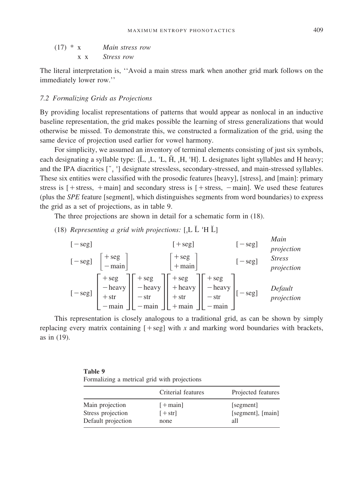$$
(17) * x
$$
 *Main stress row*  

$$
x x
$$
 *Stress row*

The literal interpretation is, ''Avoid a main stress mark when another grid mark follows on the immediately lower row.''

#### *7.2 Formalizing Grids as Projections*

By providing localist representations of patterns that would appear as nonlocal in an inductive baseline representation, the grid makes possible the learning of stress generalizations that would otherwise be missed. To demonstrate this, we constructed a formalization of the grid, using the same device of projection used earlier for vowel harmony.

For simplicity, we assumed an inventory of terminal elements consisting of just six symbols, each designating a syllable type: {L, ,L, 'L, H, ,H, 'H}. L designates light syllables and H heavy; and the IPA diacritics [ i ] designate stressless, secondary-stressed, and main-stressed syllables. These six entities were classified with the prosodic features [heavy], [stress], and [main]: primary stress is  $[ +$  stress,  $+$  main] and secondary stress is  $[ +$  stress,  $-$  main]. We used these features (plus the *SPE* feature [segment], which distinguishes segments from word boundaries) to express the grid as a set of projections, as in table 9.

The three projections are shown in detail for a schematic form in (18).

# (18) Representing a grid with projections:  $[L L H L]$

$$
[-seg]
$$
\n
$$
[-seg]
$$
\n
$$
[-seg]
$$
\n
$$
[-seg]
$$
\n
$$
[-seg]
$$
\n
$$
[-seg]
$$
\n
$$
[-seg]
$$
\n
$$
[-seg]
$$
\n
$$
[-seg]
$$
\n
$$
[-seg]
$$
\n
$$
[-seg]
$$
\n
$$
[-seg]
$$
\n
$$
[-ag]
$$
\n
$$
[-ag]
$$
\n
$$
[-ag]
$$
\n
$$
[-ag]
$$
\n
$$
[-ag]
$$
\n
$$
[-ag]
$$
\n
$$
[-ag]
$$
\n
$$
[-ag]
$$
\n
$$
[-ag]
$$
\n
$$
[-ag]
$$
\n
$$
[-ag]
$$
\n
$$
[-ag]
$$
\n
$$
[-ag]
$$
\n
$$
[-ag]
$$
\n
$$
[-ag]
$$
\n
$$
[-ag]
$$
\n
$$
[-ag]
$$
\n
$$
[-ag]
$$
\n
$$
[-ag]
$$
\n
$$
[-ag]
$$
\n
$$
[-ag]
$$
\n
$$
[-ag]
$$
\n
$$
[-ag]
$$
\n
$$
[-ag]
$$
\n
$$
[-ag]
$$
\n
$$
[-ag]
$$
\n
$$
[-ag]
$$
\n
$$
[-ag]
$$
\n
$$
[-ag]
$$
\n
$$
[-ag]
$$
\n
$$
[-ag]
$$
\n
$$
[-ag]
$$
\n
$$
[-ag]
$$
\n
$$
[-ag]
$$
\n
$$
[-ag]
$$
\n
$$
[-ag]
$$
\n
$$
[-ag]
$$
\n
$$
[-ag]
$$
\n
$$
[-ag]
$$
\n
$$
[-ag]
$$
\n
$$
[-ag]
$$
\n
$$
[-ag]
$$
\n
$$
[-ag]
$$
\n
$$
[-ag]
$$
\n
$$
[-ag]
$$
\n
$$
[-ag]
$$
\n
$$
[-ag]
$$
\n
$$
[-ag]
$$
\n
$$
[-ag]
$$
\n
$$
[-ag]
$$
\n
$$
[-ag]
$$
\n
$$
[-ag]
$$

This representation is closely analogous to a traditional grid, as can be shown by simply replacing every matrix containing  $[+seg]$  with *x* and marking word boundaries with brackets, as in (19).

| Table 9                                      |  |  |
|----------------------------------------------|--|--|
| Formalizing a metrical grid with projections |  |  |

|                    | Criterial features | Projected features |
|--------------------|--------------------|--------------------|
| Main projection    | $[+$ main]         | [segment]          |
| Stress projection  | $[+str]$           | [segment], [main]  |
| Default projection | none               | all                |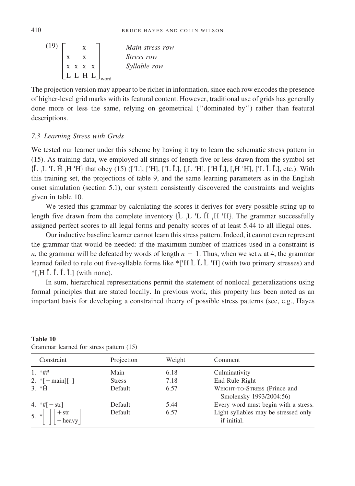(19)  $\begin{bmatrix} x \\ x \\ x \\ x \\ x \\ x \\ x \end{bmatrix}$ x x x x x x  $\begin{bmatrix} x & x \\ x & x & x \\ L & L & H & L \end{bmatrix}_{word}$ *Main stress row Stress row Syllable row*

The projection version may appear to be richer in information, since each row encodes the presence of higher-level grid marks with its featural content. However, traditional use of grids has generally done more or less the same, relying on geometrical (''dominated by'') rather than featural descriptions.

#### *7.3 Learning Stress with Grids*

We tested our learner under this scheme by having it try to learn the schematic stress pattern in (15). As training data, we employed all strings of length five or less drawn from the symbol set  $\{ \check{L}, L \check{L}, H \check{H} \}$  that obey (15) (['L], ['H], ['L Ľ], [,L 'H], ['H Ľ], [,H 'H], ['L Ľ Ľ], etc.). With this training set, the projections of table 9, and the same learning parameters as in the English onset simulation (section 5.1), our system consistently discovered the constraints and weights given in table 10.

We tested this grammar by calculating the scores it derives for every possible string up to length five drawn from the complete inventory  ${L L L H H H}$ . The grammar successfully assigned perfect scores to all legal forms and penalty scores of at least 5.44 to all illegal ones.

Our inductive baseline learner cannot learn this stress pattern. Indeed, it cannot even represent the grammar that would be needed: if the maximum number of matrices used in a constraint is *n*, the grammar will be defeated by words of length  $n + 1$ . Thus, when we set *n* at 4, the grammar learned failed to rule out five-syllable forms like \*['H  $\check{L}$   $\check{L}$  'H] (with two primary stresses) and  $*$ [H  $\check{L}$   $\check{L}$   $\check{L}$ ] (with none).

In sum, hierarchical representations permit the statement of nonlocal generalizations using formal principles that are stated locally. In previous work, this property has been noted as an important basis for developing a constrained theory of possible stress patterns (see, e.g., Hayes

| Constraint                                               | Projection    | Weight | Comment                                                 |
|----------------------------------------------------------|---------------|--------|---------------------------------------------------------|
| $1. * ##$                                                | Main          | 6.18   | Culminativity                                           |
| 2. $*$ [+main][]                                         | <b>Stress</b> | 7.18   | End Rule Right                                          |
| 3. $*H$                                                  | Default       | 6.57   | WEIGHT-TO-STRESS (Prince and<br>Smolensky 1993/2004:56) |
| 4. $*#[-str]$                                            | Default       | 5.44   | Every word must begin with a stress.                    |
| 5. $\ast$ $\begin{bmatrix} +str \\ -heavy \end{bmatrix}$ | Default       | 6.57   | Light syllables may be stressed only<br>if initial.     |

**Table 10** Grammar learned for stress pattern (15)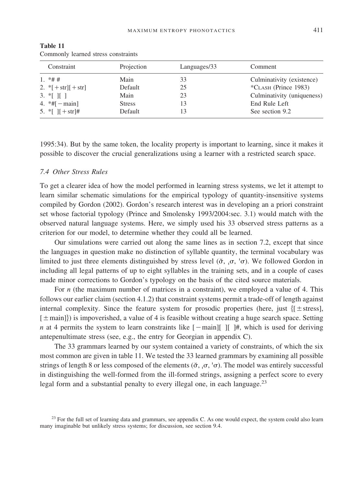| Constraint                        | Projection    | Languages/33 | Comment                    |
|-----------------------------------|---------------|--------------|----------------------------|
| $1 * # #$                         | Main          | 33           | Culminativity (existence)  |
| 2. $\sqrt[*]{ + str}$ [+str]      | Default       | 25           | *CLASH (Prince 1983)       |
| 3. $*$ [ ][ ]                     | Main          | 23           | Culminativity (uniqueness) |
| 4. $*$ #[ $-$ main]               | <b>Stress</b> | 13           | End Rule Left              |
| 5. * $\lceil$   $\lceil$ + str  # | Default       | 13           | See section 9.2            |

**Table 11** Commonly learned stress constraints

1995:34). But by the same token, the locality property is important to learning, since it makes it possible to discover the crucial generalizations using a learner with a restricted search space.

#### *7.4 Other Stress Rules*

To get a clearer idea of how the model performed in learning stress systems, we let it attempt to learn similar schematic simulations for the empirical typology of quantity-insensitive systems compiled by Gordon (2002). Gordon's research interest was in developing an a priori constraint set whose factorial typology (Prince and Smolensky 1993/2004:sec. 3.1) would match with the observed natural language systems. Here, we simply used his 33 observed stress patterns as a criterion for our model, to determine whether they could all be learned.

Our simulations were carried out along the same lines as in section 7.2, except that since the languages in question make no distinction of syllable quantity, the terminal vocabulary was limited to just three elements distinguished by stress level  $(\check{\sigma}, \rho, \check{\sigma})$ . We followed Gordon in including all legal patterns of up to eight syllables in the training sets, and in a couple of cases made minor corrections to Gordon's typology on the basis of the cited source materials.

For *n* (the maximum number of matrices in a constraint), we employed a value of 4. This follows our earlier claim (section 4.1.2) that constraint systems permit a trade-off of length against internal complexity. Since the feature system for prosodic properties (here, just  $\{f \pm \text{stress}\}\$ ,  $[\pm \text{main}]$  is impoverished, a value of 4 is feasible without creating a huge search space. Setting *n* at 4 permits the system to learn constraints like  $[-\text{main}]$  [ ]#, which is used for deriving antepenultimate stress (see, e.g., the entry for Georgian in appendix C).

The 33 grammars learned by our system contained a variety of constraints, of which the six most common are given in table 11. We tested the 33 learned grammars by examining all possible strings of length 8 or less composed of the elements  $(\sigma, \rho, \sigma')$ . The model was entirely successful in distinguishing the well-formed from the ill-formed strings, assigning a perfect score to every legal form and a substantial penalty to every illegal one, in each language.<sup>23</sup>

<sup>&</sup>lt;sup>23</sup> For the full set of learning data and grammars, see appendix C. As one would expect, the system could also learn many imaginable but unlikely stress systems; for discussion, see section 9.4.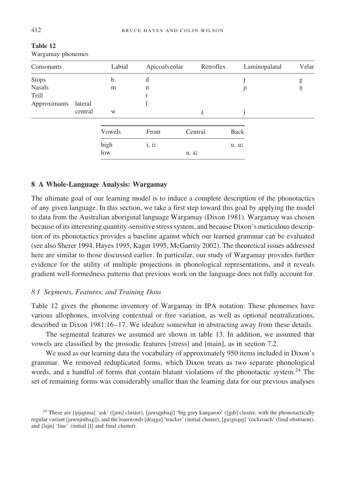| Consonants    |         | Labial | Apicoalveolar | Retroflex | Laminopalatal | Velar |
|---------------|---------|--------|---------------|-----------|---------------|-------|
| Stops         |         | b      | d             |           | $\ddagger$    | g     |
| <b>Nasals</b> |         | m      | n             |           | Jı            | ŋ     |
| Trill         |         |        | r             |           |               |       |
| Approximants  | lateral |        |               |           |               |       |
|               | central | W      |               | J.        |               |       |
|               |         | Vowels | Front         | Central   | Back          |       |
|               |         | high   | i, ii         |           | u, ur         |       |
|               |         | low    |               | a, ar     |               |       |

**Table 12** Wargamay phonemes

#### **8 A Whole-Language Analysis: Wargamay**

The ultimate goal of our learning model is to induce a complete description of the phonotactics of any given language. In this section, we take a first step toward this goal by applying the model to data from the Australian aboriginal language Wargamay (Dixon 1981). Wargamay was chosen because of its interesting quantity-sensitive stress system, and because Dixon's meticulous description of its phonotactics provides a baseline against which our learned grammar can be evaluated (see also Sherer 1994, Hayes 1995, Kager 1995, McGarrity 2002). The theoretical issues addressed here are similar to those discussed earlier. In particular, our study of Wargamay provides further evidence for the utility of multiple projections in phonological representations, and it reveals gradient well-formedness patterns that previous work on the language does not fully account for.

#### *8.1 Segments, Features, and Training Data*

Table 12 gives the phoneme inventory of Wargamay in IPA notation. These phonemes have various allophones, involving contextual or free variation, as well as optional neutralizations, described in Dixon 1981:16–17. We idealize somewhat in abstracting away from these details.

The segmental features we assumed are shown in table 13. In addition, we assumed that vowels are classified by the prosodic features [stress] and [main], as in section 7.2.

We used as our learning data the vocabulary of approximately 950 items included in Dixon's grammar. We removed reduplicated forms, which Dixon treats as two separate phonological words, and a handful of forms that contain blatant violations of the phonotactic system.<sup>24</sup> The set of remaining forms was considerably smaller than the learning data for our previous analyses

<sup>&</sup>lt;sup>24</sup> These are [ŋijaɲma] 'ask' ([nm] cluster), [jawujnba $\pi$ ] 'big grey kangaroo' ([jnb] cluster, with the phonotactically regular variant [jawujmba.ji]), and the loanwords [drajga] 'tracker' (initial cluster), [ga:guɪu̩] 'cockroach' (final obstruent), and [lajn] 'line' (initial [l] and final cluster).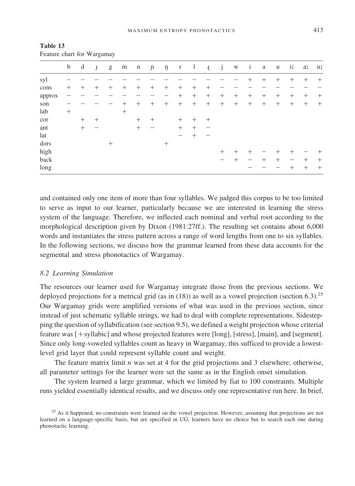|        | $\mathbf b$ | d      | $\mathbf{f}$ | g      | m      | n      | $\mathfrak n$ | ŋ      | $\mathbf{r}$ | $\perp$ | J.     | j      | W      | $\mathbf{i}$ | a      | $\mathbf u$ | in     | a:     | ur     |
|--------|-------------|--------|--------------|--------|--------|--------|---------------|--------|--------------|---------|--------|--------|--------|--------------|--------|-------------|--------|--------|--------|
| syl    |             |        |              |        |        |        |               |        |              |         |        |        |        |              | $^+$   | $^+$        | $^+$   | $^{+}$ | $^{+}$ |
| cons   | $^{+}$      | $^{+}$ | $^+$         | $^{+}$ | $^{+}$ | $^{+}$ | $^{+}$        | $^{+}$ | $^{+}$       | $^{+}$  | $^{+}$ |        |        |              |        |             |        |        |        |
| approx |             |        |              |        |        |        |               |        | $^{+}$       | $^{+}$  | $^{+}$ | $^{+}$ | $^{+}$ | $^{+}$       | $^{+}$ | $^{+}$      | $^{+}$ | $^{+}$ | $^{+}$ |
| son    |             |        |              |        | $^{+}$ | $^{+}$ | $^{+}$        | $^{+}$ | $^{+}$       | $^{+}$  | $^{+}$ | $+$    | $^{+}$ | $^{+}$       | $^{+}$ | $^{+}$      | $^{+}$ | $^{+}$ | $^{+}$ |
| lab    | $^{+}$      |        |              |        | $^{+}$ |        |               |        |              |         |        |        |        |              |        |             |        |        |        |
| cor    |             | $^{+}$ | $^{+}$       |        |        | $^{+}$ | $^{+}$        |        | $^{+}$       | $^{+}$  | $^{+}$ |        |        |              |        |             |        |        |        |
| ant    |             | $^{+}$ |              |        |        | $^{+}$ |               |        | $^{+}$       | $^{+}$  |        |        |        |              |        |             |        |        |        |
| lat    |             |        |              |        |        |        |               |        |              | +       |        |        |        |              |        |             |        |        |        |
| dors   |             |        |              | $^{+}$ |        |        |               | $^{+}$ |              |         |        |        |        |              |        |             |        |        |        |
| high   |             |        |              |        |        |        |               |        |              |         |        | $^{+}$ | $^+$   |              |        | 十           | $^+$   |        | $^+$   |
| back   |             |        |              |        |        |        |               |        |              |         |        |        | $^+$   |              | $^{+}$ | $^{+}$      | -      | $^{+}$ | $^{+}$ |
| long   |             |        |              |        |        |        |               |        |              |         |        |        |        |              |        |             | $^{+}$ | $^{+}$ | $^{+}$ |

**Table 13** Feature chart for Wargamay

and contained only one item of more than four syllables. We judged this corpus to be too limited to serve as input to our learner, particularly because we are interested in learning the stress system of the language. Therefore, we inflected each nominal and verbal root according to the morphological description given by Dixon (1981:27ff.). The resulting set contains about 6,000 words and instantiates the stress pattern across a range of word lengths from one to six syllables. In the following sections, we discuss how the grammar learned from these data accounts for the segmental and stress phonotactics of Wargamay.

#### *8.2 Learning Simulation*

The resources our learner used for Wargamay integrate those from the previous sections. We deployed projections for a metrical grid (as in  $(18)$ ) as well as a vowel projection (section 6.3).<sup>25</sup> Our Wargamay grids were amplified versions of what was used in the previous section, since instead of just schematic syllable strings, we had to deal with complete representations. Sidestepping the question of syllabification (see section 9.5), we defined a weight projection whose criterial feature was [+ syllabic] and whose projected features were [long], [stress], [main], and [segment]. Since only long-voweled syllables count as heavy in Wargamay, this sufficed to provide a lowestlevel grid layer that could represent syllable count and weight.

The feature matrix limit *n* was set at 4 for the grid projections and 3 elsewhere; otherwise, all parameter settings for the learner were set the same as in the English onset simulation.

The system learned a large grammar, which we limited by fiat to 100 constraints. Multiple runs yielded essentially identical results, and we discuss only one representative run here. In brief,

<sup>&</sup>lt;sup>25</sup> As it happened, no constraints were learned on the vowel projection. However, assuming that projections are not learned on a language-specific basis, but are specified in UG, learners have no choice but to search each one during phonotactic learning.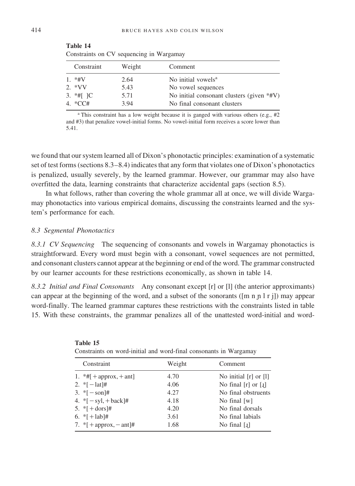| Constraint      | Weight | Comment                                   |
|-----------------|--------|-------------------------------------------|
| $1. * HV$       | 2.64   | No initial vowels <sup>a</sup>            |
| 2. $*VV$        | 5.43   | No vowel sequences                        |
| 3. $*$ #[ $ C $ | 5.71   | No initial consonant clusters (given *#V) |
| 4. *CC#         | 3.94   | No final consonant clusters               |

| Table 14                                 |  |  |
|------------------------------------------|--|--|
| Constraints on CV sequencing in Wargamay |  |  |

<sup>a</sup> This constraint has a low weight because it is ganged with various others (e.g., #2 and #3) that penalize vowel-initial forms. No vowel-initial form receives a score lower than 5.41.

we found that our system learned all of Dixon's phonotactic principles: examination of a systematic set of test forms (sections 8.3–8.4) indicates that any form that violates one of Dixon's phonotactics is penalized, usually severely, by the learned grammar. However, our grammar may also have overfitted the data, learning constraints that characterize accidental gaps (section 8.5).

In what follows, rather than covering the whole grammar all at once, we will divide Wargamay phonotactics into various empirical domains, discussing the constraints learned and the system's performance for each.

#### *8.3 Segmental Phonotactics*

**Table 14**

*8.3.1 CV Sequencing* The sequencing of consonants and vowels in Wargamay phonotactics is straightforward. Every word must begin with a consonant, vowel sequences are not permitted, and consonant clusters cannot appear at the beginning or end of the word. The grammar constructed by our learner accounts for these restrictions economically, as shown in table 14.

*8.3.2 Initial and Final Consonants* Any consonant except [r] or [l] (the anterior approximants) can appear at the beginning of the word, and a subset of the sonorants ( $[m n n l r j]$ ) may appear word-finally. The learned grammar captures these restrictions with the constraints listed in table 15. With these constraints, the grammar penalizes all of the unattested word-initial and word-

| Constraints on word-initial and word-final consonants in warganiay |        |                            |  |  |  |  |  |
|--------------------------------------------------------------------|--------|----------------------------|--|--|--|--|--|
| Constraint                                                         | Weight | Comment                    |  |  |  |  |  |
| 1. $*#$ [ + approx, + ant]                                         | 4.70   | No initial [r] or [l]      |  |  |  |  |  |
| 2. * $[-\text{lat}]$ #                                             | 4.06   | No final $[r]$ or $[i]$    |  |  |  |  |  |
| 3. * $[-\text{son}]$ #                                             | 4.27   | No final obstruents        |  |  |  |  |  |
| 4. * $[-syl, +back]$ #                                             | 4.18   | No final $[w]$             |  |  |  |  |  |
| 5. * $[ + \text{dors}]$ #                                          | 4.20   | No final dorsals           |  |  |  |  |  |
| 6. * $[+ \text{lab}]$ #                                            | 3.61   | No final labials           |  |  |  |  |  |
| 7. * $[ +$ approx, $-$ ant $]$ #                                   | 1.68   | No final $\lceil 1 \rceil$ |  |  |  |  |  |

| Table 15                                                          |  |  |  |
|-------------------------------------------------------------------|--|--|--|
| Constraints on word-initial and word-final consonants in Wargamay |  |  |  |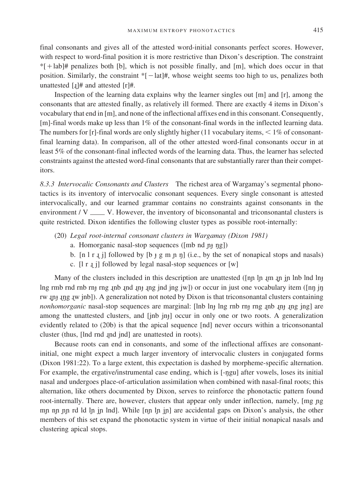final consonants and gives all of the attested word-initial consonants perfect scores. However, with respect to word-final position it is more restrictive than Dixon's description. The constraint  $*$ [+lab]# penalizes both [b], which is not possible finally, and [m], which does occur in that position. Similarly, the constraint  $\epsilon$ [-lat]#, whose weight seems too high to us, penalizes both unattested  $[j]$ # and attested  $[r]$ #.

Inspection of the learning data explains why the learner singles out [m] and [r], among the consonants that are attested finally, as relatively ill formed. There are exactly 4 items in Dixon's vocabulary that end in [m], and none of the inflectional affixes end in this consonant. Consequently, [m]-final words make up less than 1% of the consonant-final words in the inflected learning data. The numbers for [r]-final words are only slightly higher (11 vocabulary items,  $\leq 1\%$  of consonantfinal learning data). In comparison, all of the other attested word-final consonants occur in at least 5% of the consonant-final inflected words of the learning data. Thus, the learner has selected constraints against the attested word-final consonants that are substantially rarer than their competitors.

*8.3.3 Intervocalic Consonants and Clusters* The richest area of Wargamay's segmental phonotactics is its inventory of intervocalic consonant sequences. Every single consonant is attested intervocalically, and our learned grammar contains no constraints against consonants in the environment /  $V_{\text{max}}$  V. However, the inventory of biconsonantal and triconsonantal clusters is quite restricted. Dixon identifies the following cluster types as possible root-internally:

- (20) *Legal root-internal consonant clusters in Wargamay (Dixon 1981)*
	- a. Homorganic nasal-stop sequences ( $[mb nd p<sub>1</sub> n<sub>g</sub>]\$
	- b.  $[n \mid r \mid i]$  followed by  $[b + g \mid m \mid n]$  (i.e., by the set of nonapical stops and nasals)
	- c.  $[1 r j]$  followed by legal nasal-stop sequences or  $[w]$

Many of the clusters included in this description are unattested ( $\lceil \text{np} \ln \text{pn} \rceil$  in  $\lceil \text{np} \ln \text{nn} \rceil$ ) lng rmb rnd rnb rn $_{\text{I}}$  rng  $_{\text{I}}$ nd  $_{\text{I}}$ ng jnd jng jw]) or occur in just one vocabulary item ([n $_{\text{I}}$  j $_{\text{II}}$ rw  $j$ n ing  $j$ w jnb]). A generalization not noted by Dixon is that triconsonantal clusters containing *nonhomorganic* nasal-stop sequences are marginal: [lnb ln] lng rnb rnj rng *inb inj ing jng]* are among the unattested clusters, and [jnb jn<sub>j</sub>] occur in only one or two roots. A generalization evidently related to (20b) is that the apical sequence [nd] never occurs within a triconsonantal cluster (thus, [lnd rnd ˙nd jnd] are unattested in roots).

Because roots can end in consonants, and some of the inflectional affixes are consonantinitial, one might expect a much larger inventory of intervocalic clusters in conjugated forms (Dixon 1981:22). To a large extent, this expectation is dashed by morpheme-specific alternation. For example, the ergative/instrumental case ending, which is  $[-\eta gu]$  after vowels, loses its initial nasal and undergoes place-of-articulation assimilation when combined with nasal-final roots; this alternation, like others documented by Dixon, serves to reinforce the phonotactic pattern found root-internally. There are, however, clusters that appear only under inflection, namely, [mg ng mp nn nn nn d ld ln in lnd]. While [nn ln in] are accidental gaps on Dixon's analysis, the other members of this set expand the phonotactic system in virtue of their initial nonapical nasals and clustering apical stops.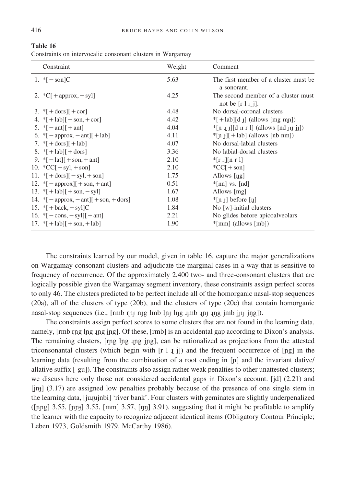| 11V      |  |  |
|----------|--|--|
|          |  |  |
| Table 16 |  |  |

| Constraints on intervocalic consonant clusters in Wargamay |  |  |  |
|------------------------------------------------------------|--|--|--|
|                                                            |  |  |  |

| Constraint                                                                  | Weight | Comment                                                   |
|-----------------------------------------------------------------------------|--------|-----------------------------------------------------------|
| 1. $\sqrt[*]{-}$ son $ C $                                                  | 5.63   | The first member of a cluster must be.<br>a sonorant.     |
| 2. $\mathcal{C}$ [ + approx, - syl]                                         | 4.25   | The second member of a cluster must<br>not be $[r 1 j]$ . |
| 3. $ [ + \text{dors}   + \text{cor}]$                                       | 4.48   | No dorsal-coronal clusters                                |
| 4. $\{ \cdot  +  ab   - \text{son}, + \text{cor} \}$                        | 4.42   | $*$ [+lab][d $_{\text{f}}$ ] (allows [mg mn])             |
| 5. $\sqrt[*]{[-\text{ant}][+\text{ant}]}$                                   | 4.04   | $*[p_1]$ [d n r l] (allows [nd n+ j+])                    |
| 6. * $[-approx, -ant][ + lab]$                                              | 4.11   | $*[n_j]$ [+lab] (allows [nb nm])                          |
| 7. $\sqrt[8]{1 + \text{dors}}$ [ + lab]                                     | 4.07   | No dorsal-labial clusters                                 |
| 8. $ [+1ab][+dors]$                                                         | 3.36   | No labial-dorsal clusters                                 |
| 9. $\sqrt[8]{1}$ - lat <sub>1</sub> + son, + ant <sub>1</sub>               | 2.10   | $\frac{1}{2}$ [r .j][n r l]                               |
| 10. ${}^*CC[-syl, +son]$                                                    | 2.10   | ${}^{\ast}CC[+son]$                                       |
| 11. $\{ + \text{dors} \}$ [ $ - syl, + \text{son}$ ]                        | 1.75   | Allows [ng]                                               |
| 12. $\{[-\text{approx}]\}$ + son, + ant                                     | 0.51   | $*$ [nn] vs. [nd]                                         |
| 13. * $[+$ lab] $[+$ son, $-$ syl]                                          | 1.67   | Allows [mg]                                               |
| 14. $\sqrt{\frac{2}{1}}$ - approx, - ant $\sqrt{\frac{2}{1}}$ + son, + dors | 1.08   | $\vert n \vert$ before [n]                                |
| 15. $\mathbf{F} + \text{back} - \text{syl}$ C                               | 1.84   | No [w]-initial clusters                                   |
| 16. * $[-\text{cons}, -\text{sy}]\;$ + ant ]                                | 2.21   | No glides before apicoal veolars                          |
| 17. * $[+$ lab $]$ $[+$ son, $+$ lab $]$                                    | 1.90   | $*$ [mm] (allows [mb])                                    |

The constraints learned by our model, given in table 16, capture the major generalizations on Wargamay consonant clusters and adjudicate the marginal cases in a way that is sensitive to frequency of occurrence. Of the approximately 2,400 two- and three-consonant clusters that are logically possible given the Wargamay segment inventory, these constraints assign perfect scores to only 46. The clusters predicted to be perfect include all of the homorganic nasal-stop sequences (20a), all of the clusters of type (20b), and the clusters of type (20c) that contain homorganic nasal-stop sequences (i.e., [rmb rn+ rng lmb ln+ lng 1mb 1n+ 1ng jmb jn+ jng]).

The constraints assign perfect scores to some clusters that are not found in the learning data, namely,  $[rmb$  rng lng  $\mu$ g ing]. Of these,  $[rmb]$  is an accidental gap according to Dixon's analysis. The remaining clusters, [rng lng |ng |ng], can be rationalized as projections from the attested triconsonantal clusters (which begin with  $[r 1 j]$ ) and the frequent occurrence of  $[ng]$  in the learning data (resulting from the combination of a root ending in  $[n]$  and the invariant dative/ allative suffix [-gu]). The constraints also assign rather weak penalties to other unattested clusters; we discuss here only those not considered accidental gaps in Dixon's account. [jd] (2.21) and  $[in<sub>i</sub>]$  (3.17) are assigned low penalties probably because of the presence of one single stem in the learning data, [jutujnbi] 'river bank'. Four clusters with geminates are slightly underpenalized  $([png] 3.55, [nny] 3.55, [mm] 3.57, [nny] 3.91)$ , suggesting that it might be profitable to amplify the learner with the capacity to recognize adjacent identical items (Obligatory Contour Principle; Leben 1973, Goldsmith 1979, McCarthy 1986).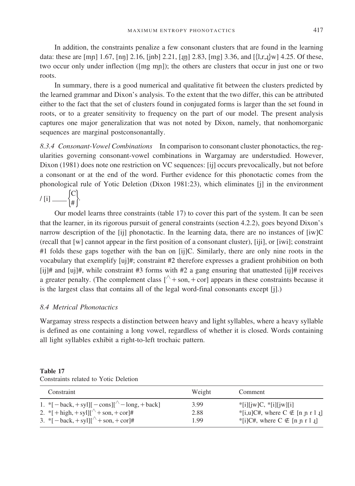In addition, the constraints penalize a few consonant clusters that are found in the learning data: these are [mn] 1.67, [nn] 2.16, [jnb] 2.21, [ $\mu$ ] 2.83, [mg] 3.36, and [ $\{l,r,t\}$ w] 4.25. Of these, two occur only under inflection ([mg m<sub>p</sub>]); the others are clusters that occur in just one or two roots.

In summary, there is a good numerical and qualitative fit between the clusters predicted by the learned grammar and Dixon's analysis. To the extent that the two differ, this can be attributed either to the fact that the set of clusters found in conjugated forms is larger than the set found in roots, or to a greater sensitivity to frequency on the part of our model. The present analysis captures one major generalization that was not noted by Dixon, namely, that nonhomorganic sequences are marginal postconsonantally.

*8.3.4 Consonant-Vowel Combinations* In comparison to consonant cluster phonotactics, the regularities governing consonant-vowel combinations in Wargamay are understudied. However, Dixon (1981) does note one restriction on VC sequences: [ij] occurs prevocalically, but not before a consonant or at the end of the word. Further evidence for this phonotactic comes from the phonological rule of Yotic Deletion (Dixon 1981:23), which eliminates [j] in the environment

Í / [i]  $\_\_\_\_\_\_\_\$ 

Our model learns three constraints (table 17) to cover this part of the system. It can be seen that the learner, in its rigorous pursuit of general constraints (section 4.2.2), goes beyond Dixon's narrow description of the [ij] phonotactic. In the learning data, there are no instances of [iw]C (recall that [w] cannot appear in the first position of a consonant cluster), [iji], or [iwi]; constraint #1 folds these gaps together with the ban on [ij]C. Similarly, there are only nine roots in the vocabulary that exemplify [uj]#; constraint #2 therefore expresses a gradient prohibition on both  $[i]$ # and  $[i]$ #, while constraint #3 forms with #2 a gang ensuring that unattested  $[i]$ # receives a greater penalty. (The complement class  $\lceil \wedge + \text{son}, + \text{cor} \rceil$  appears in these constraints because it is the largest class that contains all of the legal word-final consonants except [j].)

#### *8.4 Metrical Phonotactics*

Wargamay stress respects a distinction between heavy and light syllables, where a heavy syllable is defined as one containing a long vowel, regardless of whether it is closed. Words containing all light syllables exhibit a right-to-left trochaic pattern.

| וחו |  |
|-----|--|
|-----|--|

| Constraint                                                                                    | Weight | Comment                              |
|-----------------------------------------------------------------------------------------------|--------|--------------------------------------|
| 1. * $[-\text{back}, +\text{syl}]]$ $[-\text{cons}]]^{\wedge}$ $[-\text{long}, +\text{back}]$ | 3.99   | $*$ [i][jw]C, $*$ [i][jw][i]         |
| 2. * [ + high, + syl][ $^{\wedge}$ + son, + cor]#                                             | 2.88   | *[i,u]C#, where $C \notin [n n r 1]$ |
| 3. * $[-\text{back}, +\text{syll}]^{\wedge}$ + son, + cor  #                                  | 1.99   | *[i]C#, where $C \notin [n n r l]$   |

Constraints related to Yotic Deletion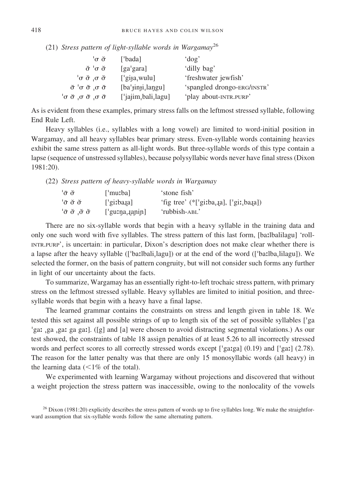(21) *Stress pattern of light-syllable words in Wargamay*<sup>26</sup>

| $\sigma \breve{\sigma}$                                 | ['bada]                                      | $'$ dog'                    |
|---------------------------------------------------------|----------------------------------------------|-----------------------------|
| $\check{\sigma}$ 'σ $\check{\sigma}$                    | [ga'gara]                                    | 'dilly bag'                 |
| $\sigma$ σ σ σ                                          | $['gija$ , wulu]                             | 'freshwater jewfish'        |
| $\check{\sigma}$ 'σ $\check{\sigma}$ σ $\check{\sigma}$ | [ba'jinji,langu]                             | 'spangled drongo-ERG/INSTR' |
| $\sigma$ σ σ σ σ σ σ                                    | ['jajim <sub>i</sub> bali <sub>i</sub> lagu] | 'play about-INTR.PURP'      |

As is evident from these examples, primary stress falls on the leftmost stressed syllable, following End Rule Left.

Heavy syllables (i.e., syllables with a long vowel) are limited to word-initial position in Wargamay, and all heavy syllables bear primary stress. Even-syllable words containing heavies exhibit the same stress pattern as all-light words. But three-syllable words of this type contain a lapse (sequence of unstressed syllables), because polysyllabic words never have final stress (Dixon 1981:20).

(22) *Stress pattern of heavy-syllable words in Wargamay*

| ்சு ச   | ['muːba]            | 'stone fish'                                                                                |
|---------|---------------------|---------------------------------------------------------------------------------------------|
| 'σσσ    | $\lceil$ 'giːba.ja] | 'fig tree' (*['giːba <sub>r</sub> . <sub>l</sub> a], ['giː <sub>r</sub> ba <sub>l</sub> a]) |
| 'στσιστ | ['gurna, qgpin]     | 'rubbish-ABL'                                                                               |

There are no six-syllable words that begin with a heavy syllable in the training data and only one such word with five syllables. The stress pattern of this last form, [balbalilagu] 'roll-INTR.PURP', is uncertain: in particular, Dixon's description does not make clear whether there is a lapse after the heavy syllable (['baːlbali<sub>1</sub>lagu]) or at the end of the word (['baːlba<sub>1</sub>lilagu]). We selected the former, on the basis of pattern congruity, but will not consider such forms any further in light of our uncertainty about the facts.

To summarize, Wargamay has an essentially right-to-left trochaic stress pattern, with primary stress on the leftmost stressed syllable. Heavy syllables are limited to initial position, and threesyllable words that begin with a heavy have a final lapse.

The learned grammar contains the constraints on stress and length given in table 18. We tested this set against all possible strings of up to length six of the set of possible syllables ['ga 'gat ga gat ga gat]. ([g] and [a] were chosen to avoid distracting segmental violations.) As our test showed, the constraints of table 18 assign penalties of at least 5.26 to all incorrectly stressed words and perfect scores to all correctly stressed words except ['gatga]  $(0.19)$  and ['gat]  $(2.78)$ . The reason for the latter penalty was that there are only 15 monosyllabic words (all heavy) in the learning data  $\left($  < 1% of the total).

We experimented with learning Wargamay without projections and discovered that without a weight projection the stress pattern was inaccessible, owing to the nonlocality of the vowels

 $^{26}$  Dixon (1981:20) explicitly describes the stress pattern of words up to five syllables long. We make the straightforward assumption that six-syllable words follow the same alternating pattern.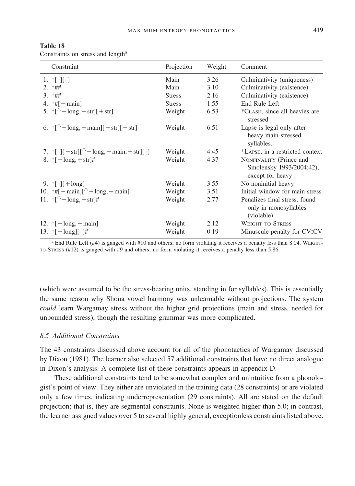| Constraint                                                                                                                                                                                                    | Projection    | Weight | Comment                                                                 |
|---------------------------------------------------------------------------------------------------------------------------------------------------------------------------------------------------------------|---------------|--------|-------------------------------------------------------------------------|
| 1. $\mathbb{K}$ II 1                                                                                                                                                                                          | Main          | 3.26   | Culminativity (uniqueness)                                              |
| $2. *##$                                                                                                                                                                                                      | Main          | 3.10   | Culminativity (existence)                                               |
| $3. *##$                                                                                                                                                                                                      | <b>Stress</b> | 2.16   | Culminativity (existence)                                               |
| 4. $*$ #[ $-$ main]                                                                                                                                                                                           | <b>Stress</b> | 1.55   | End Rule Left                                                           |
| 5. * $\lbrack$ <sup><math>\wedge</math></sup> - long, - str][ + str]                                                                                                                                          | Weight        | 6.53   | *CLASH, since all heavies are<br>stressed                               |
| 6. * $[\sqrt{+} \text{long}, + \text{main}] [-\text{str}] [-\text{str}]$                                                                                                                                      | Weight        | 6.51   | Lapse is legal only after<br>heavy main-stressed<br>syllables.          |
| 7. * $\left[ \left[ -\text{str} \right] \right]$ $\left[ -\text{snr} \right]$ $\left[ -\text{lnr} \right]$ , $\left[ -\text{lnr} \right]$ , $\left[ \left[ \left[ \left[ -\text{str} \right] \right] \right]$ | Weight        | 4.45   | *LAPSE, in a restricted context                                         |
| 8. * $[-\text{long}, +\text{str}]$ #                                                                                                                                                                          | Weight        | 4.37   | NONFINALITY (Prince and<br>Smolensky 1993/2004:42),<br>except for heavy |
| 9. * $\lceil + \log \rceil$                                                                                                                                                                                   | Weight        | 3.55   | No noninitial heavy                                                     |
| 10. *#[ $-\text{main}$ ][ $\wedge$ -long, + main]                                                                                                                                                             | Weight        | 3.51   | Initial window for main stress                                          |
| 11. * $\lceil \sqrt[4]{\cdot} - \log \cdot - \text{str} \rceil$ #                                                                                                                                             | Weight        | 2.77   | Penalizes final stress, found<br>only in monosyllables<br>(violable)    |
| 12. $\{+ \text{long}, - \text{main}\}$                                                                                                                                                                        | Weight        | 2.12   | WEIGHT-TO-STRESS                                                        |
| 13. * $[+ \text{long}]$ [ ]#                                                                                                                                                                                  | Weight        | 0.19   | Minuscule penalty for CV:CV                                             |

**Table 18**

Constraints on stress and length<sup>a</sup>

<sup>a</sup> End Rule Left (#4) is ganged with #10 and others; no form violating it receives a penalty less than 8.04. WEIGHT-TO-STRESS (#12) is ganged with #9 and others; no form violating it receives a penalty less than 5.86.

(which were assumed to be the stress-bearing units, standing in for syllables). This is essentially the same reason why Shona vowel harmony was unlearnable without projections. The system *could* learn Wargamay stress without the higher grid projections (main and stress, needed for unbounded stress), though the resulting grammar was more complicated.

#### *8.5 Additional Constraints*

The 43 constraints discussed above account for all of the phonotactics of Wargamay discussed by Dixon (1981). The learner also selected 57 additional constraints that have no direct analogue in Dixon's analysis. A complete list of these constraints appears in appendix D.

These additional constraints tend to be somewhat complex and unintuitive from a phonologist's point of view. They either are unviolated in the training data (28 constraints) or are violated only a few times, indicating underrepresentation (29 constraints). All are stated on the default projection; that is, they are segmental constraints. None is weighted higher than 5.0; in contrast, the learner assigned values over 5 to several highly general, exceptionless constraints listed above.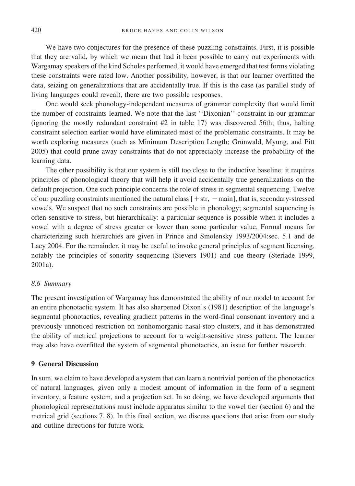We have two conjectures for the presence of these puzzling constraints. First, it is possible that they are valid, by which we mean that had it been possible to carry out experiments with Wargamay speakers of the kind Scholes performed, it would have emerged that test forms violating these constraints were rated low. Another possibility, however, is that our learner overfitted the data, seizing on generalizations that are accidentally true. If this is the case (as parallel study of living languages could reveal), there are two possible responses.

One would seek phonology-independent measures of grammar complexity that would limit the number of constraints learned. We note that the last ''Dixonian'' constraint in our grammar (ignoring the mostly redundant constraint  $#2$  in table 17) was discovered 56th; thus, halting constraint selection earlier would have eliminated most of the problematic constraints. It may be worth exploring measures (such as Minimum Description Length; Grünwald, Myung, and Pitt 2005) that could prune away constraints that do not appreciably increase the probability of the learning data.

The other possibility is that our system is still too close to the inductive baseline: it requires principles of phonological theory that will help it avoid accidentally true generalizations on the default projection. One such principle concerns the role of stress in segmental sequencing. Twelve of our puzzling constraints mentioned the natural class  $[+str, -main]$ , that is, secondary-stressed vowels. We suspect that no such constraints are possible in phonology; segmental sequencing is often sensitive to stress, but hierarchically: a particular sequence is possible when it includes a vowel with a degree of stress greater or lower than some particular value. Formal means for characterizing such hierarchies are given in Prince and Smolensky 1993/2004:sec. 5.1 and de Lacy 2004. For the remainder, it may be useful to invoke general principles of segment licensing, notably the principles of sonority sequencing (Sievers 1901) and cue theory (Steriade 1999, 2001a).

#### *8.6 Summary*

The present investigation of Wargamay has demonstrated the ability of our model to account for an entire phonotactic system. It has also sharpened Dixon's (1981) description of the language's segmental phonotactics, revealing gradient patterns in the word-final consonant inventory and a previously unnoticed restriction on nonhomorganic nasal-stop clusters, and it has demonstrated the ability of metrical projections to account for a weight-sensitive stress pattern. The learner may also have overfitted the system of segmental phonotactics, an issue for further research.

#### **9 General Discussion**

In sum, we claim to have developed a system that can learn a nontrivial portion of the phonotactics of natural languages, given only a modest amount of information in the form of a segment inventory, a feature system, and a projection set. In so doing, we have developed arguments that phonological representations must include apparatus similar to the vowel tier (section 6) and the metrical grid (sections 7, 8). In this final section, we discuss questions that arise from our study and outline directions for future work.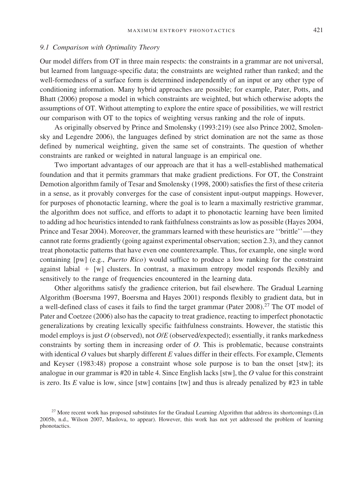#### *9.1 Comparison with Optimality Theory*

Our model differs from OT in three main respects: the constraints in a grammar are not universal, but learned from language-specific data; the constraints are weighted rather than ranked; and the well-formedness of a surface form is determined independently of an input or any other type of conditioning information. Many hybrid approaches are possible; for example, Pater, Potts, and Bhatt (2006) propose a model in which constraints are weighted, but which otherwise adopts the assumptions of OT. Without attempting to explore the entire space of possibilities, we will restrict our comparison with OT to the topics of weighting versus ranking and the role of inputs.

As originally observed by Prince and Smolensky (1993:219) (see also Prince 2002, Smolensky and Legendre 2006), the languages defined by strict domination are not the same as those defined by numerical weighting, given the same set of constraints. The question of whether constraints are ranked or weighted in natural language is an empirical one.

Two important advantages of our approach are that it has a well-established mathematical foundation and that it permits grammars that make gradient predictions. For OT, the Constraint Demotion algorithm family of Tesar and Smolensky (1998, 2000) satisfies the first of these criteria in a sense, as it provably converges for the case of consistent input-output mappings. However, for purposes of phonotactic learning, where the goal is to learn a maximally restrictive grammar, the algorithm does not suffice, and efforts to adapt it to phonotactic learning have been limited to adding ad hoc heuristics intended to rank faithfulness constraints as low as possible (Hayes 2004, Prince and Tesar 2004). Moreover, the grammars learned with these heuristics are ''brittle''—they cannot rate forms gradiently (going against experimental observation; section 2.3), and they cannot treat phonotactic patterns that have even one counterexample. Thus, for example, one single word containing [pw] (e.g., *Puerto Rico*) would suffice to produce a low ranking for the constraint against labial  $+$  [w] clusters. In contrast, a maximum entropy model responds flexibly and sensitively to the range of frequencies encountered in the learning data.

Other algorithms satisfy the gradience criterion, but fail elsewhere. The Gradual Learning Algorithm (Boersma 1997, Boersma and Hayes 2001) responds flexibly to gradient data, but in a well-defined class of cases it fails to find the target grammar (Pater 2008).<sup>27</sup> The OT model of Pater and Coetzee (2006) also has the capacity to treat gradience, reacting to imperfect phonotactic generalizations by creating lexically specific faithfulness constraints. However, the statistic this model employs is just *O* (observed), not *O*/*E* (observed/expected); essentially, it ranks markedness constraints by sorting them in increasing order of *O*. This is problematic, because constraints with identical *O* values but sharply different *E* values differ in their effects. For example, Clements and Keyser (1983:48) propose a constraint whose sole purpose is to ban the onset [stw]; its analogue in our grammar is #20 in table 4. Since English lacks [stw], the *O* value for this constraint is zero. Its *E* value is low, since [stw] contains [tw] and thus is already penalized by #23 in table

<sup>&</sup>lt;sup>27</sup> More recent work has proposed substitutes for the Gradual Learning Algorithm that address its shortcomings (Lin 2005b, n.d., Wilson 2007, Maslova, to appear). However, this work has not yet addressed the problem of learning phonotactics.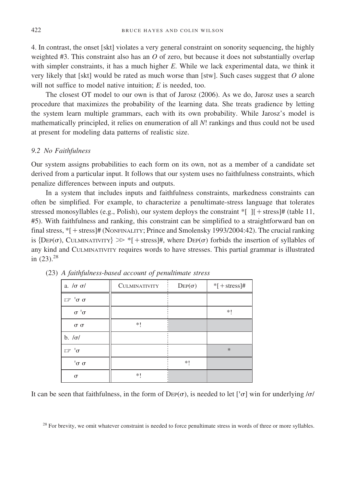4. In contrast, the onset [skt] violates a very general constraint on sonority sequencing, the highly weighted #3. This constraint also has an *O* of zero, but because it does not substantially overlap with simpler constraints, it has a much higher *E*. While we lack experimental data, we think it very likely that [skt] would be rated as much worse than [stw]. Such cases suggest that *O* alone will not suffice to model native intuition; *E* is needed, too.

The closest OT model to our own is that of Jarosz (2006). As we do, Jarosz uses a search procedure that maximizes the probability of the learning data. She treats gradience by letting the system learn multiple grammars, each with its own probability. While Jarosz's model is mathematically principled, it relies on enumeration of all *N*! rankings and thus could not be used at present for modeling data patterns of realistic size.

#### *9.2 No Faithfulness*

Our system assigns probabilities to each form on its own, not as a member of a candidate set derived from a particular input. It follows that our system uses no faithfulness constraints, which penalize differences between inputs and outputs.

In a system that includes inputs and faithfulness constraints, markedness constraints can often be simplified. For example, to characterize a penultimate-stress language that tolerates stressed monosyllables (e.g., Polish), our system deploys the constraint  $*$ [ ][ + stress]# (table 11, #5). With faithfulness and ranking, this constraint can be simplified to a straightforward ban on final stress,  $*$ [ + stress]# (NONFINALITY; Prince and Smolensky 1993/2004:42). The crucial ranking is  $\{\text{Dep}(\sigma), \text{CULMINATIVITY}\} \gg$  \*[ + stress]#, where  $\text{Dep}(\sigma)$  forbids the insertion of syllables of any kind and CULMINATIVITY requires words to have stresses. This partial grammar is illustrated in  $(23).^{28}$ 

| a. $/\sigma \sigma/$                        | <b>CULMINATIVITY</b> | $\mathrm{Dep}(\sigma)$ | $*$ [+stress]# |
|---------------------------------------------|----------------------|------------------------|----------------|
| $\mathbb{E}$ <sup>1</sup> $\sigma$ $\sigma$ |                      |                        |                |
| $\sigma$ <sup><math>\circ</math></sup>      |                      |                        | *!             |
| $\sigma$ $\sigma$                           | *!                   |                        |                |
| $b. / \sigma/$                              |                      |                        |                |
| $\mathbb{F}^{-1}\sigma$                     |                      |                        | $\ast$         |
| $\sigma \sigma$                             |                      | *1                     |                |
| $\sigma$                                    | *1                   |                        |                |

(23) *A faithfulness-based account of penultimate stress*

It can be seen that faithfulness, in the form of  $\text{Der}(\sigma)$ , is needed to let  $[\sigma]$  win for underlying / $\sigma$ /

 $28$  For brevity, we omit whatever constraint is needed to force penultimate stress in words of three or more syllables.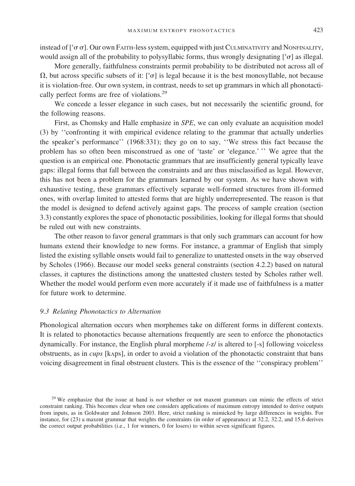instead of  $[$ ' $\sigma$  $\sigma$ ]. Our own FAITH-less system, equipped with just CULMINATIVITY and NONFINALITY, would assign all of the probability to polysyllabic forms, thus wrongly designating  $[{}^{\dagger}\sigma]$  as illegal.

More generally, faithfulness constraints permit probability to be distributed not across all of  $\Omega$ , but across specific subsets of it: [' $\sigma$ ] is legal because it is the best monosyllable, not because it is violation-free. Our own system, in contrast, needs to set up grammars in which all phonotactically perfect forms are free of violations.<sup>29</sup>

We concede a lesser elegance in such cases, but not necessarily the scientific ground, for the following reasons.

First, as Chomsky and Halle emphasize in *SPE*, we can only evaluate an acquisition model (3) by ''confronting it with empirical evidence relating to the grammar that actually underlies the speaker's performance'' (1968:331); they go on to say, ''We stress this fact because the problem has so often been misconstrued as one of 'taste' or 'elegance.' '' We agree that the question is an empirical one. Phonotactic grammars that are insufficiently general typically leave gaps: illegal forms that fall between the constraints and are thus misclassified as legal. However, this has not been a problem for the grammars learned by our system. As we have shown with exhaustive testing, these grammars effectively separate well-formed structures from ill-formed ones, with overlap limited to attested forms that are highly underrepresented. The reason is that the model is designed to defend actively against gaps. The process of sample creation (section 3.3) constantly explores the space of phonotactic possibilities, looking for illegal forms that should be ruled out with new constraints.

The other reason to favor general grammars is that only such grammars can account for how humans extend their knowledge to new forms. For instance, a grammar of English that simply listed the existing syllable onsets would fail to generalize to unattested onsets in the way observed by Scholes (1966). Because our model seeks general constraints (section 4.2.2) based on natural classes, it captures the distinctions among the unattested clusters tested by Scholes rather well. Whether the model would perform even more accurately if it made use of faithfulness is a matter for future work to determine.

#### *9.3 Relating Phonotactics to Alternation*

Phonological alternation occurs when morphemes take on different forms in different contexts. It is related to phonotactics because alternations frequently are seen to enforce the phonotactics dynamically. For instance, the English plural morpheme /-z/ is altered to [-s] following voiceless obstruents, as in *cups* [kAps], in order to avoid a violation of the phonotactic constraint that bans voicing disagreement in final obstruent clusters. This is the essence of the ''conspiracy problem''

<sup>&</sup>lt;sup>29</sup> We emphasize that the issue at hand is *not* whether or not maxent grammars can mimic the effects of strict constraint ranking. This becomes clear when one considers applications of maximum entropy intended to derive outputs from inputs, as in Goldwater and Johnson 2003. Here, strict ranking is mimicked by large differences in weights. For instance, for (23) a maxent grammar that weights the constraints (in order of appearance) at 32.2, 32.2, and 15.6 derives the correct output probabilities (i.e., 1 for winners, 0 for losers) to within seven significant figures.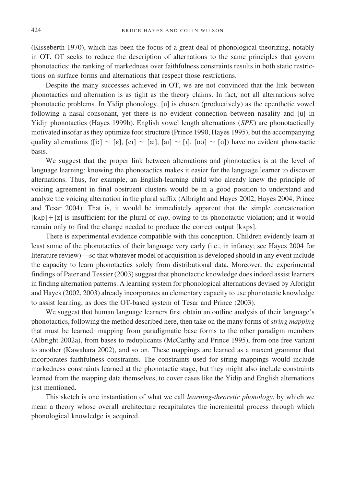(Kisseberth 1970), which has been the focus of a great deal of phonological theorizing, notably in OT. OT seeks to reduce the description of alternations to the same principles that govern phonotactics: the ranking of markedness over faithfulness constraints results in both static restrictions on surface forms and alternations that respect those restrictions.

Despite the many successes achieved in OT, we are not convinced that the link between phonotactics and alternation is as tight as the theory claims. In fact, not all alternations solve phonotactic problems. In Yidin phonology, [u] is chosen (productively) as the epenthetic vowel following a nasal consonant, yet there is no evident connection between nasality and [u] in Yidin phonotactics (Hayes 1999b). English vowel length alternations (*SPE*) are phonotactically motivated insofar as they optimize foot structure (Prince 1990, Hayes 1995), but the accompanying quality alternations ([ii]  $\sim$  [e], [ei]  $\sim$  [æ], [ai]  $\sim$  [i], [ou]  $\sim$  [a]) have no evident phonotactic basis.

We suggest that the proper link between alternations and phonotactics is at the level of language learning: knowing the phonotactics makes it easier for the language learner to discover alternations. Thus, for example, an English-learning child who already knew the principle of voicing agreement in final obstruent clusters would be in a good position to understand and analyze the voicing alternation in the plural suffix (Albright and Hayes 2002, Hayes 2004, Prince and Tesar 2004). That is, it would be immediately apparent that the simple concatenation  $[k\alpha p] + [z]$  is insufficient for the plural of *cup*, owing to its phonotactic violation; and it would remain only to find the change needed to produce the correct output [kAps].

There is experimental evidence compatible with this conception. Children evidently learn at least some of the phonotactics of their language very early (i.e., in infancy; see Hayes 2004 for literature review)—so that whatever model of acquisition is developed should in any event include the capacity to learn phonotactics solely from distributional data. Moreover, the experimental findings of Pater and Tessier (2003) suggest that phonotactic knowledge does indeed assist learners in finding alternation patterns. A learning system for phonological alternations devised by Albright and Hayes (2002, 2003) already incorporates an elementary capacity to use phonotactic knowledge to assist learning, as does the OT-based system of Tesar and Prince (2003).

We suggest that human language learners first obtain an outline analysis of their language's phonotactics, following the method described here, then take on the many forms of *string mapping* that must be learned: mapping from paradigmatic base forms to the other paradigm members (Albright 2002a), from bases to reduplicants (McCarthy and Prince 1995), from one free variant to another (Kawahara 2002), and so on. These mappings are learned as a maxent grammar that incorporates faithfulness constraints. The constraints used for string mappings would include markedness constraints learned at the phonotactic stage, but they might also include constraints learned from the mapping data themselves, to cover cases like the Yidin and English alternations just mentioned.

This sketch is one instantiation of what we call *learning-theoretic phonology*, by which we mean a theory whose overall architecture recapitulates the incremental process through which phonological knowledge is acquired.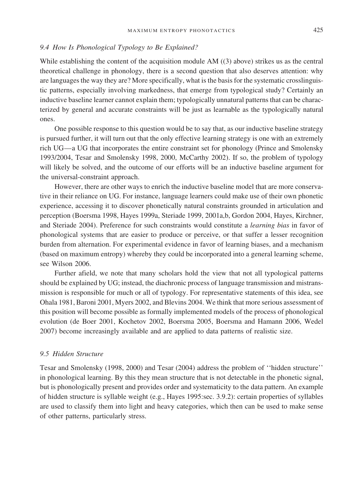#### *9.4 How Is Phonological Typology to Be Explained?*

While establishing the content of the acquisition module AM ((3) above) strikes us as the central theoretical challenge in phonology, there is a second question that also deserves attention: why are languages the way they are? More specifically, what is the basis for the systematic crosslinguistic patterns, especially involving markedness, that emerge from typological study? Certainly an inductive baseline learner cannot explain them; typologically unnatural patterns that can be characterized by general and accurate constraints will be just as learnable as the typologically natural ones.

One possible response to this question would be to say that, as our inductive baseline strategy is pursued further, it will turn out that the only effective learning strategy is one with an extremely rich UG—a UG that incorporates the entire constraint set for phonology (Prince and Smolensky 1993/2004, Tesar and Smolensky 1998, 2000, McCarthy 2002). If so, the problem of typology will likely be solved, and the outcome of our efforts will be an inductive baseline argument for the universal-constraint approach.

However, there are other ways to enrich the inductive baseline model that are more conservative in their reliance on UG. For instance, language learners could make use of their own phonetic experience, accessing it to discover phonetically natural constraints grounded in articulation and perception (Boersma 1998, Hayes 1999a, Steriade 1999, 2001a,b, Gordon 2004, Hayes, Kirchner, and Steriade 2004). Preference for such constraints would constitute a *learning bias* in favor of phonological systems that are easier to produce or perceive, or that suffer a lesser recognition burden from alternation. For experimental evidence in favor of learning biases, and a mechanism (based on maximum entropy) whereby they could be incorporated into a general learning scheme, see Wilson 2006.

Further afield, we note that many scholars hold the view that not all typological patterns should be explained by UG; instead, the diachronic process of language transmission and mistransmission is responsible for much or all of typology. For representative statements of this idea, see Ohala 1981, Baroni 2001, Myers 2002, and Blevins 2004. We think that more serious assessment of this position will become possible as formally implemented models of the process of phonological evolution (de Boer 2001, Kochetov 2002, Boersma 2005, Boersma and Hamann 2006, Wedel 2007) become increasingly available and are applied to data patterns of realistic size.

# *9.5 Hidden Structure*

Tesar and Smolensky (1998, 2000) and Tesar (2004) address the problem of ''hidden structure'' in phonological learning. By this they mean structure that is not detectable in the phonetic signal, but is phonologically present and provides order and systematicity to the data pattern. An example of hidden structure is syllable weight (e.g., Hayes 1995:sec. 3.9.2): certain properties of syllables are used to classify them into light and heavy categories, which then can be used to make sense of other patterns, particularly stress.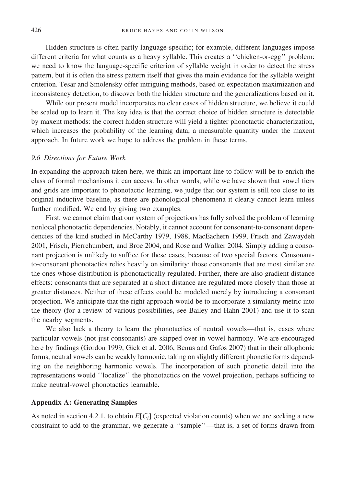Hidden structure is often partly language-specific; for example, different languages impose different criteria for what counts as a heavy syllable. This creates a ''chicken-or-egg'' problem: we need to know the language-specific criterion of syllable weight in order to detect the stress pattern, but it is often the stress pattern itself that gives the main evidence for the syllable weight criterion. Tesar and Smolensky offer intriguing methods, based on expectation maximization and inconsistency detection, to discover both the hidden structure and the generalizations based on it.

While our present model incorporates no clear cases of hidden structure, we believe it could be scaled up to learn it. The key idea is that the correct choice of hidden structure is detectable by maxent methods: the correct hidden structure will yield a tighter phonotactic characterization, which increases the probability of the learning data, a measurable quantity under the maxent approach. In future work we hope to address the problem in these terms.

#### *9.6 Directions for Future Work*

In expanding the approach taken here, we think an important line to follow will be to enrich the class of formal mechanisms it can access. In other words, while we have shown that vowel tiers and grids are important to phonotactic learning, we judge that our system is still too close to its original inductive baseline, as there are phonological phenomena it clearly cannot learn unless further modified. We end by giving two examples.

First, we cannot claim that our system of projections has fully solved the problem of learning nonlocal phonotactic dependencies. Notably, it cannot account for consonant-to-consonant dependencies of the kind studied in McCarthy 1979, 1988, MacEachern 1999, Frisch and Zawaydeh 2001, Frisch, Pierrehumbert, and Broe 2004, and Rose and Walker 2004. Simply adding a consonant projection is unlikely to suffice for these cases, because of two special factors. Consonantto-consonant phonotactics relies heavily on similarity: those consonants that are most similar are the ones whose distribution is phonotactically regulated. Further, there are also gradient distance effects: consonants that are separated at a short distance are regulated more closely than those at greater distances. Neither of these effects could be modeled merely by introducing a consonant projection. We anticipate that the right approach would be to incorporate a similarity metric into the theory (for a review of various possibilities, see Bailey and Hahn 2001) and use it to scan the nearby segments.

We also lack a theory to learn the phonotactics of neutral vowels—that is, cases where particular vowels (not just consonants) are skipped over in vowel harmony. We are encouraged here by findings (Gordon 1999, Gick et al. 2006, Benus and Gafos 2007) that in their allophonic forms, neutral vowels can be weakly harmonic, taking on slightly different phonetic forms depending on the neighboring harmonic vowels. The incorporation of such phonetic detail into the representations would ''localize'' the phonotactics on the vowel projection, perhaps sufficing to make neutral-vowel phonotactics learnable.

#### **Appendix A: Generating Samples**

As noted in section 4.2.1, to obtain  $E[C_i]$  (expected violation counts) when we are seeking a new constraint to add to the grammar, we generate a ''sample''—that is, a set of forms drawn from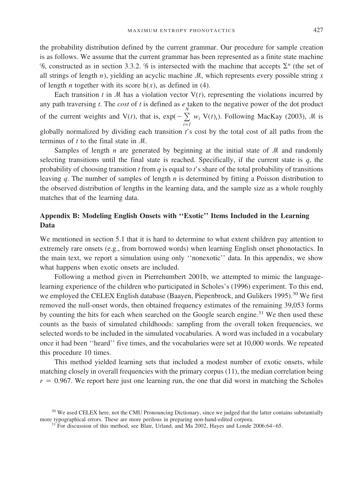the probability distribution defined by the current grammar. Our procedure for sample creation is as follows. We assume that the current grammar has been represented as a finite state machine  $\mathscr G$ , constructed as in section 3.3.2.  $\mathscr G$  is intersected with the machine that accepts  $\Sigma^n$  (the set of all strings of length  $n$ ), yielding an acyclic machine  $M$ , which represents every possible string  $x$ of length *n* together with its score  $h(x)$ , as defined in (4).

Each transition  $t$  in  $M$  has a violation vector  $V(t)$ , representing the violations incurred by any path traversing *t*. The *cost* of *t* is defined as  $e_n$  taken to the negative power of the dot product of the current weights and  $V(t)$ , that is,  $exp(-\sum_{i=1}^{N} w_i V(t)_i)$ . Following MacKay (2003), M is globally normalized by dividing each transition *t*'s cost by the total cost of all paths from the terminus of  $t$  to the final state in  $\mathcal{M}$ .

Samples of length  $n$  are generated by beginning at the initial state of  $M$  and randomly selecting transitions until the final state is reached. Specifically, if the current state is  $q$ , the probability of choosing transition *t* from *q* is equal to *t*'s share of the total probability of transitions leaving *q*. The number of samples of length *n* is determined by fitting a Poisson distribution to the observed distribution of lengths in the learning data, and the sample size as a whole roughly matches that of the learning data.

# **Appendix B: Modeling English Onsets with ''Exotic'' Items Included in the Learning Data**

We mentioned in section 5.1 that it is hard to determine to what extent children pay attention to extremely rare onsets (e.g., from borrowed words) when learning English onset phonotactics. In the main text, we report a simulation using only ''nonexotic'' data. In this appendix, we show what happens when exotic onsets are included.

Following a method given in Pierrehumbert 2001b, we attempted to mimic the languagelearning experience of the children who participated in Scholes's (1996) experiment. To this end, we employed the CELEX English database (Baayen, Piepenbrock, and Gulikers 1995).<sup>30</sup> We first removed the null-onset words, then obtained frequency estimates of the remaining 39,053 forms by counting the hits for each when searched on the Google search engine.<sup>31</sup> We then used these counts as the basis of simulated childhoods: sampling from the overall token frequencies, we selected words to be included in the simulated vocabularies. A word was included in a vocabulary once it had been ''heard'' five times, and the vocabularies were set at 10,000 words. We repeated this procedure 10 times.

This method yielded learning sets that included a modest number of exotic onsets, while matching closely in overall frequencies with the primary corpus (11), the median correlation being  $r = 0.967$ . We report here just one learning run, the one that did worst in matching the Scholes

<sup>&</sup>lt;sup>30</sup> We used CELEX here, not the CMU Pronouncing Dictionary, since we judged that the latter contains substantially more typographical errors. These are more perilous in preparing non-hand-edited corpora.

<sup>&</sup>lt;sup>1</sup> For discussion of this method, see Blair, Urland, and Ma 2002, Hayes and Londe 2006:64–65.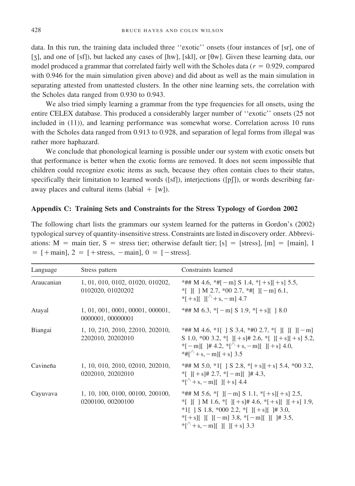data. In this run, the training data included three ''exotic'' onsets (four instances of [sr], one of [ $\overline{z}$ ], and one of [sf]), but lacked any cases of [hw], [skl], or [ $\theta$ w]. Given these learning data, our model produced a grammar that correlated fairly well with the Scholes data  $(r = 0.929$ , compared with 0.946 for the main simulation given above) and did about as well as the main simulation in separating attested from unattested clusters. In the other nine learning sets, the correlation with the Scholes data ranged from 0.930 to 0.943.

We also tried simply learning a grammar from the type frequencies for all onsets, using the entire CELEX database. This produced a considerably larger number of ''exotic'' onsets (25 not included in (11)), and learning performance was somewhat worse. Correlation across 10 runs with the Scholes data ranged from 0.913 to 0.928, and separation of legal forms from illegal was rather more haphazard.

We conclude that phonological learning is possible under our system with exotic onsets but that performance is better when the exotic forms are removed. It does not seem impossible that children could recognize exotic items as such, because they often contain clues to their status, specifically their limitation to learned words ([sf]), interjections ([pf]), or words describing faraway places and cultural items (labial  $+$  [w]).

#### **Appendix C: Training Sets and Constraints for the Stress Typology of Gordon 2002**

The following chart lists the grammars our system learned for the patterns in Gordon's (2002) typological survey of quantity-insensitive stress. Constraints are listed in discovery order. Abbreviations:  $M = \text{main}$  tier,  $S = \text{stress}$  tier; otherwise default tier;  $[s] = [\text{stress}]$ ,  $[m] = [main]$ , 1  $=$  [+main], 2 = [+stress, -main], 0 = [-stress].

| Language   | Stress pattern                                        | Constraints learned                                                                                                                                                                                                                                                                 |
|------------|-------------------------------------------------------|-------------------------------------------------------------------------------------------------------------------------------------------------------------------------------------------------------------------------------------------------------------------------------------|
| Araucanian | 1, 01, 010, 0102, 01020, 010202,<br>0102020, 01020202 | *## M 4.6, *# $[-m]$ S 1.4, * $[+s]$ $[+s]$ 5.5,<br>$*$ [ ]   M 2.7, $*$ 00 2.7, $*$ #[ ][-m] 6.1,<br>* $[+s]$ $[$ $[$ $]$ $[$ $+ s$ , $- m$ $]$ 4.7                                                                                                                                |
| Atayal     | 1, 01, 001, 0001, 00001, 000001,<br>0000001, 00000001 | *## M 6.3, *[-m] S 1.9, *[+s][ ] 8.0                                                                                                                                                                                                                                                |
| Biangai    | 1, 10, 210, 2010, 22010, 202010,<br>2202010, 20202010 | *## M 4.6, *1[ ] S 3.4, *#0 2.7, *[ ][ ][ ][ $-$ m]<br>S 1.0, *00 3.2, *[ ][+s]# 2.6, *[ ][+s][+s] 5.2,<br>*[-m][ $\vert \# 4.2, \vert^{\wedge} + s, -m \vert$ [ $\vert \vert + s \vert 4.0,$<br>*# $\lceil + s \rceil$ + s, - m I + s 3.5                                          |
| Cavineña   | 1, 10, 010, 2010, 02010, 202010,<br>0202010, 20202010 | *## M 5.0, *1[ ] S 2.8, *[+s][+s] 5.4, *00 3.2,<br>* $[I + s]$ # 2.7, * $[-m]$  # 4.3,<br>* $\lceil \sqrt[4]{+s} - m \rceil$ If $\lceil + s \rceil$ 4.4                                                                                                                             |
| Cayuvava   | 1, 10, 100, 0100, 00100, 200100,<br>0200100, 00200100 | *## M 5.6, *[ $\vert$   - m \endel S 1.1, *[ + s][ + s] 2.5,<br>$*$ [ ]   M 1.6, $*$ [ ] $ +s $ # 4.6, $*$ [ + s][ ] $ +s $ 1.9,<br>*1[ ] S 1.8, *000 2.2, *[ ][ + s][ ]# 3.0,<br>$*$ [+s][ ][ ][-m] 3.8, $*$ [-m][ ][ ]# 3.5,<br>* $\lceil \sqrt[4]{+s} - m \rceil$ If If $+s$ 3.3 |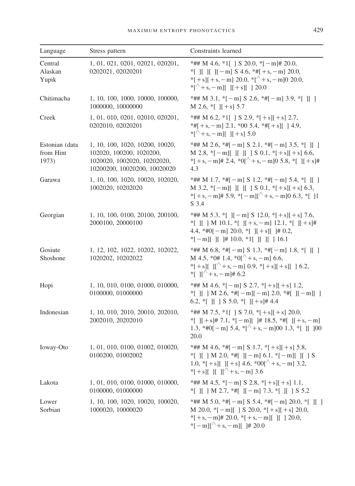| Language                             | Stress pattern                                                                                                             | Constraints learned                                                                                                                                                                                                |
|--------------------------------------|----------------------------------------------------------------------------------------------------------------------------|--------------------------------------------------------------------------------------------------------------------------------------------------------------------------------------------------------------------|
| Central<br>Alaskan<br>Yupik          | 1, 01, 021, 0201, 02021, 020201,<br>0202021, 02020201                                                                      | *## M 4.6, *1[ ] S 20.0, *[-m]# 20.0,<br>*[ ][ ][ ][ -m] S 4.6, *#[ + s, -m] 20.0,<br>$*$ [+s][+s,-m] 20.0, $*$ [ <sup><math>\wedge</math></sup> +s,-m]0 20.0,<br>$*[\sqrt[4]{+s}, -m][ \sqrt{1+s}][ \sqrt{20.0}]$ |
| Chitimacha                           | 1, 10, 100, 1000, 10000, 100000,<br>1000000, 10000000                                                                      | *## M 3.1, $*[-m]$ S 2.6, $*=[m]$ 3.9, $*[[n]]$<br>M 2.6, $*$ [ ][+s] 5.7                                                                                                                                          |
| Creek                                | 1, 01, 010, 0201, 02010, 020201,<br>0202010, 02020201                                                                      | *## M 6.2, *1[ ] S 2.9, *[+s][+s] 2.7,<br>$*$ #[+s,-m] 2.1, *00 5.4, $*$ #[+s][ ] 4.9,<br>$*[\hat{ }+s,-m][$ $ ]+s[$ 5.0                                                                                           |
| Estonian (data<br>from Hint<br>1973) | 1, 10, 100, 1020, 10200, 10020,<br>102020, 100200, 1020200,<br>1020020, 1002020, 10202020,<br>10200200, 10020200, 10020020 | *## M 2.6, *#[ - m] S 2.1, *#[ - m] 3.5, *[ ][ ]<br>M 2.8, $*[-m][][][][S 0.1, *[+s][+s] 6.6,$<br>$*$ [+s,-m]# 2.4, $*0$ [ <sup><math>\wedge</math></sup> +s,-m]0 5.8, $*$ [][+s]#<br>4.3                          |
| Garawa                               | 1, 10, 100, 1020, 10020, 102020,<br>1002020, 10202020                                                                      | *## M 1.7, *#[ - m] S 1.2, *#[ - m] 5.4, *[ ][ ]<br>M 3.2, $*[-m][$  [  [   S 0.1, $*[+s][+s]$ 6.3,<br>$*$ [+s, - m]# 5.9, $*$ [-m][ <sup><math>\wedge</math></sup> +s, - m]0 6.3, $*$ []1<br>S 3.4                |
| Georgian                             | 1, 10, 100, 0100, 20100, 200100,<br>2000100, 20000100                                                                      | *## M 5.3, *[ $\vert$   - m   S 12.0, *[ + s][ + s] 7.6,<br>*[ ][ ] M 10.1, *[ ][ + s, - m] 12.1, *[ ][ + s]#<br>4.4, *#0[-m] 20.0, *[ ][+s][ ]# 0.2,<br>$\sqrt[*]{-m}$      # 10.0, $\sqrt[*]{1}$         16.1    |
| Gosiute<br>Shoshone                  | 1, 12, 102, 1022, 10202, 102022,<br>1020202, 10202022                                                                      | *## M 6.8, *#[-m] S 1.3, *#[-m] 1.8, *[ ][ ]<br>M 4.5, *0# 1.4, *0 $\left[\right]$ + s, - m 6.6,<br>*[+s][ ][^+s,-m] 0.9, *[+s][ +s][ ] 6.2,<br>*[ $\frac{1}{x}$ + s, - m + 6.2                                    |
| Hopi                                 | 1, 10, 010, 0100, 01000, 010000,<br>0100000, 01000000                                                                      | *## M 4.6, $*[-m]$ S 2.7, $*[+s][+s]$ 1.2,<br>*[ ][ ] M 2.6, *#[-m][-m] 2.0, *#[ ][-m][ ]<br>6.2, *[ ][ ] S 5.0, *[ ][ + s]# 4.4                                                                                   |
| Indonesian                           | 1, 10, 010, 2010, 20010, 202010,<br>2002010, 20202010                                                                      | *## M 7.5, *1[ ] S 7.0, *[+s][+s] 20.0,<br>*[ ][+s]# 7.1, *[-m][ ]# 18.5, *#[ ][+s,-m]<br>1.3, *#0[-m] 5.4, *[^+s,-m]00 1.3, *[ ][ ]00<br>20.0                                                                     |
| Ioway-Oto                            | 1, 01, 010, 0100, 01002, 010020,<br>0100200, 01002002                                                                      | *## M 4.6, *#[ - m] S 1.7, *[+ s][ + s] 5.8,<br>*[ ][ ] M 2.0, *#[ ][-m] 6.1, *[-m][ ][ ] S<br>1.0, $*[+s][]$ [+s] 4.6, $*00[^{\wedge}+s,-m]$ 3.2,<br>*[+s][ ][ ][^+s,-m] 3.6                                      |
| Lakota                               | 1, 01, 010, 0100, 01000, 010000,<br>0100000, 01000000                                                                      | *## M 4.5, $*[-m]$ S 2.8, $*[+s][+s]$ 1.1,<br>*[ ][ ] M 2.7, *#[ ][ - m] 7.3, *[ ][ ] S 5.2                                                                                                                        |
| Lower<br>Sorbian                     | 1, 10, 100, 1020, 10020, 100020,<br>1000020, 10000020                                                                      | *## M 5.0, *#[ - m] S 5.4, *#[ - m] 20.0, *[ ][ ]<br>M 20.0, $\{[-m][\}$ S 20.0, $\{+s][+s][20.0,$<br>$*[+s, -m] \# 20.0, *[+s, -m] [ ]$ [ ] 20.0,<br>*[-m][^+s,-m][ ]# 20.0                                       |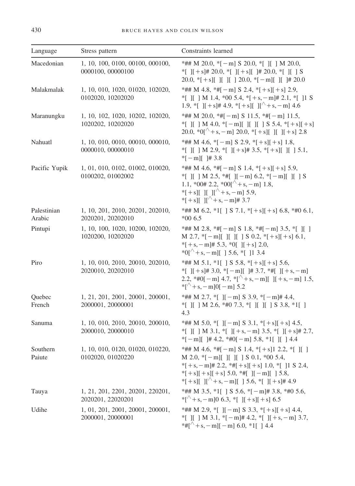| Language              | Stress pattern                                        | Constraints learned                                                                                                                                                                                                                                |
|-----------------------|-------------------------------------------------------|----------------------------------------------------------------------------------------------------------------------------------------------------------------------------------------------------------------------------------------------------|
| Macedonian            | 1, 10, 100, 0100, 00100, 000100,<br>0000100, 00000100 | *## M 20.0, $*[-m]$ S 20.0, $*[$ ][ ] M 20.0,<br>$\vert$ \[ + s]# 20.0, \times [ ][ + s][ ]# 20.0, \times [ ][ 3<br>20.0, $\{ + s \}$ [ ][ ][ ] 20.0, $\{ -m \}$ [ ][ ] $\#$ 20.0                                                                  |
| Malakmalak            | 1, 10, 010, 1020, 01020, 102020,<br>0102020, 10202020 | *## M 4.8, *# $[-m]$ S 2.4, * $[+s][+s]$ 2.9,<br>*[ ][ ] M 1.4, *00 5.4, *[+s, - m]# 2.1, *[ ]1 S<br>1.9, *[ ][+s]# 4.9, *[+s][ ][^+s, - m] 4.6                                                                                                    |
| Maranungku            | 1, 10, 102, 1020, 10202, 102020,<br>1020202, 10202020 | *## M 20.0, *#[ $-m$ ] S 11.5, *#[ $-m$ ] 11.5,<br>*[ ][ ] M 4.0, *[-m][ ][ ][ ] S 5.4, *[+s][+s]<br>20.0, ${}^{*}0[^{\wedge} + s, -m]$ 20.0, ${}^{*}$ [ + s][ ][ - s] 2.8                                                                         |
| Nahuatl               | 1, 10, 010, 0010, 00010, 000010,<br>0000010, 00000010 | *## M 4.6, $*[-m]$ S 2.9, $*[+s][+s]$ 1.8,<br>*[ ][ ] M 2.9, *[ ][+s]# 3.5, *[+s][ ][ ] 5.1,<br>$*[-m][$ # 3.8                                                                                                                                     |
| Pacific Yupik         | 1, 01, 010, 0102, 01002, 010020,<br>0100202, 01002002 | *## M 4.6, *#[-m] S 1.4, *[+s][+s] 5.9,<br>*[ ][ ] M 2.5, *#[ ][-m] 6.2, *[-m][ ][ ] S<br>1.1, *00# 2.2, *00 $\left[\right]$ + s, - m] 1.8,<br>*[+s][ ][ ][^+s,-m] 5.9,<br>*[+s][ $1\vert \uparrow + s$ , - m]# 3.7                                |
| Palestinian<br>Arabic | 1, 10, 201, 2010, 20201, 202010,<br>2020201, 20202010 | *## M 6.2, *1[ ] S 7.1, *[+s][+s] 6.8, *#0 6.1,<br>$*006.5$                                                                                                                                                                                        |
| Pintupi               | 1, 10, 100, 1020, 10200, 102020,<br>1020200, 10202020 | *## M 2.8, *#[-m] S 1.8, *#[-m] 3.5, *[ ][ ]<br>M 2.7, $*[-m][[][] S 0.2, *[+s][+s] 6.1,$<br>$*$ [+s, - m]# 5.3, $*$ 0[] [+s] 2.0,<br>$*0$ [ <sup><math>\wedge</math></sup> + s, - m][ ] 5.6, $*$ [ ]1 3.4                                         |
| Piro                  | 1, 10, 010, 2010, 20010, 202010,<br>2020010, 20202010 | *## M 5.1, *1[ ] S 5.8, *[+s][+s] 5.6,<br>*[ ][+s]# 3.0, *[-m][ ]# 3.7, *#[ ][+s,-m]<br>2.2, *#0[-m] 4.7, *[^+s,-m][ ][+s,-m] 1.5,<br>$\frac{[A]}{[A+1]}$ + s, - m 0[-m  5.2                                                                       |
| Quebec<br>French      | 1, 21, 201, 2001, 20001, 200001,<br>2000001, 20000001 | *## M 2.7, *[ ][ - m] S 3.9, *[ - m]# 4.4,<br>*[ ][ ] M 2.6, *#0 7.3, *[ ][ ][ ] S 3.8, *1[ ]<br>4.3                                                                                                                                               |
| Sanuma                | 1, 10, 010, 2010, 20010, 200010,<br>2000010, 20000010 | *## M 5.0, *[ ][ - m] S 3.1, *[+s][ + s] 4.5,<br>*[ ][ ] M 3.1, *[ ][ + s, - m] 3.5, *[ ][ + s]# 2.7,<br>$*[-m][$ ]# 4.2, $*#0[-m]$ 5.8, $*1[$ ][ ] 4.4                                                                                            |
| Southern<br>Paiute    | 1, 10, 010, 0120, 01020, 010220,<br>0102020, 01020220 | *## M 4.6, *#[-m] S 1.4, *[+s]1 2.2, *[ ][ ]<br>M 2.0, $*[-m][$ $][$ $][$ $]$ $S$ 0.1, $*00$ 5.4,<br>$*$ [+s, - m]# 2.2, $*$ #[+s][+s] 1.0, $*$ [ ]1 S 2.4,<br>$*[+s][+s][+s]$ 5.0, $*$ #[ ][-m][ ] 5.8,<br>*[+s][ ][^+s,-m][ ] 5.6, *[ ][+s]# 4.9 |
| Tauya                 | 1, 21, 201, 2201, 20201, 220201,<br>2020201, 22020201 | *## M 3.5, *1[ ] S 5.6, *[-m]# 3.8, *#0 5.6,<br>$*[\sqrt[4]{+s}, -m]0$ 6.3, $*[\ ][+s][+s]$ 6.5                                                                                                                                                    |
| Udihe                 | 1, 01, 201, 2001, 20001, 200001,<br>2000001, 20000001 | *## M 2.9, *[ $\left [-m]$ S 3.3, *[+s][+s] 4.4,<br>*[ ][ ] M 3.1, *[-m]# 4.2, *[ ][+s,-m] 3.7,<br>*#[^+s, - m][ - m] 6.0, *1[ ] 4.4                                                                                                               |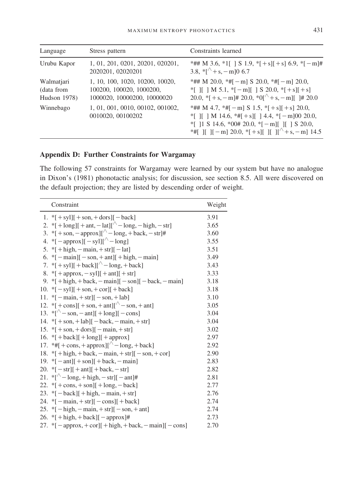| Language                                 | Stress pattern                                                                             | Constraints learned                                                                                                                                                                                                                                                                                     |
|------------------------------------------|--------------------------------------------------------------------------------------------|---------------------------------------------------------------------------------------------------------------------------------------------------------------------------------------------------------------------------------------------------------------------------------------------------------|
| Urubu Kapor                              | 1, 01, 201, 0201, 20201, 020201,<br>2020201, 02020201                                      | *## M 3.6, *1[ ] S 1.9, *[+s][+s] 6.9, *[-m]#<br>3.8, $\sqrt[8]{+s}$ , - m   06.7                                                                                                                                                                                                                       |
| Walmatjari<br>(data from<br>Hudson 1978) | 1, 10, 100, 1020, 10200, 10020,<br>100200, 100020, 1000200,<br>1000020, 10000200, 10000020 | *## M 20.0, *# $[-m]$ S 20.0, *# $[-m]$ 20.0,<br>$\mathcal{F}$ I   M 5.1, $\mathcal{F}$   S 20.0, $\mathcal{F}$   s   + s   + s     + s    <br>20.0, $\{+s, -m\}$ 20.0, $\{0\}$ + s, - m][ $\}$ 20.0                                                                                                    |
| Winnebago                                | 1, 01, 001, 0010, 00102, 001002,<br>0010020, 00100202                                      | *## M 4.7, *# $[-m]$ S 1.5, * $[+s]$ $[+s]$ 20.0,<br>$\lvert \cdot \rvert$     M 14.6, $\lvert \cdot \rvert + s$     4.4, $\lvert \cdot \rvert - m$   00 20.0,<br>$*$ [ 11 S 14.6, $*00# 20.0$ , $*$ [ - m][ 1] S 20.0,<br>*#[ $\parallel$  [ -m] 20.0, *[+s][ $\parallel$  [ $\parallel$ + s, -m] 14.5 |

# **Appendix D: Further Constraints for Wargamay**

The following 57 constraints for Wargamay were learned by our system but have no analogue in Dixon's (1981) phonotactic analysis; for discussion, see section 8.5. All were discovered on the default projection; they are listed by descending order of weight.

| Constraint                                                                                              | Weight |
|---------------------------------------------------------------------------------------------------------|--------|
| 1. * $[ + syl]$ + son, + dors] [ - back]                                                                | 3.91   |
| 2. *[ $+$ long][ $+$ ant, $-$ lat][ $\sim$ -long, $-$ high, $-$ str]                                    | 3.65   |
| 3. * $[ +\text{son}, -\text{approx} ]^{2}$ - long, + back, - str]#                                      | 3.60   |
| 4. * [ - approx][ $-$ syl][^ - long]                                                                    | 3.55   |
| 5. * [ + high, - main, + str][ - lat]                                                                   | 3.51   |
| 6. $*[-\text{main}][-\text{son}, +\text{ant}][+\text{high}, -\text{main}]$                              | 3.49   |
| 7. * $[+sy1][+back][^{\wedge} - long, +back]$                                                           | 3.43   |
| 8. * [ + approx, $-\text{syl}$ ] [ + ant] [ + str]                                                      | 3.33   |
| 9. * [ + high, + back, - main] $[-\text{son}]]$ - back, - main]                                         | 3.18   |
| 10. * $[-syl][ + son, + cor][ + back]$                                                                  | 3.18   |
| 11. * $[-\text{main}, +\text{str}][-\text{son}, +\text{lab}]$                                           | 3.10   |
|                                                                                                         | 3.05   |
| 13. * $\lceil^{\wedge} - \text{son}, -\text{ant} \rceil + \lfloor^{\wedge} - \text{cons} \rfloor$       | 3.04   |
| 14. * $[ +\text{son}, +\text{lab}][ -\text{back}, -\text{main}, +\text{str}]$                           | 3.04   |
| 15. * $[ +\text{son}, +\text{dors}][ -\text{main}, +\text{str}]$                                        | 3.02   |
| 16. $\sqrt[*]{ +}$ back][ $\sqrt[*]{ +}$ long][ $\sqrt[*]{ +}$ approx]                                  | 2.97   |
| 17. *#[ + cons, + approx][^ - long, + back]                                                             | 2.92   |
| 18. * [ $+$ high, $+$ back, $-$ main, $+$ str][ $-$ son, $+$ cor]                                       | 2.90   |
| 19. $\vert -\vert$ ant $\vert \vert +$ son $\vert \vert +$ back, $-\text{main}$                         | 2.83   |
| 20. $\sqrt[*]{-}$ str] $\sqrt{+}$ ant $\sqrt{+}$ back, $-\text{str}$                                    | 2.82   |
| 21. * $\lceil^{\wedge} - \log$ , + high, - str] $\lceil - \text{ant} \rceil$ #                          | 2.81   |
| 22. $\sqrt[*]{ + \cos + \sin }$ + long, $-\text{back}$                                                  | 2.77   |
| 23. * $[-\text{back}]] + \text{high}, -\text{main}, + \text{str}]$                                      | 2.76   |
| 24. * [ $-\text{main}, +\text{str}$ ] [ $-\text{cons}$ ] [ $+\text{back}$ ]                             | 2.74   |
| 25. * $[-\text{high}, -\text{main}, +\text{str}][-\text{son}, +\text{ant}]$                             | 2.74   |
| 26. * [+ $high, +back$ ][-approx]#                                                                      | 2.73   |
| 27. * [ $-\text{approx}, +\text{cor}$ ][ $+\text{high}, +\text{back}, -\text{main}$ ][ $-\text{cons}$ ] | 2.70   |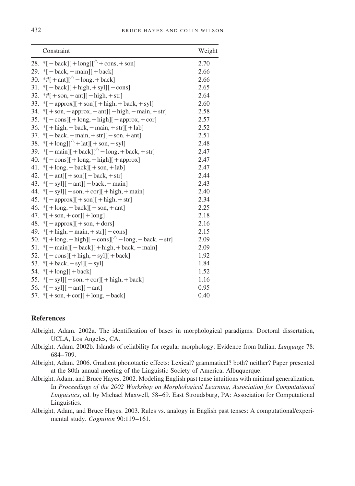| Constraint                                                                                     | Weight |
|------------------------------------------------------------------------------------------------|--------|
| 28. * $[-\text{back}][+\text{long}]/\hat{}$ + cons, + son]                                     | 2.70   |
| 29. * $[-\text{back}, -\text{main}]]$ + back]                                                  | 2.66   |
| 30. *# $[+ant]$ $\uparrow$ - long, + back]                                                     | 2.66   |
| 31. * $[-\text{back}][+\text{high},+\text{syl}]]$ - cons]                                      | 2.65   |
| 32. *# $[+$ son, $+$ ant $[$ $-$ high, $+$ str]                                                | 2.64   |
| 33. * $[-approx][+son][+high, +back, +syl]$                                                    | 2.60   |
| 34. * $[ +\text{son}, -\text{approx}, -\text{ant}][ -\text{high}, -\text{main}, +\text{str}]$  | 2.58   |
| 35. * $[-\text{cons}][+\text{long},+\text{high}]]$ - approx, $+\text{cor}$ ]                   | 2.57   |
| 36. * $[ + high, + back, - main, + str][ + lab ]$                                              | 2.52   |
| 37. * $[-\text{back}, -\text{main}, +\text{str}][-\text{son}, +\text{ant}]$                    | 2.51   |
| 38. * $[ + \log]$ $[\wedge + \text{lat}]$ + son, - syl]                                        | 2.48   |
| 39. * [ $-\text{main}$ ][ $+\text{back}$ ][ $\sim$ $-\text{long}, +\text{back}, +\text{str}$ ] | 2.47   |
| 40. * $[-\cos[+ \log,-\text{high}]]$ + approx                                                  | 2.47   |
| 41. * $[ + \text{long}, - \text{back}]$ + son, + lab]                                          | 2.47   |
| 42. $\[-\text{ant}]\left[+\text{son}\right]\left[-\text{back},+\text{str}\right]$              | 2.44   |
| 43. $\[-5 \text{V} - \text{S} \text{V} \cdot \text{V}]$ = back, - main                         | 2.43   |
| 44. * $[-syl][ + son, + cor][ + high, + main]$                                                 | 2.40   |
| 45. * $[-approx][ + son][ + high, + str]$                                                      | 2.34   |
| 46. * $[ + \text{long}, - \text{back}][ - \text{son}, + \text{ant}]$                           | 2.25   |
| 47. * $[ +\text{son}, +\text{cor}][ +\text{long}]$                                             | 2.18   |
| 48. * [ $-\text{approx}$ ][ $+\text{son}, +\text{dors}$ ]                                      | 2.16   |
| 49. * $[ + high, - main, + str]$ $[-cons]$                                                     | 2.15   |
| 50. * $[ +\log, +\frac{\text{high}}{-\cos}$ = $\log, -\frac{\text{back}, -\text{str}}{-\cos}$  | 2.09   |
| 51. * $[-$ main] $[-$ back] $[$ + high, + back, - main]                                        | 2.09   |
| 52. * $[-\cosh[(+\hbox{high}, +\hbox{sy}]] + \hbox{back}]$                                     | 1.92   |
| 53. * [ + back, - syl][ - syl]                                                                 | 1.84   |
| 54. * $[ + \log ] [ + \text{back}]$                                                            | 1.52   |
| 55. * $[-syl][ + son, + cor][ + high, + back]$                                                 | 1.16   |
| 56. * $[-sy1][ + ant][ - ant]$                                                                 | 0.95   |
| 57. * $[-\text{son}, +\text{cor}]] + \text{long}, -\text{back}]$                               | 0.40   |

#### **References**

- Albright, Adam. 2002a. The identification of bases in morphological paradigms. Doctoral dissertation, UCLA, Los Angeles, CA.
- Albright, Adam. 2002b. Islands of reliability for regular morphology: Evidence from Italian. *Language* 78: 684–709.
- Albright, Adam. 2006. Gradient phonotactic effects: Lexical? grammatical? both? neither? Paper presented at the 80th annual meeting of the Linguistic Society of America, Albuquerque.
- Albright, Adam, and Bruce Hayes. 2002. Modeling English past tense intuitions with minimal generalization. In *Proceedings of the 2002 Workshop on Morphological Learning, Association for Computational Linguistics*, ed. by Michael Maxwell, 58–69. East Stroudsburg, PA: Association for Computational Linguistics.
- Albright, Adam, and Bruce Hayes. 2003. Rules vs. analogy in English past tenses: A computational/experimental study. *Cognition* 90:119–161.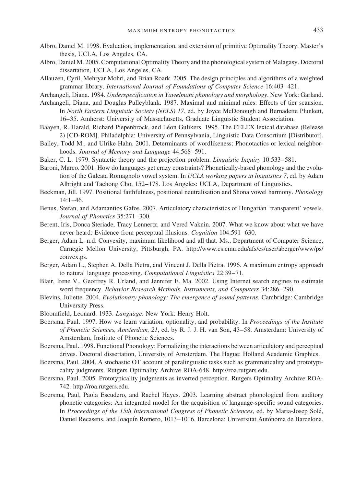- Albro, Daniel M. 1998. Evaluation, implementation, and extension of primitive Optimality Theory. Master's
- thesis, UCLA, Los Angeles, CA. Albro, Daniel M. 2005. Computational Optimality Theory and the phonological system of Malagasy. Doctoral dissertation, UCLA, Los Angeles, CA.
- Allauzen, Cyril, Mehryar Mohri, and Brian Roark. 2005. The design principles and algorithms of a weighted grammar library. *International Journal of Foundations of Computer Science* 16:403–421.
- Archangeli, Diana. 1984. *Underspecification in Yawelmani phonology and morphology*. New York: Garland.
- Archangeli, Diana, and Douglas Pulleyblank. 1987. Maximal and minimal rules: Effects of tier scansion. In *North Eastern Linguistic Society (NELS) 17*, ed. by Joyce McDonough and Bernadette Plunkett, 16–35. Amherst: University of Massachusetts, Graduate Linguistic Student Association.
- Baayen, R. Harald, Richard Piepenbrock, and Léon Gulikers. 1995. The CELEX lexical database (Release 2) [CD-ROM]. Philadelphia: University of Pennsylvania, Linguistic Data Consortium [Distributor].
- Bailey, Todd M., and Ulrike Hahn. 2001. Determinants of wordlikeness: Phonotactics or lexical neighborhoods. *Journal of Memory and Language* 44:568–591.
- Baker, C. L. 1979. Syntactic theory and the projection problem. *Linguistic Inquiry* 10:533–581.
- Baroni, Marco. 2001. How do languages get crazy constraints? Phonetically-based phonology and the evolution of the Galeata Romagnolo vowel system. In *UCLA working papers in linguistics 7*, ed. by Adam Albright and Taehong Cho, 152–178. Los Angeles: UCLA, Department of Linguistics.
- Beckman, Jill. 1997. Positional faithfulness, positional neutralisation and Shona vowel harmony. *Phonology* 14:1–46.
- Benus, Stefan, and Adamantios Gafos. 2007. Articulatory characteristics of Hungarian 'transparent' vowels. *Journal of Phonetics* 35:271–300.
- Berent, Iris, Donca Steriade, Tracy Lennertz, and Vered Vaknin. 2007. What we know about what we have never heard: Evidence from perceptual illusions. *Cognition* 104:591–630.
- Berger, Adam L. n.d. Convexity, maximum likelihood and all that. Ms., Department of Computer Science, Carnegie Mellon University, Pittsburgh, PA. http://www.cs.cmu.edu/afs/cs/user/aberger/www/ps/ convex.ps.
- Berger, Adam L., Stephen A. Della Pietra, and Vincent J. Della Pietra. 1996. A maximum entropy approach to natural language processing. *Computational Linguistics* 22:39–71.
- Blair, Irene V., Geoffrey R. Urland, and Jennifer E. Ma. 2002. Using Internet search engines to estimate word frequency. *Behavior Research Methods*, *Instruments*, *and Computers* 34:286–290.
- Blevins, Juliette. 2004. *Evolutionary phonology: The emergence of sound patterns*. Cambridge: Cambridge University Press.
- Bloomfield, Leonard. 1933. *Language*. New York: Henry Holt.
- Boersma, Paul. 1997. How we learn variation, optionality, and probability. In *Proceedings of the Institute of Phonetic Sciences, Amsterdam, 21*, ed. by R. J. J. H. van Son, 43–58. Amsterdam: University of Amsterdam, Institute of Phonetic Sciences.
- Boersma, Paul. 1998. Functional Phonology: Formalizing the interactions between articulatory and perceptual drives. Doctoral dissertation, University of Amsterdam. The Hague: Holland Academic Graphics.
- Boersma, Paul. 2004. A stochastic OT account of paralinguistic tasks such as grammaticality and prototypicality judgments. Rutgers Optimality Archive ROA-648. http://roa.rutgers.edu.
- Boersma, Paul. 2005. Prototypicality judgments as inverted perception. Rutgers Optimality Archive ROA-742. http://roa.rutgers.edu.
- Boersma, Paul, Paola Escudero, and Rachel Hayes. 2003. Learning abstract phonological from auditory phonetic categories: An integrated model for the acquisition of language-specific sound categories. In *Proceedings of the 15th International Congress of Phonetic Sciences*, ed. by Maria-Josep Sole´, Daniel Recasens, and Joaquín Romero, 1013-1016. Barcelona: Universitat Autónoma de Barcelona.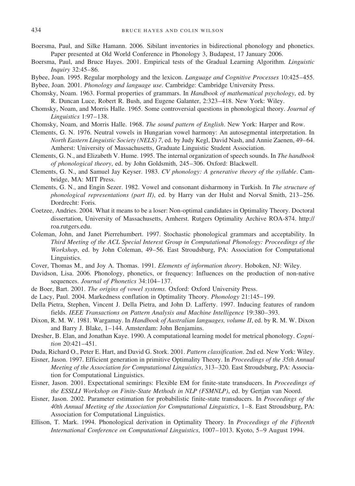- Boersma, Paul, and Silke Hamann. 2006. Sibilant inventories in bidirectional phonology and phonetics. Paper presented at Old World Conference in Phonology 3, Budapest, 17 January 2006.
- Boersma, Paul, and Bruce Hayes. 2001. Empirical tests of the Gradual Learning Algorithm. *Linguistic Inquiry* 32:45–86.
- Bybee, Joan. 1995. Regular morphology and the lexicon. *Language and Cognitive Processes* 10:425–455.
- Bybee, Joan. 2001. *Phonology and language use*. Cambridge: Cambridge University Press.
- Chomsky, Noam. 1963. Formal properties of grammars. In *Handbook of mathematical psychology*, ed. by R. Duncan Luce, Robert R. Bush, and Eugene Galanter, 2:323–418. New York: Wiley.
- Chomsky, Noam, and Morris Halle. 1965. Some controversial questions in phonological theory. *Journal of Linguistics* 1:97–138.
- Chomsky, Noam, and Morris Halle. 1968. *The sound pattern of English*. New York: Harper and Row.
- Clements, G. N. 1976. Neutral vowels in Hungarian vowel harmony: An autosegmental interpretation. In *North Eastern Linguistic Society (NELS) 7*, ed. by Judy Kegl, David Nash, and Annie Zaenen, 49–64. Amherst: University of Massachusetts, Graduate Linguistic Student Association.
- Clements, G. N., and Elizabeth V. Hume. 1995. The internal organization of speech sounds. In *The handbook of phonological theory*, ed. by John Goldsmith, 245–306. Oxford: Blackwell.
- Clements, G. N., and Samuel Jay Keyser. 1983. *CV phonology: A generative theory of the syllable*. Cambridge, MA: MIT Press.
- Clements, G. N., and Engin Sezer. 1982. Vowel and consonant disharmony in Turkish. In *The structure of phonological representations (part II)*, ed. by Harry van der Hulst and Norval Smith, 213–256. Dordrecht: Foris.
- Coetzee, Andries. 2004. What it means to be a loser: Non-optimal candidates in Optimality Theory. Doctoral dissertation, University of Massachusetts, Amherst. Rutgers Optimality Archive ROA-874. http:// roa.rutgers.edu.
- Coleman, John, and Janet Pierrehumbert. 1997. Stochastic phonological grammars and acceptability. In *Third Meeting of the ACL Special Interest Group in Computational Phonology: Proceedings of the Workshop*, ed. by John Coleman, 49–56. East Stroudsburg, PA: Association for Computational Linguistics.
- Cover, Thomas M., and Joy A. Thomas. 1991. *Elements of information theory*. Hoboken, NJ: Wiley.
- Davidson, Lisa. 2006. Phonology, phonetics, or frequency: Influences on the production of non-native sequences. *Journal of Phonetics* 34:104–137.
- de Boer, Bart. 2001. *The origins of vowel systems*. Oxford: Oxford University Press.
- de Lacy, Paul. 2004. Markedness conflation in Optimality Theory. *Phonology* 21:145–199.
- Della Pietra, Stephen, Vincent J. Della Pietra, and John D. Lafferty. 1997. Inducing features of random fields. *IEEE Transactions on Pattern Analysis and Machine Intelligence* 19:380–393.
- Dixon, R. M. W. 1981. Wargamay. In *Handbook of Australian languages, volume II*, ed. by R. M. W. Dixon and Barry J. Blake, 1–144. Amsterdam: John Benjamins.
- Dresher, B. Elan, and Jonathan Kaye. 1990. A computational learning model for metrical phonology. *Cognition* 20:421–451.
- Duda, Richard O., Peter E. Hart, and David G. Stork. 2001. *Pattern classification*. 2nd ed. New York: Wiley.
- Eisner, Jason. 1997. Efficient generation in primitive Optimality Theory. In *Proceedings of the 35th Annual Meeting of the Association for Computational Linguistics*, 313–320. East Stroudsburg, PA: Association for Computational Linguistics.
- Eisner, Jason. 2001. Expectational semirings: Flexible EM for finite-state transducers. In *Proceedings of the ESSLLI Workshop on Finite-State Methods in NLP (FSMNLP)*, ed. by Gertjan van Noord.
- Eisner, Jason. 2002. Parameter estimation for probabilistic finite-state transducers. In *Proceedings of the 40th Annual Meeting of the Association for Computational Linguistics*, 1–8. East Stroudsburg, PA: Association for Computational Linguistics.
- Ellison, T. Mark. 1994. Phonological derivation in Optimality Theory. In *Proceedings of the Fifteenth International Conference on Computational Linguistics*, 1007–1013. Kyoto, 5–9 August 1994.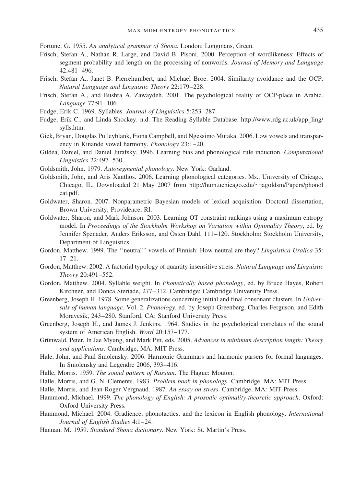Fortune, G. 1955. *An analytical grammar of Shona*. London: Longmans, Green.

- Frisch, Stefan A., Nathan R. Large, and David B. Pisoni. 2000. Perception of wordlikeness: Effects of segment probability and length on the processing of nonwords. *Journal of Memory and Language* 42:481–496.
- Frisch, Stefan A., Janet B. Pierrehumbert, and Michael Broe. 2004. Similarity avoidance and the OCP. *Natural Language and Linguistic Theory* 22:179–228.
- Frisch, Stefan A., and Bushra A. Zawaydeh. 2001. The psychological reality of OCP-place in Arabic. *Language* 77:91–106.
- Fudge, Erik C. 1969. Syllables. *Journal of Linguistics* 5:253–287.
- Fudge, Erik C., and Linda Shockey. n.d. The Reading Syllable Database. http://www.rdg.ac.uk/app\_ling/ sylls.htm.
- Gick, Bryan, Douglas Pulleyblank, Fiona Campbell, and Ngessimo Mutaka. 2006. Low vowels and transparency in Kinande vowel harmony. *Phonology* 23:1–20.
- Gildea, Daniel, and Daniel Jurafsky. 1996. Learning bias and phonological rule induction. *Computational Linguistics* 22:497–530.
- Goldsmith, John. 1979. *Autosegmental phonology*. New York: Garland.
- Goldsmith, John, and Aris Xanthos. 2006. Learning phonological categories. Ms., University of Chicago, Chicago, IL. Downloaded 21 May 2007 from http://hum.uchicago.edu/~jagoldsm/Papers/phonol cat.pdf.
- Goldwater, Sharon. 2007. Nonparametric Bayesian models of lexical acquisition. Doctoral dissertation, Brown University, Providence, RI.
- Goldwater, Sharon, and Mark Johnson. 2003. Learning OT constraint rankings using a maximum entropy model. In *Proceedings of the Stockholm Workshop on Variation within Optimality Theory*, ed. by Jennifer Spenader, Anders Eriksson, and Östen Dahl, 111–120. Stockholm: Stockholm University, Department of Linguistics.
- Gordon, Matthew. 1999. The ''neutral'' vowels of Finnish: How neutral are they? *Linguistica Uralica* 35:  $17-21$
- Gordon, Matthew. 2002. A factorial typology of quantity insensitive stress. *Natural Language and Linguistic Theory* 20:491–552.
- Gordon, Matthew. 2004. Syllable weight. In *Phonetically based phonology*, ed. by Bruce Hayes, Robert Kirchner, and Donca Steriade, 277–312. Cambridge: Cambridge University Press.
- Greenberg, Joseph H. 1978. Some generalizations concerning initial and final consonant clusters. In *Universals of human language*. Vol. 2, *Phonology*, ed. by Joseph Greenberg, Charles Ferguson, and Edith Moravcsik, 243–280. Stanford, CA: Stanford University Press.
- Greenberg, Joseph H., and James J. Jenkins. 1964. Studies in the psychological correlates of the sound system of American English. *Word* 20:157–177.
- Grünwald, Peter, In Jae Myung, and Mark Pitt, eds. 2005. *Advances in minimum description length: Theory and applications*. Cambridge, MA: MIT Press.
- Hale, John, and Paul Smolensky. 2006. Harmonic Grammars and harmonic parsers for formal languages. In Smolensky and Legendre 2006, 393–416.
- Halle, Morris. 1959. *The sound pattern of Russian*. The Hague: Mouton.
- Halle, Morris, and G. N. Clements. 1983. *Problem book in phonology*. Cambridge, MA: MIT Press.
- Halle, Morris, and Jean-Roger Vergnaud. 1987. *An essay on stress*. Cambridge, MA: MIT Press.
- Hammond, Michael. 1999. *The phonology of English: A prosodic optimality-theoretic approach*. Oxford: Oxford University Press.
- Hammond, Michael. 2004. Gradience, phonotactics, and the lexicon in English phonology. *International Journal of English Studies* 4:1–24.
- Hannan, M. 1959. *Standard Shona dictionary*. New York: St. Martin's Press.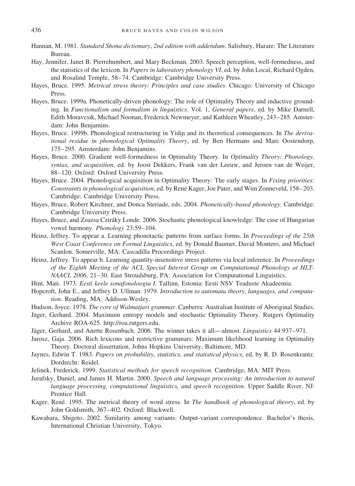- Hannan, M. 1981. *Standard Shona dictionary*, *2nd edition with addendum*. Salisbury, Harare: The Literature Bureau.
- Hay, Jennifer, Janet B. Pierrehumbert, and Mary Beckman. 2003. Speech perception, well-formedness, and the statistics of the lexicon. In *Papers in laboratory phonology VI*, ed. by John Local, Richard Ogden, and Rosalind Temple, 58–74. Cambridge: Cambridge University Press.
- Hayes, Bruce. 1995. *Metrical stress theory: Principles and case studies*. Chicago: University of Chicago Press.
- Hayes, Bruce. 1999a. Phonetically-driven phonology: The role of Optimality Theory and inductive grounding. In *Functionalism and formalism in linguistics*. Vol. 1, *General papers*, ed. by Mike Darnell, Edith Moravcsik, Michael Noonan, Frederick Newmeyer, and Kathleen Wheatley, 243–285. Amsterdam: John Benjamins.
- Hayes, Bruce. 1999b. Phonological restructuring in Yidin and its theoretical consequences. In *The derivational residue in phonological Optimality Theory*, ed. by Ben Hermans and Marc Oostendorp, 175–295. Amsterdam: John Benjamins.
- Hayes, Bruce. 2000. Gradient well-formedness in Optimality Theory. In *Optimality Theory: Phonology, syntax, and acquisition*, ed. by Joost Dekkers, Frank van der Leeuw, and Jeroen van de Weijer, 88–120. Oxford: Oxford University Press.
- Hayes, Bruce. 2004. Phonological acquisition in Optimality Theory: The early stages. In *Fixing priorities: Constraints in phonological acquisition*, ed. by Rene´ Kager, Joe Pater, and Wim Zonneveld, 158–203. Cambridge: Cambridge University Press.
- Hayes, Bruce, Robert Kirchner, and Donca Steriade, eds. 2004. *Phonetically-based phonology*. Cambridge: Cambridge University Press.
- Hayes, Bruce, and Zsuzsa Czira´ky Londe. 2006. Stochastic phonological knowledge: The case of Hungarian vowel harmony. *Phonology* 23:59–104.
- Heinz, Jeffrey. To appear a. Learning phonotactic patterns from surface forms. In *Proceedings of the 25th West Coast Conference on Formal Linguistics*, ed. by Donald Baumer, David Montero, and Michael Scanlon. Somerville, MA: Cascadilla Proceedings Project.
- Heinz, Jeffrey. To appear b. Learning quantity-insensitive stress patterns via local inference. In *Proceedings of the Eighth Meeting of the ACL Special Interest Group on Computational Phonology at HLT-NAACL 2006*, 21–30. East Stroudsburg, PA: Association for Computational Linguistics.
- Hint, Mati. 1973. *Eesti keele sonafonoloogia I*. Tallinn, Estonia: Eesti NSV Teaduste Akadeemia.
- Hopcroft, John E., and Jeffrey D. Ullman. 1979. *Introduction to automata theory, languages, and computation*. Reading, MA: Addison-Wesley.
- Hudson, Joyce. 1978. *The core of Walmatjari grammar*. Canberra: Australian Institute of Aboriginal Studies.
- Jäger, Gerhard. 2004. Maximum entropy models and stochastic Optimality Theory. Rutgers Optimality Archive ROA-625. http://roa.rutgers.edu.
- Jäger, Gerhard, and Anette Rosenbach. 2006. The winner takes it all—almost. *Linguistics* 44:937-971.
- Jarosz, Gaja. 2006. Rich lexicons and restrictive grammars: Maximum likelihood learning in Optimality Theory. Doctoral dissertation, Johns Hopkins University, Baltimore, MD.
- Jaynes, Edwin T. 1983. *Papers on probability, statistics, and statistical physics*, ed. by R. D. Rosenkrantz. Dordrecht: Reidel.
- Jelinek, Frederick. 1999. *Statistical methods for speech recognition*. Cambridge, MA: MIT Press.
- Jurafsky, Daniel, and James H. Martin. 2000. *Speech and language processing: An introduction to natural language processing, computational linguistics, and speech recognition*. Upper Saddle River, NJ: Prentice Hall.
- Kager, René. 1995. The metrical theory of word stress. In *The handbook of phonological theory*, ed. by John Goldsmith, 367–402. Oxford: Blackwell.
- Kawahara, Shigeto. 2002. Similarity among variants: Output-variant correspondence. Bachelor's thesis, International Christian University, Tokyo.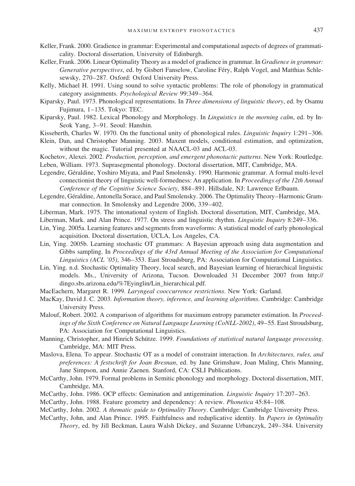- Keller, Frank. 2000. Gradience in grammar: Experimental and computational aspects of degrees of grammaticality. Doctoral dissertation, University of Edinburgh.
- Keller, Frank. 2006. Linear Optimality Theory as a model of gradience in grammar. In *Gradience in grammar: Generative perspectives*, ed. by Gisbert Fanselow, Caroline Féry, Ralph Vogel, and Matthias Schlesewsky, 270–287. Oxford: Oxford University Press.
- Kelly, Michael H. 1991. Using sound to solve syntactic problems: The role of phonology in grammatical category assignments. *Psychological Review* 99:349–364.
- Kiparsky, Paul. 1973. Phonological representations. In *Three dimensions of linguistic theory*, ed. by Osamu Fujimura, 1–135. Tokyo: TEC.
- Kiparsky, Paul. 1982. Lexical Phonology and Morphology. In *Linguistics in the morning calm*, ed. by In-Seok Yang, 3–91. Seoul: Hanshin.
- Kisseberth, Charles W. 1970. On the functional unity of phonological rules. *Linguistic Inquiry* 1:291–306.
- Klein, Dan, and Christopher Manning. 2003. Maxent models, conditional estimation, and optimization, without the magic. Tutorial presented at NAACL-03 and ACL-03.
- Kochetov, Alexei. 2002. *Production, perception, and emergent phonotactic patterns*. New York: Routledge.
- Leben, William. 1973. Suprasegmental phonology. Doctoral dissertation, MIT, Cambridge, MA.
- Legendre, Géraldine, Yoshiro Miyata, and Paul Smolensky. 1990. Harmonic grammar. A formal multi-level connectionist theory of linguistic well-formedness: An application. In *Proceedings of the 12th Annual Conference of the Cognitive Science Society*, 884–891. Hillsdale, NJ: Lawrence Erlbaum.
- Legendre, Géraldine, Antonella Sorace, and Paul Smolensky. 2006. The Optimality Theory–Harmonic Grammar connection. In Smolensky and Legendre 2006, 339–402.
- Liberman, Mark. 1975. The intonational system of English. Doctoral dissertation, MIT, Cambridge, MA.
- Liberman, Mark. and Alan Prince. 1977. On stress and linguistic rhythm. *Linguistic Inquiry* 8:249–336.
- Lin, Ying. 2005a. Learning features and segments from waveforms: A statistical model of early phonological acquisition. Doctoral dissertation, UCLA, Los Angeles, CA.
- Lin, Ying. 2005b. Learning stochastic OT grammars: A Bayesian approach using data augmentation and Gibbs sampling. In *Proceedings of the 43rd Annual Meeting of the Association for Computational Linguistics (ACL '05)*, 346–353. East Stroudsburg, PA: Association for Computational Linguistics.
- Lin, Ying. n.d. Stochastic Optimality Theory, local search, and Bayesian learning of hierarchical linguistic models. Ms., University of Arizona, Tucson. Downloaded 31 December 2007 from http:// dingo.sbs.arizona.edu/%7Eyinglin/Lin\_hierarchical.pdf.
- MacEachern, Margaret R. 1999. *Laryngeal cooccurrence restrictions*. New York: Garland.
- MacKay, David J. C. 2003. *Information theory, inference, and learning algorithms*. Cambridge: Cambridge University Press.
- Malouf, Robert. 2002. A comparison of algorithms for maximum entropy parameter estimation. In *Proceedings of the Sixth Conference on Natural Language Learning (CoNLL-2002)*, 49–55. East Stroudsburg, PA: Association for Computational Linguistics.
- Manning, Christopher, and Hinrich Schütze. 1999. *Foundations of statistical natural language processing*. Cambridge, MA: MIT Press.
- Maslova, Elena. To appear. Stochastic OT as a model of constraint interaction. In *Architectures, rules, and preferences: A festschrift for Joan Bresnan*, ed. by Jane Grimshaw, Joan Maling, Chris Manning, Jane Simpson, and Annie Zaenen. Stanford, CA: CSLI Publications.
- McCarthy, John. 1979. Formal problems in Semitic phonology and morphology. Doctoral dissertation, MIT, Cambridge, MA.
- McCarthy, John. 1986. OCP effects: Gemination and antigemination. *Linguistic Inquiry* 17:207–263.
- McCarthy, John. 1988. Feature geometry and dependency: A review. *Phonetica* 45:84–108.
- McCarthy, John. 2002. *A thematic guide to Optimality Theory*. Cambridge: Cambridge University Press.
- McCarthy, John, and Alan Prince. 1995. Faithfulness and reduplicative identity. In *Papers in Optimality Theory*, ed. by Jill Beckman, Laura Walsh Dickey, and Suzanne Urbanczyk, 249–384. University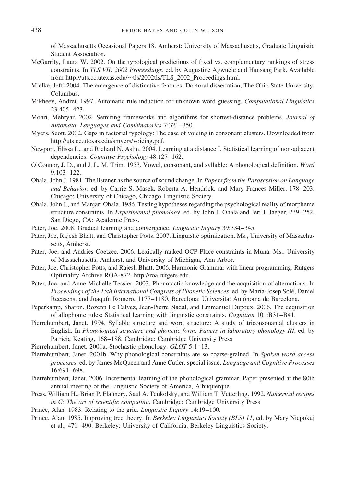of Massachusetts Occasional Papers 18. Amherst: University of Massachusetts, Graduate Linguistic Student Association.

- McGarrity, Laura W. 2002. On the typological predictions of fixed vs. complementary rankings of stress constraints. In *TLS VII: 2002 Proceedings*, ed. by Augustine Agwuele and Hansang Park. Available from http://uts.cc.utexas.edu/~tls/2002tls/TLS\_2002\_Proceedings.html.
- Mielke, Jeff. 2004. The emergence of distinctive features. Doctoral dissertation, The Ohio State University, Columbus.
- Mikheev, Andrei. 1997. Automatic rule induction for unknown word guessing. *Computational Linguistics* 23:405–423.
- Mohri, Mehryar. 2002. Semiring frameworks and algorithms for shortest-distance problems. *Journal of Automata, Languages and Combinatorics* 7:321–350.
- Myers, Scott. 2002. Gaps in factorial typology: The case of voicing in consonant clusters. Downloaded from http://uts.cc.utexas.edu/smyers/voicing.pdf.
- Newport, Elissa L., and Richard N. Aslin. 2004. Learning at a distance I. Statistical learning of non-adjacent dependencies. *Cognitive Psychology* 48:127–162.
- O'Connor, J. D., and J. L. M. Trim. 1953. Vowel, consonant, and syllable: A phonological definition. *Word* 9:103–122.
- Ohala, John J. 1981. The listener as the source of sound change. In *Papers from the Parasession on Language and Behavior*, ed. by Carrie S. Masek, Roberta A. Hendrick, and Mary Frances Miller, 178–203. Chicago: University of Chicago, Chicago Linguistic Society.
- Ohala, John J., and Manjari Ohala. 1986. Testing hypotheses regarding the psychological reality of morpheme structure constraints. In *Experimental phonology*, ed. by John J. Ohala and Jeri J. Jaeger, 239–252. San Diego, CA: Academic Press.
- Pater, Joe. 2008. Gradual learning and convergence. *Linguistic Inquiry* 39:334–345.
- Pater, Joe, Rajesh Bhatt, and Christopher Potts. 2007. Linguistic optimization. Ms., University of Massachusetts, Amherst.
- Pater, Joe, and Andries Coetzee. 2006. Lexically ranked OCP-Place constraints in Muna. Ms., University of Massachusetts, Amherst, and University of Michigan, Ann Arbor.
- Pater, Joe, Christopher Potts, and Rajesh Bhatt. 2006. Harmonic Grammar with linear programming. Rutgers Optimality Archive ROA-872. http://roa.rutgers.edu.
- Pater, Joe, and Anne-Michelle Tessier. 2003. Phonotactic knowledge and the acquisition of alternations. In *Proceedings of the 15th International Congress of Phonetic Sciences*, ed. by Maria-Josep Sole´, Daniel Recasens, and Joaquín Romero, 1177-1180. Barcelona: Universitat Autónoma de Barcelona.
- Peperkamp, Sharon, Rozenn Le Calvez, Jean-Pierre Nadal, and Emmanuel Dupoux. 2006. The acquisition of allophonic rules: Statistical learning with linguistic constraints. *Cognition* 101:B31–B41.
- Pierrehumbert, Janet. 1994. Syllable structure and word structure: A study of triconsonantal clusters in English. In *Phonological structure and phonetic form: Papers in laboratory phonology III*, ed. by Patricia Keating, 168–188. Cambridge: Cambridge University Press.
- Pierrehumbert, Janet. 2001a. Stochastic phonology. *GLOT* 5:1–13.
- Pierrehumbert, Janet. 2001b. Why phonological constraints are so coarse-grained. In *Spoken word access processes*, ed. by James McQueen and Anne Cutler, special issue, *Language and Cognitive Processes* 16:691–698.
- Pierrehumbert, Janet. 2006. Incremental learning of the phonological grammar. Paper presented at the 80th annual meeting of the Linguistic Society of America, Albuquerque.
- Press, William H., Brian P. Flannery, Saul A. Teukolsky, and William T. Vetterling. 1992. *Numerical recipes in C: The art of scientific computing*. Cambridge: Cambridge University Press.
- Prince, Alan. 1983. Relating to the grid. *Linguistic Inquiry* 14:19–100.
- Prince, Alan. 1985. Improving tree theory. In *Berkeley Linguistics Society (BLS) 11*, ed. by Mary Niepokuj et al., 471–490. Berkeley: University of California, Berkeley Linguistics Society.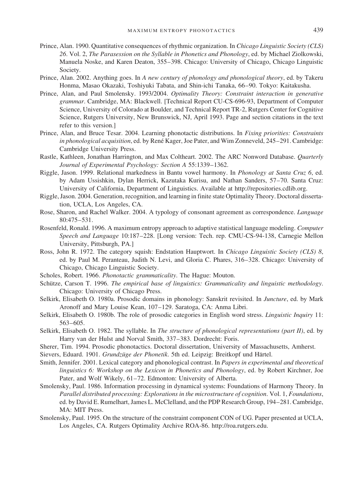- Prince, Alan. 1990. Quantitative consequences of rhythmic organization. In *Chicago Linguistic Society (CLS) 26*. Vol. 2, *The Parasession on the Syllable in Phonetics and Phonology*, ed. by Michael Ziolkowski, Manuela Noske, and Karen Deaton, 355–398. Chicago: University of Chicago, Chicago Linguistic Society.
- Prince, Alan. 2002. Anything goes. In *A new century of phonology and phonological theory*, ed. by Takeru Honma, Masao Okazaki, Toshiyuki Tabata, and Shin-ichi Tanaka, 66–90. Tokyo: Kaitakusha.
- Prince, Alan, and Paul Smolensky. 1993/2004. *Optimality Theory: Constraint interaction in generative grammar*. Cambridge, MA: Blackwell. [Technical Report CU-CS-696-93, Department of Computer Science, University of Colorado at Boulder, and Technical Report TR-2, Rutgers Center for Cognitive Science, Rutgers University, New Brunswick, NJ, April 1993. Page and section citations in the text refer to this version.]
- Prince, Alan, and Bruce Tesar. 2004. Learning phonotactic distributions. In *Fixing priorities: Constraints in phonological acquisition*, ed. by René Kager, Joe Pater, and Wim Zonneveld, 245–291. Cambridge: Cambridge University Press.
- Rastle, Kathleen, Jonathan Harrington, and Max Coltheart. 2002. The ARC Nonword Database. *Quarterly Journal of Experimental Psychology: Section A* 55:1339–1362.
- Riggle, Jason. 1999. Relational markedness in Bantu vowel harmony. In *Phonology at Santa Cruz 6*, ed. by Adam Ussishkin, Dylan Herrick, Kazutaka Kurisu, and Nathan Sanders, 57–70. Santa Cruz: University of California, Department of Linguistics. Available at http://repositories.cdlib.org.
- Riggle, Jason. 2004. Generation, recognition, and learning in finite state Optimality Theory. Doctoral dissertation, UCLA, Los Angeles, CA.
- Rose, Sharon, and Rachel Walker. 2004. A typology of consonant agreement as correspondence. *Language* 80:475–531.
- Rosenfeld, Ronald. 1996. A maximum entropy approach to adaptive statistical language modeling. *Computer Speech and Language* 10:187–228. [Long version: Tech. rep. CMU-CS-94-138, Carnegie Mellon University, Pittsburgh, PA.]
- Ross, John R. 1972. The category squish: Endstation Hauptwort. In *Chicago Linguistic Society (CLS) 8*, ed. by Paul M. Peranteau, Judith N. Levi, and Gloria C. Phares, 316–328. Chicago: University of Chicago, Chicago Linguistic Society.
- Scholes, Robert. 1966. *Phonotactic grammaticality*. The Hague: Mouton.
- Schütze, Carson T. 1996. *The empirical base of linguistics: Grammaticality and linguistic methodology*. Chicago: University of Chicago Press.
- Selkirk, Elisabeth O. 1980a. Prosodic domains in phonology: Sanskrit revisited. In *Juncture*, ed. by Mark Aronoff and Mary Louise Kean, 107–129. Saratoga, CA: Anma Libri.
- Selkirk, Elisabeth O. 1980b. The role of prosodic categories in English word stress. *Linguistic Inquiry* 11: 563–605.
- Selkirk, Elisabeth O. 1982. The syllable. In *The structure of phonological representations (part II)*, ed. by Harry van der Hulst and Norval Smith, 337–383. Dordrecht: Foris.
- Sherer, Tim. 1994. Prosodic phonotactics. Doctoral dissertation, University of Massachusetts, Amherst.
- Sievers, Eduard. 1901. *Grundzüge der Phonetik*. 5th ed. Leipzig: Breitkopf und Härtel.
- Smith, Jennifer. 2001. Lexical category and phonological contrast. In *Papers in experimental and theoretical linguistics 6: Workshop on the Lexicon in Phonetics and Phonology*, ed. by Robert Kirchner, Joe Pater, and Wolf Wikely, 61–72. Edmonton: University of Alberta.
- Smolensky, Paul. 1986. Information processing in dynamical systems: Foundations of Harmony Theory. In *Parallel distributed processing: Explorations in the microstructure of cognition*. Vol. 1, *Foundations*, ed. by David E. Rumelhart, James L. McClelland, and the PDP Research Group, 194–281. Cambridge, MA: MIT Press.
- Smolensky, Paul. 1995. On the structure of the constraint component CON of UG. Paper presented at UCLA, Los Angeles, CA. Rutgers Optimality Archive ROA-86. http://roa.rutgers.edu.